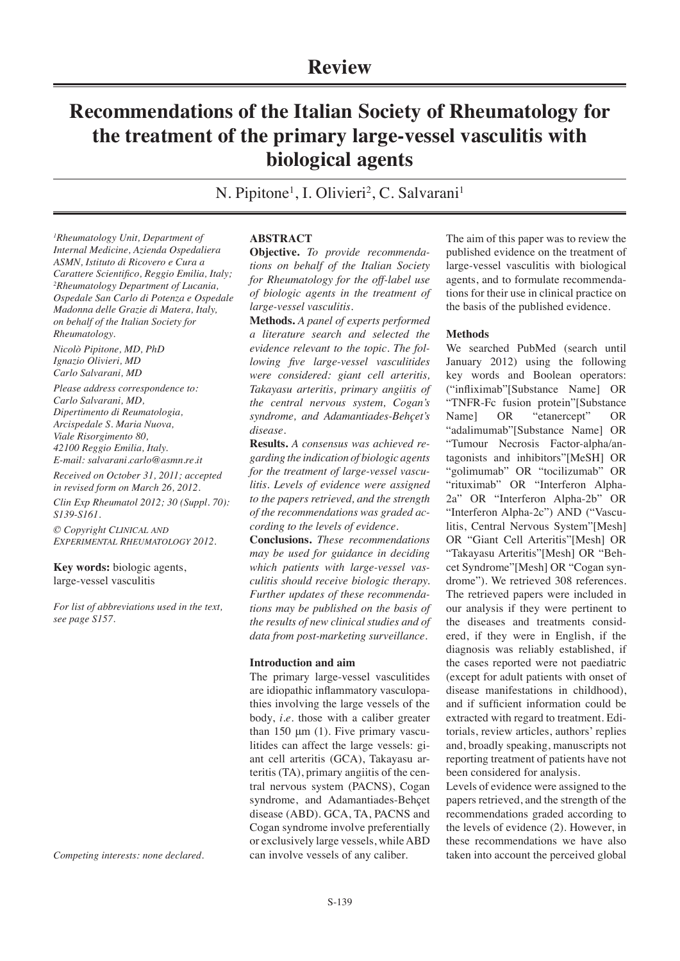# **Recommendations of the Italian Society of Rheumatology for the treatment of the primary large-vessel vasculitis with biological agents**

N. Pipitone<sup>1</sup>, I. Olivieri<sup>2</sup>, C. Salvarani<sup>1</sup>

*1 Rheumatology Unit, Department of Internal Medicine, Azienda Ospedaliera ASMN, Istituto di Ricovero e Cura a Carattere Scientifico, Reggio Emilia, Italy; 2 Rheumatology Department of Lucania, Ospedale San Carlo di Potenza e Ospedale Madonna delle Grazie di Matera, Italy, on behalf of the Italian Society for Rheumatology.*

*Nicolò Pipitone, MD, PhD Ignazio Olivieri, MD Carlo Salvarani, MD*

*Please address correspondence to: Carlo Salvarani, MD, Dipertimento di Reumatologia, Arcispedale S. Maria Nuova, Viale Risorgimento 80, 42100 Reggio Emilia, Italy.*

*E-mail: salvarani.carlo@asmn.re.it Received on October 31, 2011; accepted* 

*in revised form on March 26, 2012.*

*Clin Exp Rheumatol 2012; 30 (Suppl. 70): S139-S161.*

*© Copyright CLINICAL AND EXPERIMENTAL RHEUMATOLOGY 2012.*

**Key words:** biologic agents, large-vessel vasculitis

*For list of abbreviations used in the text, see page S157.*

*Competing interests: none declared.*

## **ABSTRACT**

**Objective.** *To provide recommendations on behalf of the Italian Society for Rheumatology for the off-label use of biologic agents in the treatment of large-vessel vasculitis.*

**Methods.** *A panel of experts performed a literature search and selected the evidence relevant to the topic. The following five large-vessel vasculitides were considered: giant cell arteritis, Takayasu arteritis, primary angiitis of the central nervous system, Cogan's syndrome, and Adamantiades-Behçet's disease*.

**Results.** *A consensus was achieved regarding the indication of biologic agents for the treatment of large-vessel vasculitis. Levels of evidence were assigned to the papers retrieved, and the strength of the recommendations was graded according to the levels of evidence.*

**Conclusions.** *These recommendations may be used for guidance in deciding which patients with large-vessel vasculitis should receive biologic therapy. Further updates of these recommendations may be published on the basis of the results of new clinical studies and of data from post-marketing surveillance.*

## **Introduction and aim**

The primary large-vessel vasculitides are idiopathic inflammatory vasculopathies involving the large vessels of the body, *i.e*. those with a caliber greater than 150  $\mu$ m (1). Five primary vasculitides can affect the large vessels: giant cell arteritis (GCA), Takayasu arteritis (TA), primary angiitis of the central nervous system (PACNS), Cogan syndrome, and Adamantiades-Behçet disease (ABD). GCA, TA, PACNS and Cogan syndrome involve preferentially or exclusively large vessels, while ABD can involve vessels of any caliber.

The aim of this paper was to review the published evidence on the treatment of large-vessel vasculitis with biological agents, and to formulate recommendations for their use in clinical practice on the basis of the published evidence.

## **Methods**

We searched PubMed (search until January 2012) using the following key words and Boolean operators: ("infliximab"[Substance Name] OR "TNFR-Fc fusion protein"[Substance Name] OR "etanercept" OR "adalimumab"[Substance Name] OR "Tumour Necrosis Factor-alpha/antagonists and inhibitors"[MeSH] OR "golimumab" OR "tocilizumab" OR "rituximab" OR "Interferon Alpha-2a" OR "Interferon Alpha-2b" OR "Interferon Alpha-2c") AND ("Vasculitis, Central Nervous System"[Mesh] OR "Giant Cell Arteritis"[Mesh] OR "Takayasu Arteritis"[Mesh] OR "Behcet Syndrome"[Mesh] OR "Cogan syndrome"). We retrieved 308 references. The retrieved papers were included in our analysis if they were pertinent to the diseases and treatments considered, if they were in English, if the diagnosis was reliably established, if the cases reported were not paediatric (except for adult patients with onset of disease manifestations in childhood), and if sufficient information could be extracted with regard to treatment. Editorials, review articles, authors' replies and, broadly speaking, manuscripts not reporting treatment of patients have not been considered for analysis.

Levels of evidence were assigned to the papers retrieved, and the strength of the recommendations graded according to the levels of evidence (2). However, in these recommendations we have also taken into account the perceived global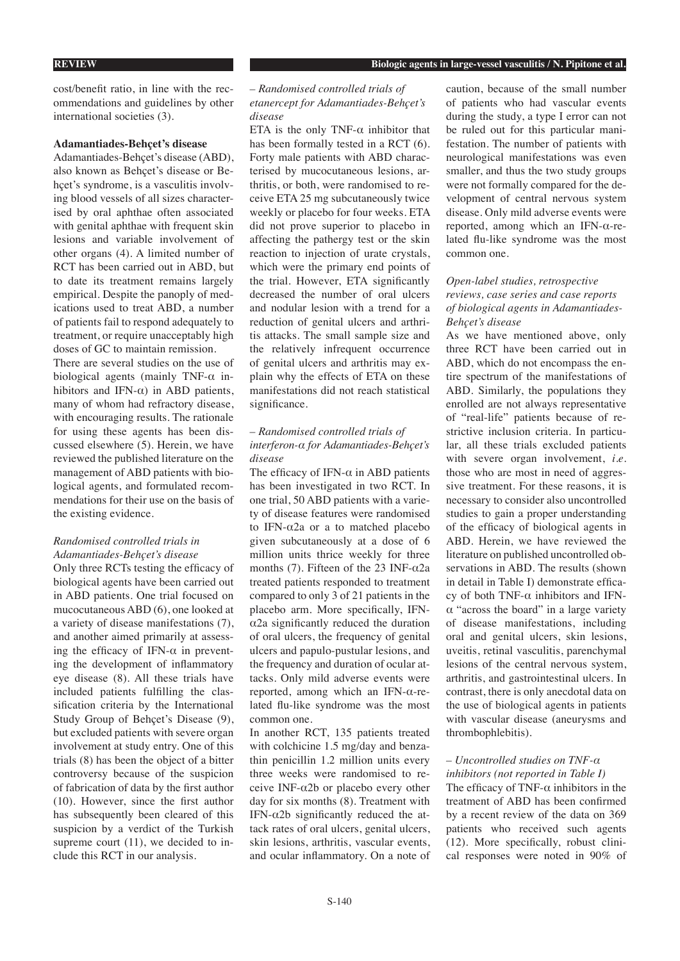cost/benefit ratio, in line with the recommendations and guidelines by other international societies (3).

### **Adamantiades-Behçet's disease**

Adamantiades-Behçet's disease (ABD), also known as Behçet's disease or Behçet's syndrome, is a vasculitis involving blood vessels of all sizes characterised by oral aphthae often associated with genital aphthae with frequent skin lesions and variable involvement of other organs (4). A limited number of RCT has been carried out in ABD, but to date its treatment remains largely empirical. Despite the panoply of medications used to treat ABD, a number of patients fail to respond adequately to treatment, or require unacceptably high doses of GC to maintain remission.

There are several studies on the use of biological agents (mainly TNF- $\alpha$  inhibitors and IFN- $\alpha$ ) in ABD patients, many of whom had refractory disease, with encouraging results. The rationale for using these agents has been discussed elsewhere (5). Herein, we have reviewed the published literature on the management of ABD patients with biological agents, and formulated recommendations for their use on the basis of the existing evidence.

## *Randomised controlled trials in Adamantiades-Behçet's disease*

Only three RCTs testing the efficacy of biological agents have been carried out in ABD patients. One trial focused on mucocutaneous ABD (6), one looked at a variety of disease manifestations (7), and another aimed primarily at assessing the efficacy of IFN- $\alpha$  in preventing the development of inflammatory eye disease (8). All these trials have included patients fulfilling the classification criteria by the International Study Group of Behçet's Disease (9), but excluded patients with severe organ involvement at study entry. One of this trials (8) has been the object of a bitter controversy because of the suspicion of fabrication of data by the first author (10). However, since the first author has subsequently been cleared of this suspicion by a verdict of the Turkish supreme court (11), we decided to include this RCT in our analysis.

## *– Randomised controlled trials of etanercept for Adamantiades-Behçet's disease*

ETA is the only TNF- $\alpha$  inhibitor that has been formally tested in a RCT (6). Forty male patients with ABD characterised by mucocutaneous lesions, arthritis, or both, were randomised to receive ETA 25 mg subcutaneously twice weekly or placebo for four weeks. ETA did not prove superior to placebo in affecting the pathergy test or the skin reaction to injection of urate crystals, which were the primary end points of the trial. However, ETA significantly decreased the number of oral ulcers and nodular lesion with a trend for a reduction of genital ulcers and arthritis attacks. The small sample size and the relatively infrequent occurrence of genital ulcers and arthritis may explain why the effects of ETA on these manifestations did not reach statistical significance.

## *– Randomised controlled trials of interferon-α for Adamantiades-Behçet's disease*

The efficacy of IFN- $\alpha$  in ABD patients has been investigated in two RCT. In one trial, 50 ABD patients with a variety of disease features were randomised to IFN-α2a or a to matched placebo given subcutaneously at a dose of 6 million units thrice weekly for three months (7). Fifteen of the 23 INF- $\alpha$ 2a treated patients responded to treatment compared to only 3 of 21 patients in the placebo arm. More specifically, IFN- $\alpha$ 2a significantly reduced the duration of oral ulcers, the frequency of genital ulcers and papulo-pustular lesions, and the frequency and duration of ocular attacks. Only mild adverse events were reported, among which an IFN-α-related flu-like syndrome was the most common one.

In another RCT, 135 patients treated with colchicine 1.5 mg/day and benzathin penicillin 1.2 million units every three weeks were randomised to receive INF-α2b or placebo every other day for six months (8). Treatment with IFN- $\alpha$ 2b significantly reduced the attack rates of oral ulcers, genital ulcers, skin lesions, arthritis, vascular events, and ocular inflammatory. On a note of caution, because of the small number of patients who had vascular events during the study, a type I error can not be ruled out for this particular manifestation. The number of patients with neurological manifestations was even smaller, and thus the two study groups were not formally compared for the development of central nervous system disease. Only mild adverse events were reported, among which an IFN-α-related flu-like syndrome was the most common one.

## *Open-label studies, retrospective reviews, case series and case reports of biological agents in Adamantiades-Behçet's disease*

As we have mentioned above, only three RCT have been carried out in ABD, which do not encompass the entire spectrum of the manifestations of ABD. Similarly, the populations they enrolled are not always representative of "real-life" patients because of restrictive inclusion criteria. In particular, all these trials excluded patients with severe organ involvement, *i.e.* those who are most in need of aggressive treatment. For these reasons, it is necessary to consider also uncontrolled studies to gain a proper understanding of the efficacy of biological agents in ABD. Herein, we have reviewed the literature on published uncontrolled observations in ABD. The results (shown in detail in Table I) demonstrate efficacy of both TNF-α inhibitors and IFNα "across the board" in a large variety of disease manifestations, including oral and genital ulcers, skin lesions, uveitis, retinal vasculitis, parenchymal lesions of the central nervous system, arthritis, and gastrointestinal ulcers. In contrast, there is only anecdotal data on the use of biological agents in patients with vascular disease (aneurysms and thrombophlebitis).

## *– Uncontrolled studies on TNF-α inhibitors (not reported in Table I)*

The efficacy of TNF- $\alpha$  inhibitors in the treatment of ABD has been confirmed by a recent review of the data on 369 patients who received such agents (12). More specifically, robust clinical responses were noted in 90% of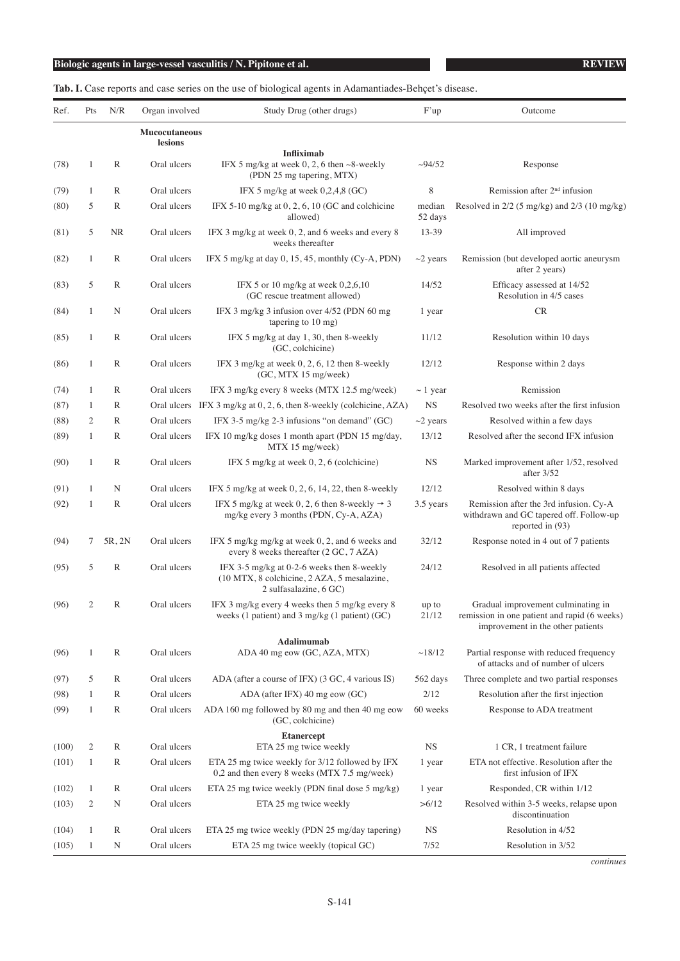**Tab. I.** Case reports and case series on the use of biological agents in Adamantiades-Behçet's disease.

| Ref.  | Pts | N/R          | Organ involved                  | Study Drug (other drugs)                                                                                            | F'up              | Outcome                                                                                                                 |
|-------|-----|--------------|---------------------------------|---------------------------------------------------------------------------------------------------------------------|-------------------|-------------------------------------------------------------------------------------------------------------------------|
|       |     |              | <b>Mucocutaneous</b><br>lesions |                                                                                                                     |                   |                                                                                                                         |
|       |     |              |                                 | <b>Infliximab</b>                                                                                                   |                   |                                                                                                                         |
| (78)  | 1   | $\mathbb{R}$ | Oral ulcers                     | IFX 5 mg/kg at week $0, 2, 6$ then $\sim$ 8-weekly<br>(PDN 25 mg tapering, MTX)                                     | $\sim$ 94/52      | Response                                                                                                                |
| (79)  | 1   | $\mathbb{R}$ | Oral ulcers                     | IFX 5 mg/kg at week $0,2,4,8$ (GC)                                                                                  | 8                 | Remission after $2nd$ infusion                                                                                          |
| (80)  | 5   | $\mathbb{R}$ | Oral ulcers                     | IFX 5-10 mg/kg at $0, 2, 6, 10$ (GC and colchicine<br>allowed)                                                      | median<br>52 days | Resolved in $2/2$ (5 mg/kg) and $2/3$ (10 mg/kg)                                                                        |
| (81)  | 5   | NR           | Oral ulcers                     | IFX 3 mg/kg at week 0, 2, and 6 weeks and every 8<br>weeks thereafter                                               | 13-39             | All improved                                                                                                            |
| (82)  | 1   | R            | Oral ulcers                     | IFX 5 mg/kg at day 0, 15, 45, monthly (Cy-A, PDN)                                                                   | $\sim$ 2 years    | Remission (but developed aortic aneurysm<br>after 2 years)                                                              |
| (83)  | 5   | $\mathbb{R}$ | Oral ulcers                     | IFX 5 or 10 mg/kg at week $0,2,6,10$<br>(GC rescue treatment allowed)                                               | 14/52             | Efficacy assessed at 14/52<br>Resolution in 4/5 cases                                                                   |
| (84)  | 1   | N            | Oral ulcers                     | IFX 3 mg/kg 3 infusion over 4/52 (PDN 60 mg<br>tapering to $10 \text{ mg}$ )                                        | 1 year            | CR                                                                                                                      |
| (85)  | 1   | $\mathbb{R}$ | Oral ulcers                     | IFX 5 mg/kg at day 1, 30, then 8-weekly<br>(GC, colchicine)                                                         | 11/12             | Resolution within 10 days                                                                                               |
| (86)  | 1   | $\mathbb{R}$ | Oral ulcers                     | IFX 3 mg/kg at week $0, 2, 6, 12$ then 8-weekly<br>(GC, MTX 15 mg/week)                                             | 12/12             | Response within 2 days                                                                                                  |
| (74)  | 1   | R            | Oral ulcers                     | IFX 3 mg/kg every 8 weeks (MTX 12.5 mg/week)                                                                        | $\sim$ 1 year     | Remission                                                                                                               |
| (87)  | 1   | R            |                                 | Oral ulcers IFX 3 mg/kg at 0, 2, 6, then 8-weekly (colchicine, AZA)                                                 | <b>NS</b>         | Resolved two weeks after the first infusion                                                                             |
| (88)  | 2   | R            | Oral ulcers                     | IFX 3-5 mg/kg 2-3 infusions "on demand" $(GC)$                                                                      | $\sim$ 2 years    | Resolved within a few days                                                                                              |
| (89)  | 1   | R            | Oral ulcers                     | IFX 10 mg/kg doses 1 month apart (PDN 15 mg/day,<br>MTX 15 mg/week)                                                 | 13/12             | Resolved after the second IFX infusion                                                                                  |
| (90)  | 1   | R            | Oral ulcers                     | IFX 5 mg/kg at week $0, 2, 6$ (colchicine)                                                                          | <b>NS</b>         | Marked improvement after 1/52, resolved<br>after 3/52                                                                   |
| (91)  | 1   | N            | Oral ulcers                     | IFX 5 mg/kg at week $0, 2, 6, 14, 22$ , then 8-weekly                                                               | 12/12             | Resolved within 8 days                                                                                                  |
| (92)  | 1   | R            | Oral ulcers                     | IFX 5 mg/kg at week 0, 2, 6 then 8-weekly $\rightarrow$ 3<br>mg/kg every 3 months (PDN, Cy-A, AZA)                  | 3.5 years         | Remission after the 3rd infusion. Cy-A<br>withdrawn and GC tapered off. Follow-up<br>reported in (93)                   |
| (94)  | 7   | 5R, 2N       | Oral ulcers                     | IFX 5 mg/kg mg/kg at week 0, 2, and 6 weeks and<br>every 8 weeks thereafter (2 GC, 7 AZA)                           | 32/12             | Response noted in 4 out of 7 patients                                                                                   |
| (95)  | 5   | R            | Oral ulcers                     | IFX 3-5 mg/kg at 0-2-6 weeks then 8-weekly<br>(10 MTX, 8 colchicine, 2 AZA, 5 mesalazine,<br>2 sulfasalazine, 6 GC) | 24/12             | Resolved in all patients affected                                                                                       |
| (96)  |     | R            | Oral ulcers                     | IFX 3 mg/kg every 4 weeks then 5 mg/kg every 8<br>weeks (1 patient) and 3 mg/kg (1 patient) $(GC)$                  | up to<br>21/12    | Gradual improvement culminating in<br>remission in one patient and rapid (6 weeks)<br>improvement in the other patients |
|       |     |              |                                 | Adalimumab                                                                                                          |                   |                                                                                                                         |
| (96)  | 1   | $\mathbb{R}$ | Oral ulcers                     | ADA 40 mg eow (GC, AZA, MTX)                                                                                        | ~18/12            | Partial response with reduced frequency<br>of attacks and of number of ulcers                                           |
| (97)  | 5   | R            | Oral ulcers                     | ADA (after a course of IFX) (3 GC, 4 various IS)                                                                    | 562 days          | Three complete and two partial responses                                                                                |
| (98)  | 1   | $\mathbb{R}$ | Oral ulcers                     | ADA (after IFX) 40 mg eow (GC)                                                                                      | 2/12              | Resolution after the first injection                                                                                    |
| (99)  | 1   | R            | Oral ulcers                     | ADA 160 mg followed by 80 mg and then 40 mg eow<br>(GC, colchicine)                                                 | 60 weeks          | Response to ADA treatment                                                                                               |
| (100) | 2   | R            | Oral ulcers                     | <b>Etanercept</b><br>ETA 25 mg twice weekly                                                                         | <b>NS</b>         | 1 CR, 1 treatment failure                                                                                               |
| (101) | 1   | $\mathbb{R}$ | Oral ulcers                     | ETA 25 mg twice weekly for 3/12 followed by IFX                                                                     |                   | ETA not effective. Resolution after the                                                                                 |
|       |     |              |                                 | 0,2 and then every 8 weeks (MTX 7.5 mg/week)                                                                        | 1 year            | first infusion of IFX                                                                                                   |
| (102) | 1   | R            | Oral ulcers                     | ETA 25 mg twice weekly (PDN final dose 5 mg/kg)                                                                     | 1 year            | Responded, CR within 1/12                                                                                               |
| (103) | 2   | N            | Oral ulcers                     | ETA 25 mg twice weekly                                                                                              | >6/12             | Resolved within 3-5 weeks, relapse upon<br>discontinuation                                                              |
| (104) | 1   | R            | Oral ulcers                     | ETA 25 mg twice weekly (PDN 25 mg/day tapering)                                                                     | <b>NS</b>         | Resolution in 4/52                                                                                                      |
| (105) | 1   | N            | Oral ulcers                     | ETA 25 mg twice weekly (topical GC)                                                                                 | 7/52              | Resolution in 3/52                                                                                                      |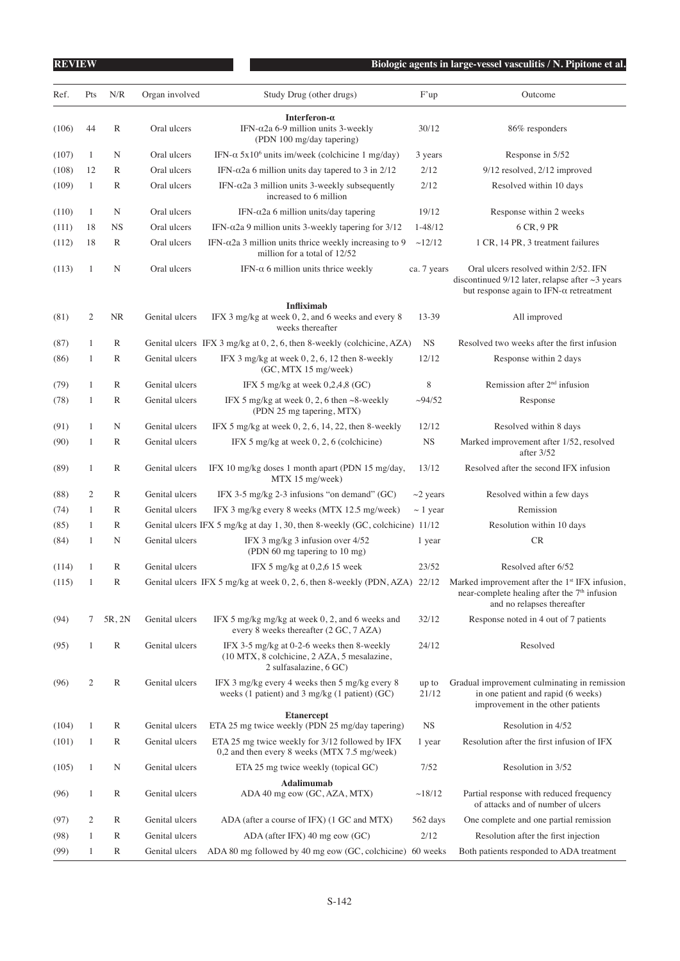| <b>REVIEW</b> |              |              |                |                                                                                                                     |                | Biologic agents in large-vessel vasculitis / N. Pipitone et al.                                                                                      |
|---------------|--------------|--------------|----------------|---------------------------------------------------------------------------------------------------------------------|----------------|------------------------------------------------------------------------------------------------------------------------------------------------------|
| Ref.          | Pts          | N/R          | Organ involved | Study Drug (other drugs)                                                                                            | F'up           | Outcome                                                                                                                                              |
| (106)         | 44           | R            | Oral ulcers    | Interferon- $\alpha$<br>IFN- $\alpha$ 2a 6-9 million units 3-weekly<br>(PDN 100 mg/day tapering)                    | 30/12          | 86% responders                                                                                                                                       |
| (107)         | $\mathbf{1}$ | N            | Oral ulcers    | IFN- $\alpha$ 5x10 <sup>6</sup> units im/week (colchicine 1 mg/day)                                                 | 3 years        | Response in 5/52                                                                                                                                     |
| (108)         | 12           | R            | Oral ulcers    | IFN- $\alpha$ 2a 6 million units day tapered to 3 in 2/12                                                           | 2/12           | 9/12 resolved, 2/12 improved                                                                                                                         |
| (109)         | $\mathbf{1}$ | R            | Oral ulcers    | IFN- $\alpha$ 2a 3 million units 3-weekly subsequently<br>increased to 6 million                                    | 2/12           | Resolved within 10 days                                                                                                                              |
| (110)         | $\mathbf{1}$ | N            | Oral ulcers    | IFN- $\alpha$ 2a 6 million units/day tapering                                                                       | 19/12          | Response within 2 weeks                                                                                                                              |
| (111)         | 18           | <b>NS</b>    | Oral ulcers    | IFN- $α$ 2a 9 million units 3-weekly tapering for 3/12                                                              | $1 - 48/12$    | 6 CR, 9 PR                                                                                                                                           |
| (112)         | 18           | R            | Oral ulcers    | IFN- $\alpha$ 2a 3 million units thrice weekly increasing to 9<br>million for a total of 12/52                      | ~12/12         | 1 CR, 14 PR, 3 treatment failures                                                                                                                    |
| (113)         | $\mathbf{1}$ | N            | Oral ulcers    | IFN- $\alpha$ 6 million units thrice weekly                                                                         | ca. 7 years    | Oral ulcers resolved within 2/52. IFN<br>discontinued $9/12$ later, relapse after $\sim$ 3 years<br>but response again to IFN- $\alpha$ retreatment  |
|               |              |              |                | <b>Infliximab</b>                                                                                                   |                |                                                                                                                                                      |
| (81)          | 2            | <b>NR</b>    | Genital ulcers | IFX 3 mg/kg at week 0, 2, and 6 weeks and every 8<br>weeks thereafter                                               | 13-39          | All improved                                                                                                                                         |
| (87)          | $\mathbf{1}$ | R            |                | Genital ulcers IFX 3 mg/kg at 0, 2, 6, then 8-weekly (colchicine, AZA)                                              | <b>NS</b>      | Resolved two weeks after the first infusion                                                                                                          |
| (86)          | $\mathbf{1}$ | R            | Genital ulcers | IFX 3 mg/kg at week $0, 2, 6, 12$ then 8-weekly<br>(GC, MTX 15 mg/week)                                             | 12/12          | Response within 2 days                                                                                                                               |
| (79)          | 1            | R            | Genital ulcers | IFX 5 mg/kg at week $0,2,4,8$ (GC)                                                                                  | 8              | Remission after $2nd$ infusion                                                                                                                       |
| (78)          | $\mathbf{1}$ | R            | Genital ulcers | IFX 5 mg/kg at week 0, 2, 6 then $\sim$ 8-weekly<br>(PDN 25 mg tapering, MTX)                                       | ~294/52        | Response                                                                                                                                             |
| (91)          | 1            | N            | Genital ulcers | IFX 5 mg/kg at week $0, 2, 6, 14, 22$ , then 8-weekly                                                               | 12/12          | Resolved within 8 days                                                                                                                               |
| (90)          | 1            | R            | Genital ulcers | IFX 5 mg/kg at week $0, 2, 6$ (colchicine)                                                                          | $_{\rm NS}$    | Marked improvement after 1/52, resolved<br>after $3/52$                                                                                              |
| (89)          | $\mathbf{1}$ | R            | Genital ulcers | IFX 10 mg/kg doses 1 month apart (PDN 15 mg/day,<br>MTX 15 mg/week)                                                 | 13/12          | Resolved after the second IFX infusion                                                                                                               |
| (88)          | 2            | R            | Genital ulcers | IFX 3-5 mg/kg 2-3 infusions "on demand" $(GC)$                                                                      | $\sim$ 2 years | Resolved within a few days                                                                                                                           |
| (74)          | $\mathbf{1}$ | R            | Genital ulcers | IFX 3 mg/kg every 8 weeks (MTX 12.5 mg/week)                                                                        | $\sim$ 1 year  | Remission                                                                                                                                            |
| (85)          | 1            | R            |                | Genital ulcers IFX 5 mg/kg at day 1, 30, then 8-weekly (GC, colchicine) 11/12                                       |                | Resolution within 10 days                                                                                                                            |
| (84)          | 1            | N            | Genital ulcers | IFX 3 mg/kg 3 infusion over 4/52<br>(PDN 60 mg tapering to 10 mg)                                                   | 1 year         | CR                                                                                                                                                   |
| (114)         | 1            | R            | Genital ulcers | IFX 5 mg/kg at $0,2,6$ 15 week                                                                                      | 23/52          | Resolved after 6/52                                                                                                                                  |
| (115)         | 1            | $\mathbb{R}$ |                | Genital ulcers IFX 5 mg/kg at week 0, 2, 6, then 8-weekly (PDN, AZA) 22/12                                          |                | Marked improvement after the 1 <sup>st</sup> IFX infusion,<br>near-complete healing after the 7 <sup>th</sup> infusion<br>and no relapses thereafter |
| (94)          | 7            | 5R, 2N       | Genital ulcers | IFX 5 mg/kg mg/kg at week 0, 2, and 6 weeks and<br>every 8 weeks thereafter (2 GC, 7 AZA)                           | 32/12          | Response noted in 4 out of 7 patients                                                                                                                |
| (95)          | 1            | $\mathbb{R}$ | Genital ulcers | IFX 3-5 mg/kg at 0-2-6 weeks then 8-weekly<br>(10 MTX, 8 colchicine, 2 AZA, 5 mesalazine,<br>2 sulfasalazine, 6 GC) | 24/12          | Resolved                                                                                                                                             |
| (96)          | 2            | R            | Genital ulcers | IFX 3 mg/kg every 4 weeks then 5 mg/kg every 8<br>weeks (1 patient) and 3 mg/kg (1 patient) $(GC)$                  | up to<br>21/12 | Gradual improvement culminating in remission<br>in one patient and rapid (6 weeks)<br>improvement in the other patients                              |
| (104)         | 1            | R            | Genital ulcers | <b>Etanercept</b><br>ETA 25 mg twice weekly (PDN 25 mg/day tapering)                                                | <b>NS</b>      | Resolution in 4/52                                                                                                                                   |
| (101)         | 1            | $\mathbb R$  | Genital ulcers | ETA 25 mg twice weekly for 3/12 followed by IFX<br>0,2 and then every 8 weeks (MTX 7.5 mg/week)                     | 1 year         | Resolution after the first infusion of IFX                                                                                                           |
| (105)         | 1            | N            | Genital ulcers | ETA 25 mg twice weekly (topical GC)                                                                                 | 7/52           | Resolution in 3/52                                                                                                                                   |
|               |              |              |                | Adalimumab                                                                                                          |                |                                                                                                                                                      |
| (96)          | 1            | R            | Genital ulcers | ADA 40 mg eow (GC, AZA, MTX)                                                                                        | ~18/12         | Partial response with reduced frequency<br>of attacks and of number of ulcers                                                                        |
| (97)          | 2            | R            | Genital ulcers | ADA (after a course of IFX) (1 GC and MTX)                                                                          | 562 days       | One complete and one partial remission                                                                                                               |
| (98)          | 1            | R            | Genital ulcers | ADA (after IFX) 40 mg eow (GC)                                                                                      | 2/12           | Resolution after the first injection                                                                                                                 |
| (99)          | 1            | R            | Genital ulcers | ADA 80 mg followed by 40 mg eow (GC, colchicine) 60 weeks                                                           |                | Both patients responded to ADA treatment                                                                                                             |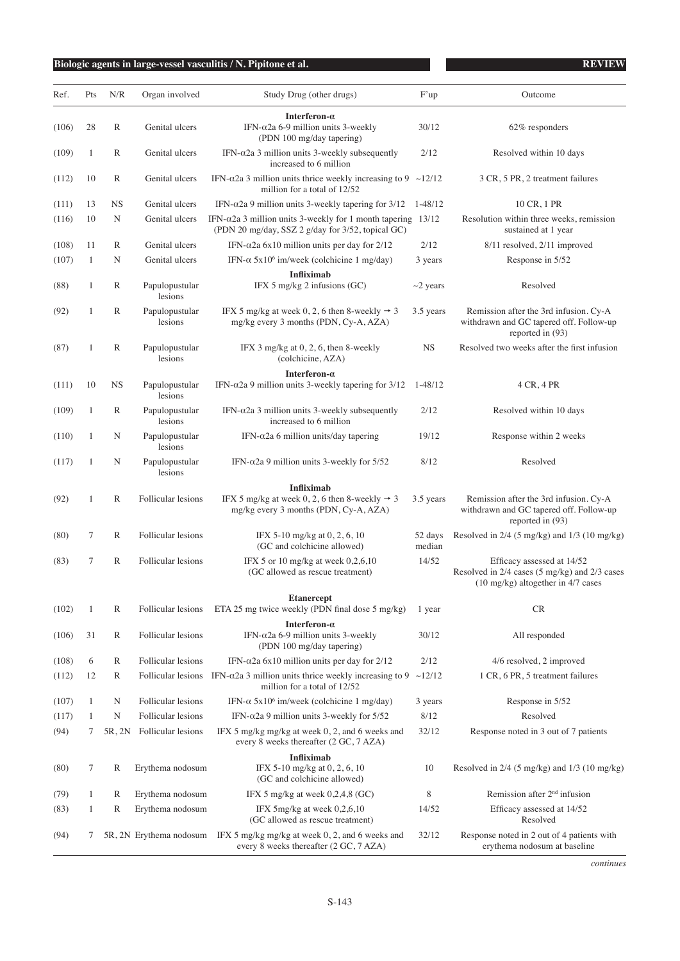| Pts<br>N/R<br>Ref.<br>Organ involved<br>28<br>R<br>Genital ulcers<br>(106)<br>Genital ulcers<br>(109)<br>1<br>R<br>Genital ulcers<br>(112)<br>10<br>R<br><b>NS</b><br>13<br>Genital ulcers<br>(111)<br>(116)<br>10<br>N<br>Genital ulcers<br>Genital ulcers<br>(108)<br>11<br>R<br>(107)<br>Genital ulcers<br>$\mathbf{1}$<br>N<br>R<br>Papulopustular<br>(88)<br>1<br>lesions<br>Papulopustular<br>(92)<br>$\mathbf{1}$<br>R<br>lesions<br>R<br>(87)<br>1<br>Papulopustular<br>lesions | Study Drug (other drugs)<br>Interferon- $\alpha$<br>IFN- $\alpha$ 2a 6-9 million units 3-weekly<br>(PDN 100 mg/day tapering)<br>IFN- $\alpha$ 2a 3 million units 3-weekly subsequently<br>increased to 6 million<br>IFN- $\alpha$ 2a 3 million units thrice weekly increasing to 9 ~12/12<br>million for a total of 12/52<br>IFN- $α$ 2a 9 million units 3-weekly tapering for 3/12<br>IFN- $\alpha$ 2a 3 million units 3-weekly for 1 month tapering 13/12<br>(PDN 20 mg/day, SSZ 2 g/day for 3/52, topical GC)<br>IFN- $\alpha$ 2a 6x10 million units per day for 2/12<br>IFN- $\alpha$ 5x10 <sup>6</sup> im/week (colchicine 1 mg/day)<br><b>Infliximab</b><br>IFX 5 mg/kg 2 infusions (GC)<br>IFX 5 mg/kg at week 0, 2, 6 then 8-weekly $\rightarrow$ 3<br>mg/kg every 3 months (PDN, Cy-A, AZA)<br>IFX $3 \text{ mg/kg}$ at $0, 2, 6$ , then $8$ -weekly<br>(colchicine, AZA) | F'up<br>30/12<br>2/12<br>$1 - 48/12$<br>2/12<br>3 years<br>$\sim$ 2 years<br>3.5 years<br><b>NS</b> | Outcome<br>62% responders<br>Resolved within 10 days<br>3 CR, 5 PR, 2 treatment failures<br>10 CR, 1 PR<br>Resolution within three weeks, remission<br>sustained at 1 year<br>8/11 resolved, 2/11 improved<br>Response in 5/52<br>Resolved<br>Remission after the 3rd infusion. Cy-A<br>withdrawn and GC tapered off. Follow-up<br>reported in (93) |
|-----------------------------------------------------------------------------------------------------------------------------------------------------------------------------------------------------------------------------------------------------------------------------------------------------------------------------------------------------------------------------------------------------------------------------------------------------------------------------------------|------------------------------------------------------------------------------------------------------------------------------------------------------------------------------------------------------------------------------------------------------------------------------------------------------------------------------------------------------------------------------------------------------------------------------------------------------------------------------------------------------------------------------------------------------------------------------------------------------------------------------------------------------------------------------------------------------------------------------------------------------------------------------------------------------------------------------------------------------------------------------------|-----------------------------------------------------------------------------------------------------|-----------------------------------------------------------------------------------------------------------------------------------------------------------------------------------------------------------------------------------------------------------------------------------------------------------------------------------------------------|
|                                                                                                                                                                                                                                                                                                                                                                                                                                                                                         |                                                                                                                                                                                                                                                                                                                                                                                                                                                                                                                                                                                                                                                                                                                                                                                                                                                                                    |                                                                                                     |                                                                                                                                                                                                                                                                                                                                                     |
|                                                                                                                                                                                                                                                                                                                                                                                                                                                                                         |                                                                                                                                                                                                                                                                                                                                                                                                                                                                                                                                                                                                                                                                                                                                                                                                                                                                                    |                                                                                                     |                                                                                                                                                                                                                                                                                                                                                     |
|                                                                                                                                                                                                                                                                                                                                                                                                                                                                                         |                                                                                                                                                                                                                                                                                                                                                                                                                                                                                                                                                                                                                                                                                                                                                                                                                                                                                    |                                                                                                     |                                                                                                                                                                                                                                                                                                                                                     |
|                                                                                                                                                                                                                                                                                                                                                                                                                                                                                         |                                                                                                                                                                                                                                                                                                                                                                                                                                                                                                                                                                                                                                                                                                                                                                                                                                                                                    |                                                                                                     |                                                                                                                                                                                                                                                                                                                                                     |
|                                                                                                                                                                                                                                                                                                                                                                                                                                                                                         |                                                                                                                                                                                                                                                                                                                                                                                                                                                                                                                                                                                                                                                                                                                                                                                                                                                                                    |                                                                                                     |                                                                                                                                                                                                                                                                                                                                                     |
|                                                                                                                                                                                                                                                                                                                                                                                                                                                                                         |                                                                                                                                                                                                                                                                                                                                                                                                                                                                                                                                                                                                                                                                                                                                                                                                                                                                                    |                                                                                                     |                                                                                                                                                                                                                                                                                                                                                     |
|                                                                                                                                                                                                                                                                                                                                                                                                                                                                                         |                                                                                                                                                                                                                                                                                                                                                                                                                                                                                                                                                                                                                                                                                                                                                                                                                                                                                    |                                                                                                     |                                                                                                                                                                                                                                                                                                                                                     |
|                                                                                                                                                                                                                                                                                                                                                                                                                                                                                         |                                                                                                                                                                                                                                                                                                                                                                                                                                                                                                                                                                                                                                                                                                                                                                                                                                                                                    |                                                                                                     |                                                                                                                                                                                                                                                                                                                                                     |
|                                                                                                                                                                                                                                                                                                                                                                                                                                                                                         |                                                                                                                                                                                                                                                                                                                                                                                                                                                                                                                                                                                                                                                                                                                                                                                                                                                                                    |                                                                                                     |                                                                                                                                                                                                                                                                                                                                                     |
|                                                                                                                                                                                                                                                                                                                                                                                                                                                                                         |                                                                                                                                                                                                                                                                                                                                                                                                                                                                                                                                                                                                                                                                                                                                                                                                                                                                                    |                                                                                                     |                                                                                                                                                                                                                                                                                                                                                     |
|                                                                                                                                                                                                                                                                                                                                                                                                                                                                                         |                                                                                                                                                                                                                                                                                                                                                                                                                                                                                                                                                                                                                                                                                                                                                                                                                                                                                    |                                                                                                     | Resolved two weeks after the first infusion                                                                                                                                                                                                                                                                                                         |
| (111)<br>10<br>NS<br>Papulopustular<br>lesions                                                                                                                                                                                                                                                                                                                                                                                                                                          | Interferon- $\alpha$<br>IFN- $\alpha$ 2a 9 million units 3-weekly tapering for 3/12                                                                                                                                                                                                                                                                                                                                                                                                                                                                                                                                                                                                                                                                                                                                                                                                | $1 - 48/12$                                                                                         | 4 CR, 4 PR                                                                                                                                                                                                                                                                                                                                          |
| (109)<br>1<br>R<br>Papulopustular<br>lesions                                                                                                                                                                                                                                                                                                                                                                                                                                            | IFN- $\alpha$ 2a 3 million units 3-weekly subsequently<br>increased to 6 million                                                                                                                                                                                                                                                                                                                                                                                                                                                                                                                                                                                                                                                                                                                                                                                                   | 2/12                                                                                                | Resolved within 10 days                                                                                                                                                                                                                                                                                                                             |
| (110)<br>Papulopustular<br>1<br>N<br>lesions                                                                                                                                                                                                                                                                                                                                                                                                                                            | IFN- $\alpha$ 2a 6 million units/day tapering                                                                                                                                                                                                                                                                                                                                                                                                                                                                                                                                                                                                                                                                                                                                                                                                                                      | 19/12                                                                                               | Response within 2 weeks                                                                                                                                                                                                                                                                                                                             |
| (117)<br>Papulopustular<br>1<br>N<br>lesions                                                                                                                                                                                                                                                                                                                                                                                                                                            | IFN- $α2a$ 9 million units 3-weekly for 5/52                                                                                                                                                                                                                                                                                                                                                                                                                                                                                                                                                                                                                                                                                                                                                                                                                                       | 8/12                                                                                                | Resolved                                                                                                                                                                                                                                                                                                                                            |
| (92)<br>R<br>Follicular lesions<br>1                                                                                                                                                                                                                                                                                                                                                                                                                                                    | <b>Infliximab</b><br>IFX 5 mg/kg at week 0, 2, 6 then 8-weekly $\rightarrow$ 3<br>mg/kg every 3 months (PDN, Cy-A, AZA)                                                                                                                                                                                                                                                                                                                                                                                                                                                                                                                                                                                                                                                                                                                                                            | 3.5 years                                                                                           | Remission after the 3rd infusion. Cy-A<br>withdrawn and GC tapered off. Follow-up<br>reported in (93)                                                                                                                                                                                                                                               |
| R<br>Follicular lesions<br>(80)<br>7                                                                                                                                                                                                                                                                                                                                                                                                                                                    | IFX 5-10 mg/kg at 0, 2, 6, 10<br>(GC and colchicine allowed)                                                                                                                                                                                                                                                                                                                                                                                                                                                                                                                                                                                                                                                                                                                                                                                                                       | 52 days<br>median                                                                                   | Resolved in 2/4 (5 mg/kg) and 1/3 (10 mg/kg)                                                                                                                                                                                                                                                                                                        |
| R<br>Follicular lesions<br>(83)<br>7                                                                                                                                                                                                                                                                                                                                                                                                                                                    | IFX 5 or 10 mg/kg at week $0,2,6,10$<br>(GC allowed as rescue treatment)                                                                                                                                                                                                                                                                                                                                                                                                                                                                                                                                                                                                                                                                                                                                                                                                           | 14/52                                                                                               | Efficacy assessed at 14/52<br>Resolved in 2/4 cases (5 mg/kg) and 2/3 cases<br>(10 mg/kg) altogether in 4/7 cases                                                                                                                                                                                                                                   |
|                                                                                                                                                                                                                                                                                                                                                                                                                                                                                         | <b>Etanercept</b>                                                                                                                                                                                                                                                                                                                                                                                                                                                                                                                                                                                                                                                                                                                                                                                                                                                                  |                                                                                                     |                                                                                                                                                                                                                                                                                                                                                     |
| (102)<br>R<br>Follicular lesions<br>1                                                                                                                                                                                                                                                                                                                                                                                                                                                   | ETA 25 mg twice weekly (PDN final dose 5 mg/kg)                                                                                                                                                                                                                                                                                                                                                                                                                                                                                                                                                                                                                                                                                                                                                                                                                                    | 1 year                                                                                              | <b>CR</b>                                                                                                                                                                                                                                                                                                                                           |
| 31<br>R<br>(106)<br>Follicular lesions                                                                                                                                                                                                                                                                                                                                                                                                                                                  | Interferon- $\alpha$<br>IFN- $\alpha$ 2a 6-9 million units 3-weekly<br>(PDN 100 mg/day tapering)                                                                                                                                                                                                                                                                                                                                                                                                                                                                                                                                                                                                                                                                                                                                                                                   | 30/12                                                                                               | All responded                                                                                                                                                                                                                                                                                                                                       |
| (108)<br>6<br>R<br>Follicular lesions                                                                                                                                                                                                                                                                                                                                                                                                                                                   | IFN- $\alpha$ 2a 6x10 million units per day for 2/12                                                                                                                                                                                                                                                                                                                                                                                                                                                                                                                                                                                                                                                                                                                                                                                                                               | 2/12                                                                                                | 4/6 resolved, 2 improved                                                                                                                                                                                                                                                                                                                            |
| (112)<br>12<br>R<br>Follicular lesions                                                                                                                                                                                                                                                                                                                                                                                                                                                  | IFN- $α$ 2a 3 million units thrice weekly increasing to 9<br>million for a total of 12/52                                                                                                                                                                                                                                                                                                                                                                                                                                                                                                                                                                                                                                                                                                                                                                                          | $\sim$ 12/12                                                                                        | 1 CR, 6 PR, 5 treatment failures                                                                                                                                                                                                                                                                                                                    |
| (107)<br>1<br>N<br>Follicular lesions                                                                                                                                                                                                                                                                                                                                                                                                                                                   | IFN- $\alpha$ 5x10 <sup>6</sup> im/week (colchicine 1 mg/day)                                                                                                                                                                                                                                                                                                                                                                                                                                                                                                                                                                                                                                                                                                                                                                                                                      | 3 years                                                                                             | Response in 5/52                                                                                                                                                                                                                                                                                                                                    |
| (117)<br>N<br>Follicular lesions<br>1                                                                                                                                                                                                                                                                                                                                                                                                                                                   | IFN- $\alpha$ 2a 9 million units 3-weekly for 5/52                                                                                                                                                                                                                                                                                                                                                                                                                                                                                                                                                                                                                                                                                                                                                                                                                                 | 8/12                                                                                                | Resolved                                                                                                                                                                                                                                                                                                                                            |
| (94)<br>5R, 2N<br>Follicular lesions<br>7                                                                                                                                                                                                                                                                                                                                                                                                                                               | IFX 5 mg/kg mg/kg at week 0, 2, and 6 weeks and<br>every 8 weeks thereafter (2 GC, 7 AZA)                                                                                                                                                                                                                                                                                                                                                                                                                                                                                                                                                                                                                                                                                                                                                                                          | 32/12                                                                                               | Response noted in 3 out of 7 patients                                                                                                                                                                                                                                                                                                               |
|                                                                                                                                                                                                                                                                                                                                                                                                                                                                                         | <b>Infliximab</b>                                                                                                                                                                                                                                                                                                                                                                                                                                                                                                                                                                                                                                                                                                                                                                                                                                                                  |                                                                                                     |                                                                                                                                                                                                                                                                                                                                                     |
| (80)<br>7<br>R<br>Erythema nodosum                                                                                                                                                                                                                                                                                                                                                                                                                                                      | IFX 5-10 mg/kg at 0, 2, 6, 10<br>(GC and colchicine allowed)                                                                                                                                                                                                                                                                                                                                                                                                                                                                                                                                                                                                                                                                                                                                                                                                                       | 10                                                                                                  | Resolved in $2/4$ (5 mg/kg) and $1/3$ (10 mg/kg)                                                                                                                                                                                                                                                                                                    |
| (79)<br>1<br>R<br>Erythema nodosum                                                                                                                                                                                                                                                                                                                                                                                                                                                      | IFX 5 mg/kg at week $0,2,4,8$ (GC)                                                                                                                                                                                                                                                                                                                                                                                                                                                                                                                                                                                                                                                                                                                                                                                                                                                 | 8                                                                                                   | Remission after $2nd$ infusion                                                                                                                                                                                                                                                                                                                      |
| R<br>(83)<br>Erythema nodosum<br>1                                                                                                                                                                                                                                                                                                                                                                                                                                                      | IFX 5mg/kg at week $0,2,6,10$<br>(GC allowed as rescue treatment)                                                                                                                                                                                                                                                                                                                                                                                                                                                                                                                                                                                                                                                                                                                                                                                                                  | 14/52                                                                                               | Efficacy assessed at 14/52<br>Resolved                                                                                                                                                                                                                                                                                                              |
| (94)<br>5R, 2N Erythema nodosum<br>7                                                                                                                                                                                                                                                                                                                                                                                                                                                    | IFX 5 mg/kg mg/kg at week 0, 2, and 6 weeks and<br>every 8 weeks thereafter (2 GC, 7 AZA)                                                                                                                                                                                                                                                                                                                                                                                                                                                                                                                                                                                                                                                                                                                                                                                          | 32/12                                                                                               | Response noted in 2 out of 4 patients with<br>erythema nodosum at baseline                                                                                                                                                                                                                                                                          |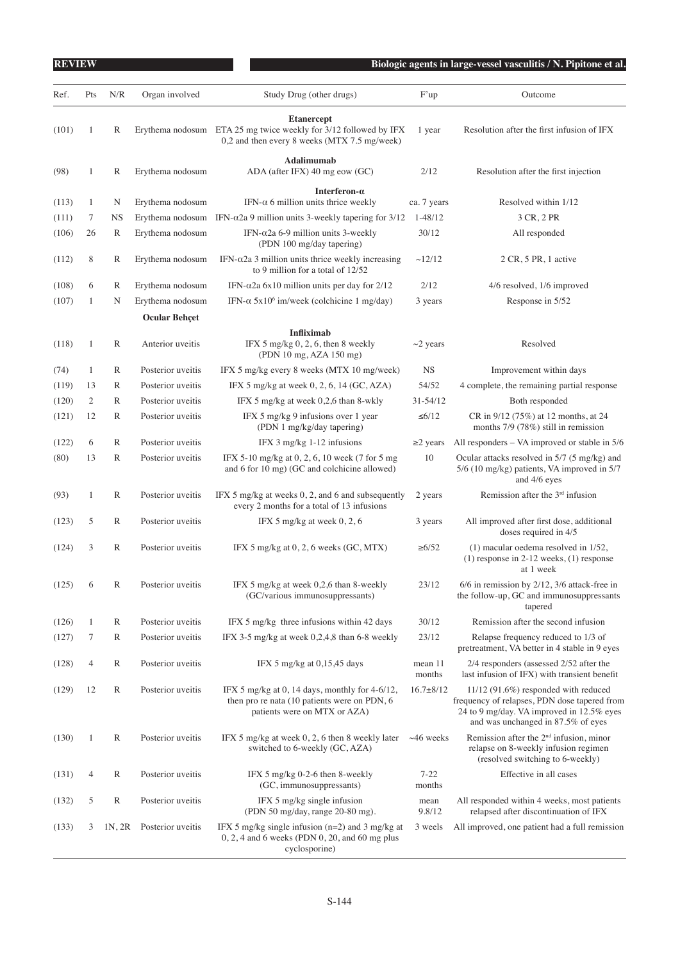| <b>REVIEW</b>  |                |              |                                      |                                                                                                                                       |                          | Biologic agents in large-vessel vasculitis / N. Pipitone et al.                                                                                                         |
|----------------|----------------|--------------|--------------------------------------|---------------------------------------------------------------------------------------------------------------------------------------|--------------------------|-------------------------------------------------------------------------------------------------------------------------------------------------------------------------|
| Ref.           | Pts            | N/R          | Organ involved                       | Study Drug (other drugs)                                                                                                              | F'up                     | Outcome                                                                                                                                                                 |
| (101)          | 1              | $\mathbb{R}$ |                                      | <b>Etanercept</b><br>Erythema nodosum ETA 25 mg twice weekly for 3/12 followed by IFX<br>0,2 and then every 8 weeks (MTX 7.5 mg/week) | 1 year                   | Resolution after the first infusion of IFX                                                                                                                              |
| (98)           | 1              | R            | Erythema nodosum                     | Adalimumab<br>ADA (after IFX) 40 mg eow (GC)                                                                                          | 2/12                     | Resolution after the first injection                                                                                                                                    |
|                |                |              |                                      | Interferon- $\alpha$                                                                                                                  |                          |                                                                                                                                                                         |
| (113)<br>(111) | 1<br>7         | N<br>NS      | Erythema nodosum<br>Erythema nodosum | IFN- $\alpha$ 6 million units thrice weekly<br>IFN- $α2a$ 9 million units 3-weekly tapering for 3/12                                  | ca. 7 years<br>$1-48/12$ | Resolved within 1/12<br>3 CR, 2 PR                                                                                                                                      |
| (106)          | 26             | R            | Erythema nodosum                     | IFN- $\alpha$ 2a 6-9 million units 3-weekly<br>(PDN 100 mg/day tapering)                                                              | 30/12                    | All responded                                                                                                                                                           |
| (112)          | 8              | R            | Erythema nodosum                     | IFN- $α2a$ 3 million units thrice weekly increasing<br>to 9 million for a total of 12/52                                              | ~12/12                   | 2 CR, 5 PR, 1 active                                                                                                                                                    |
| (108)          | 6              | R            | Erythema nodosum                     | IFN- $\alpha$ 2a 6x10 million units per day for 2/12                                                                                  | 2/12                     | 4/6 resolved, 1/6 improved                                                                                                                                              |
| (107)          | 1              | N            | Erythema nodosum                     | IFN- $\alpha$ 5x10 <sup>6</sup> im/week (colchicine 1 mg/day)                                                                         | 3 years                  | Response in 5/52                                                                                                                                                        |
|                |                |              | <b>Ocular Behçet</b>                 |                                                                                                                                       |                          |                                                                                                                                                                         |
| (118)          | $\mathbf{1}$   | R            | Anterior uveitis                     | <b>Infliximab</b><br>IFX 5 mg/kg $0, 2, 6$ , then 8 weekly<br>(PDN 10 mg, AZA 150 mg)                                                 | $\sim$ 2 years           | Resolved                                                                                                                                                                |
| (74)           | 1              | R            | Posterior uveitis                    | IFX 5 mg/kg every 8 weeks (MTX 10 mg/week)                                                                                            | <b>NS</b>                | Improvement within days                                                                                                                                                 |
| (119)          | 13             | R            | Posterior uveitis                    | IFX 5 mg/kg at week $0, 2, 6, 14$ (GC, AZA)                                                                                           | 54/52                    | 4 complete, the remaining partial response                                                                                                                              |
| (120)          | $\overline{c}$ | R            | Posterior uveitis                    | IFX 5 mg/kg at week 0,2,6 than 8-wkly                                                                                                 | 31-54/12                 | Both responded                                                                                                                                                          |
| (121)          | 12             | R            | Posterior uveitis                    | IFX 5 mg/kg 9 infusions over 1 year<br>(PDN 1 mg/kg/day tapering)                                                                     | $\leq 6/12$              | CR in 9/12 (75%) at 12 months, at 24<br>months $7/9$ (78%) still in remission                                                                                           |
| (122)          | 6              | R            | Posterior uveitis                    | IFX $3 \text{ mg/kg} 1-12$ infusions                                                                                                  | $\geq$ years             | All responders - VA improved or stable in 5/6                                                                                                                           |
| (80)           | 13             | R            | Posterior uveitis                    | IFX 5-10 mg/kg at 0, 2, 6, 10 week (7 for 5 mg)<br>and 6 for 10 mg) (GC and colchicine allowed)                                       | 10                       | Ocular attacks resolved in 5/7 (5 mg/kg) and<br>5/6 (10 mg/kg) patients, VA improved in 5/7<br>and 4/6 eyes                                                             |
| (93)           | 1              | R            | Posterior uveitis                    | IFX 5 mg/kg at weeks 0, 2, and 6 and subsequently<br>every 2 months for a total of 13 infusions                                       | 2 years                  | Remission after the $3rd$ infusion                                                                                                                                      |
| (123)          | 5              | R            | Posterior uveitis                    | IFX 5 mg/kg at week $0, 2, 6$                                                                                                         | 3 years                  | All improved after first dose, additional<br>doses required in 4/5                                                                                                      |
| (124)          | 3              | $\mathbb{R}$ | Posterior uveitis                    | IFX 5 mg/kg at $0, 2, 6$ weeks $(GC, MTX)$                                                                                            | $\geq 6/52$              | $(1)$ macular oedema resolved in $1/52$ ,<br>$(1)$ response in 2-12 weeks, $(1)$ response<br>at 1 week                                                                  |
| (125)          | 6              | $\mathbb R$  | Posterior uveitis                    | IFX 5 mg/kg at week 0,2,6 than 8-weekly<br>(GC/various immunosuppressants)                                                            | 23/12                    | $6/6$ in remission by $2/12$ , $3/6$ attack-free in<br>the follow-up, GC and immunosuppressants<br>tapered                                                              |
| (126)          | 1              | $\mathbb{R}$ | Posterior uveitis                    | IFX 5 mg/kg three infusions within 42 days                                                                                            | 30/12                    | Remission after the second infusion                                                                                                                                     |
| (127)          | 7              | R            | Posterior uveitis                    | IFX 3-5 mg/kg at week $0,2,4,8$ than 6-8 weekly                                                                                       | 23/12                    | Relapse frequency reduced to 1/3 of<br>pretreatment, VA better in 4 stable in 9 eyes                                                                                    |
| (128)          | 4              | $\mathbb{R}$ | Posterior uveitis                    | IFX 5 mg/kg at 0,15,45 days                                                                                                           | mean 11<br>months        | 2/4 responders (assessed 2/52 after the<br>last infusion of IFX) with transient benefit                                                                                 |
| (129)          | 12             | $\mathbb{R}$ | Posterior uveitis                    | IFX 5 mg/kg at 0, 14 days, monthly for $4-6/12$ ,<br>then pro re nata (10 patients were on PDN, 6<br>patients were on MTX or AZA)     | $16.7 \pm 8/12$          | 11/12 (91.6%) responded with reduced<br>frequency of relapses, PDN dose tapered from<br>24 to 9 mg/day. VA improved in 12.5% eyes<br>and was unchanged in 87.5% of eyes |
| (130)          | 1              | R            | Posterior uveitis                    | IFX 5 mg/kg at week $0, 2, 6$ then 8 weekly later<br>switched to 6-weekly (GC, AZA)                                                   | $~146$ weeks             | Remission after the $2nd$ infusion, minor<br>relapse on 8-weekly infusion regimen<br>(resolved switching to 6-weekly)                                                   |
| (131)          | 4              | $\mathbb{R}$ | Posterior uveitis                    | IFX 5 mg/kg $0-2-6$ then 8-weekly<br>(GC, immunosuppressants)                                                                         | $7 - 22$<br>months       | Effective in all cases                                                                                                                                                  |
| (132)          | 5              | $\mathbb{R}$ | Posterior uveitis                    | IFX 5 mg/kg single infusion<br>(PDN 50 mg/day, range 20-80 mg).                                                                       | mean<br>9.8/12           | All responded within 4 weeks, most patients<br>relapsed after discontinuation of IFX                                                                                    |
| (133)          | 3              |              | 1N, 2R Posterior uveitis             | IFX 5 mg/kg single infusion $(n=2)$ and 3 mg/kg at<br>$0, 2, 4$ and 6 weeks (PDN $0, 20$ , and 60 mg plus<br>cyclosporine)            | 3 weels                  | All improved, one patient had a full remission                                                                                                                          |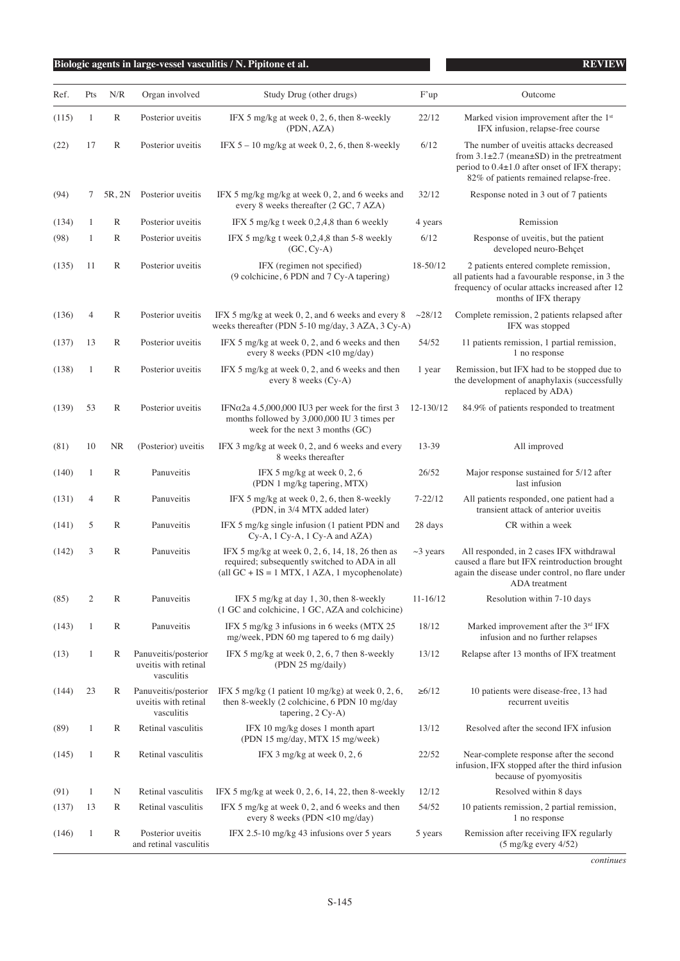| Ref.  | Pts            | N/R          | Organ involved                                             | Study Drug (other drugs)                                                                                                                             | F'up           | Outcome                                                                                                                                                                                        |
|-------|----------------|--------------|------------------------------------------------------------|------------------------------------------------------------------------------------------------------------------------------------------------------|----------------|------------------------------------------------------------------------------------------------------------------------------------------------------------------------------------------------|
| (115) | 1              | R            | Posterior uveitis                                          | IFX 5 mg/kg at week $0, 2, 6$ , then 8-weekly<br>(PDN, AZA)                                                                                          | 22/12          | Marked vision improvement after the 1 <sup>st</sup><br>IFX infusion, relapse-free course                                                                                                       |
| (22)  | 17             | R            | Posterior uveitis                                          | IFX $5 - 10$ mg/kg at week 0, 2, 6, then 8-weekly                                                                                                    | 6/12           | The number of uveitis attacks decreased<br>from $3.1\pm2.7$ (mean $\pm$ SD) in the pretreatment<br>period to $0.4\pm1.0$ after onset of IFX therapy;<br>82% of patients remained relapse-free. |
| (94)  | 7              | 5R, 2N       | Posterior uveitis                                          | IFX 5 mg/kg mg/kg at week 0, 2, and 6 weeks and<br>every 8 weeks thereafter (2 GC, 7 AZA)                                                            | 32/12          | Response noted in 3 out of 7 patients                                                                                                                                                          |
| (134) | 1              | R            | Posterior uveitis                                          | IFX 5 mg/kg t week 0.2.4.8 than 6 weekly                                                                                                             | 4 years        | Remission                                                                                                                                                                                      |
| (98)  | 1              | R            | Posterior uveitis                                          | IFX 5 mg/kg t week 0,2,4,8 than 5-8 weekly<br>$(GC, Cy-A)$                                                                                           | 6/12           | Response of uveitis, but the patient<br>developed neuro-Behçet                                                                                                                                 |
| (135) | 11             | R            | Posterior uveitis                                          | IFX (regimen not specified)<br>(9 colchicine, 6 PDN and 7 Cy-A tapering)                                                                             | 18-50/12       | 2 patients entered complete remission,<br>all patients had a favourable response, in 3 the<br>frequency of ocular attacks increased after 12<br>months of IFX therapy                          |
| (136) | 4              | R            | Posterior uveitis                                          | IFX 5 mg/kg at week 0, 2, and 6 weeks and every 8<br>weeks thereafter (PDN 5-10 mg/day, 3 AZA, 3 Cy-A)                                               | ~28/12         | Complete remission, 2 patients relapsed after<br>IFX was stopped                                                                                                                               |
| (137) | 13             | $\mathbb R$  | Posterior uveitis                                          | IFX 5 mg/kg at week 0, 2, and 6 weeks and then<br>every 8 weeks (PDN $\langle$ 10 mg/day)                                                            | 54/52          | 11 patients remission, 1 partial remission,<br>1 no response                                                                                                                                   |
| (138) | 1              | $\mathbb R$  | Posterior uveitis                                          | IFX 5 mg/kg at week 0, 2, and 6 weeks and then<br>every 8 weeks $(Cy-A)$                                                                             | 1 year         | Remission, but IFX had to be stopped due to<br>the development of anaphylaxis (successfully<br>replaced by ADA)                                                                                |
| (139) | 53             | R            | Posterior uveitis                                          | IFN $\alpha$ 2a 4.5,000,000 IU3 per week for the first 3<br>months followed by 3,000,000 IU 3 times per<br>week for the next $3$ months $(GC)$       | 12-130/12      | 84.9% of patients responded to treatment                                                                                                                                                       |
| (81)  | 10             | <b>NR</b>    | (Posterior) uveitis                                        | IFX 3 mg/kg at week 0, 2, and 6 weeks and every<br>8 weeks thereafter                                                                                | 13-39          | All improved                                                                                                                                                                                   |
| (140) | 1              | R            | Panuveitis                                                 | IFX 5 mg/kg at week $0, 2, 6$<br>(PDN 1 mg/kg tapering, MTX)                                                                                         | 26/52          | Major response sustained for 5/12 after<br>last infusion                                                                                                                                       |
| (131) | 4              | R            | Panuveitis                                                 | IFX 5 mg/kg at week $0, 2, 6$ , then 8-weekly<br>(PDN, in 3/4 MTX added later)                                                                       | $7 - 22/12$    | All patients responded, one patient had a<br>transient attack of anterior uveitis                                                                                                              |
| (141) | 5              | R            | Panuveitis                                                 | IFX 5 mg/kg single infusion (1 patient PDN and<br>Cy-A, 1 Cy-A, 1 Cy-A and AZA)                                                                      | 28 days        | CR within a week                                                                                                                                                                               |
| (142) | 3              | R            | Panuveitis                                                 | IFX 5 mg/kg at week 0, 2, 6, 14, 18, 26 then as<br>required; subsequently switched to ADA in all<br>(all $GC + IS = 1 MTX$ , 1 AZA, 1 mycophenolate) | $\sim$ 3 years | All responded, in 2 cases IFX withdrawal<br>caused a flare but IFX reintroduction brought<br>again the disease under control, no flare under<br>ADA treatment                                  |
| (85)  | $\overline{c}$ | $\mathbb R$  | Panuveitis                                                 | IFX 5 mg/kg at day 1, 30, then 8-weekly<br>(1 GC and colchicine, 1 GC, AZA and colchicine)                                                           | $11 - 16/12$   | Resolution within 7-10 days                                                                                                                                                                    |
| (143) | 1              | $\mathbb R$  | Panuveitis                                                 | IFX 5 mg/kg 3 infusions in 6 weeks (MTX 25<br>mg/week, PDN 60 mg tapered to 6 mg daily)                                                              | 18/12          | Marked improvement after the 3rd IFX<br>infusion and no further relapses                                                                                                                       |
| (13)  | 1              | R            | Panuveitis/posterior<br>uveitis with retinal<br>vasculitis | IFX 5 mg/kg at week 0, 2, 6, 7 then 8-weekly<br>(PDN 25 mg/daily)                                                                                    | 13/12          | Relapse after 13 months of IFX treatment                                                                                                                                                       |
| (144) | 23             | R            | Panuveitis/posterior<br>uveitis with retinal<br>vasculitis | IFX 5 mg/kg $(1$ patient 10 mg/kg) at week $0, 2, 6$ ,<br>then 8-weekly (2 colchicine, 6 PDN 10 mg/day<br>tapering, 2 Cy-A)                          | $\geq 6/12$    | 10 patients were disease-free, 13 had<br>recurrent uveitis                                                                                                                                     |
| (89)  | 1              | R            | Retinal vasculitis                                         | IFX 10 mg/kg doses 1 month apart<br>(PDN 15 mg/day, MTX 15 mg/week)                                                                                  | 13/12          | Resolved after the second IFX infusion                                                                                                                                                         |
| (145) | 1              | $\mathbb R$  | Retinal vasculitis                                         | IFX 3 mg/kg at week $0, 2, 6$                                                                                                                        | 22/52          | Near-complete response after the second<br>infusion, IFX stopped after the third infusion<br>because of pyomyositis                                                                            |
| (91)  | $\mathbf{1}$   | N            | Retinal vasculitis                                         | IFX 5 mg/kg at week $0, 2, 6, 14, 22$ , then 8-weekly                                                                                                | 12/12          | Resolved within 8 days                                                                                                                                                                         |
| (137) | 13             | R            | Retinal vasculitis                                         | IFX 5 mg/kg at week 0, 2, and 6 weeks and then<br>every 8 weeks (PDN <10 mg/day)                                                                     | 54/52          | 10 patients remission, 2 partial remission,<br>1 no response                                                                                                                                   |
| (146) | $\mathbf{1}$   | $\mathbb{R}$ | Posterior uveitis<br>and retinal vasculitis                | IFX 2.5-10 mg/kg 43 infusions over 5 years                                                                                                           | 5 years        | Remission after receiving IFX regularly<br>$(5 \text{ mg/kg}$ every $4/52)$                                                                                                                    |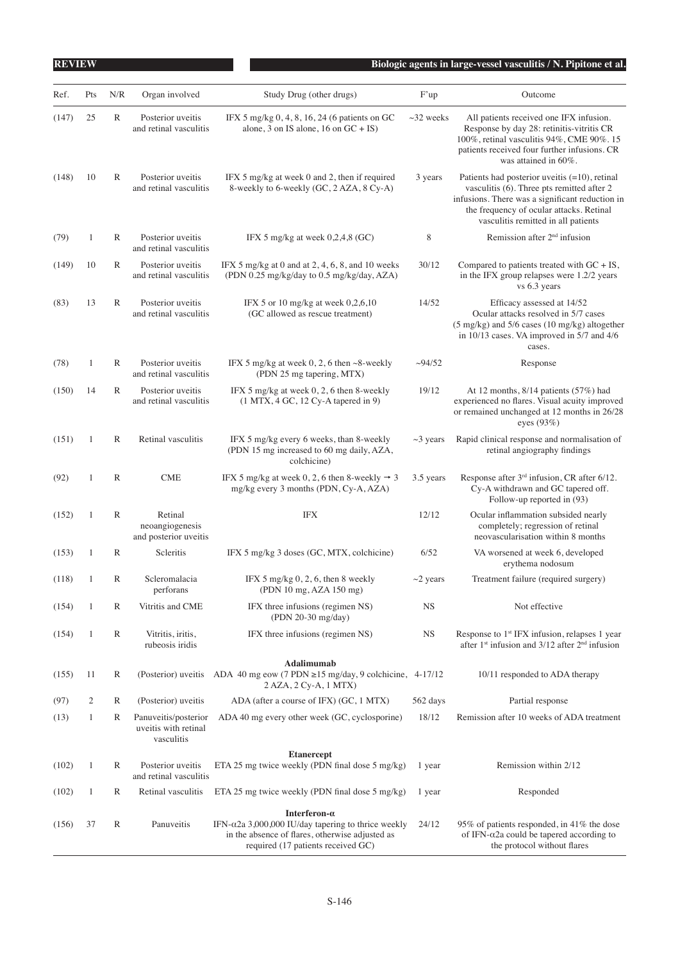| <b>REVIEW</b> |              |              |                                                            |                                                                                                                                                      |                 | Biologic agents in large-vessel vasculitis / N. Pipitone et al.                                                                                                                                                                      |
|---------------|--------------|--------------|------------------------------------------------------------|------------------------------------------------------------------------------------------------------------------------------------------------------|-----------------|--------------------------------------------------------------------------------------------------------------------------------------------------------------------------------------------------------------------------------------|
| Ref.          | Pts          | N/R          | Organ involved                                             | Study Drug (other drugs)                                                                                                                             | F'up            | Outcome                                                                                                                                                                                                                              |
| (147)         | 25           | R            | Posterior uveitis<br>and retinal vasculitis                | IFX 5 mg/kg 0, 4, 8, 16, 24 (6 patients on GC<br>alone, 3 on IS alone, 16 on $GC + IS$ )                                                             | $\sim$ 32 weeks | All patients received one IFX infusion.<br>Response by day 28: retinitis-vitritis CR<br>100%, retinal vasculitis 94%, CME 90%. 15<br>patients received four further infusions. CR<br>was attained in 60%.                            |
| (148)         | 10           | $\mathbb{R}$ | Posterior uveitis<br>and retinal vasculitis                | IFX 5 mg/kg at week 0 and 2, then if required<br>8-weekly to 6-weekly (GC, 2 AZA, 8 Cy-A)                                                            | 3 years         | Patients had posterior uveitis $(=10)$ , retinal<br>vasculitis (6). Three pts remitted after 2<br>infusions. There was a significant reduction in<br>the frequency of ocular attacks. Retinal<br>vasculitis remitted in all patients |
| (79)          | $\mathbf{1}$ | R            | Posterior uveitis<br>and retinal vasculitis                | IFX 5 mg/kg at week $0,2,4,8$ (GC)                                                                                                                   | 8               | Remission after $2nd$ infusion                                                                                                                                                                                                       |
| (149)         | 10           | R            | Posterior uveitis<br>and retinal vasculitis                | IFX 5 mg/kg at 0 and at $2, 4, 6, 8$ , and 10 weeks<br>(PDN 0.25 mg/kg/day to 0.5 mg/kg/day, AZA)                                                    | 30/12           | Compared to patients treated with $GC + IS$ ,<br>in the IFX group relapses were 1.2/2 years<br>vs 6.3 years                                                                                                                          |
| (83)          | 13           | $\mathbb{R}$ | Posterior uveitis<br>and retinal vasculitis                | IFX 5 or 10 mg/kg at week $0,2,6,10$<br>(GC allowed as rescue treatment)                                                                             | 14/52           | Efficacy assessed at 14/52<br>Ocular attacks resolved in 5/7 cases<br>(5 mg/kg) and 5/6 cases (10 mg/kg) altogether<br>in $10/13$ cases. VA improved in $5/7$ and $4/6$<br>cases.                                                    |
| (78)          | $\mathbf{1}$ | R            | Posterior uveitis<br>and retinal vasculitis                | IFX 5 mg/kg at week 0, 2, 6 then $\sim$ 8-weekly<br>(PDN 25 mg tapering, MTX)                                                                        | $\sim$ 94/52    | Response                                                                                                                                                                                                                             |
| (150)         | 14           | $\mathbb{R}$ | Posterior uveitis<br>and retinal vasculitis                | IFX 5 mg/kg at week 0, 2, 6 then 8-weekly<br>$(1 MTX, 4 GC, 12 Cy-A$ tapered in 9)                                                                   | 19/12           | At 12 months, 8/14 patients (57%) had<br>experienced no flares. Visual acuity improved<br>or remained unchanged at 12 months in 26/28<br>eyes $(93%)$                                                                                |
| (151)         | 1            | R            | Retinal vasculitis                                         | IFX 5 mg/kg every 6 weeks, than 8-weekly<br>(PDN 15 mg increased to 60 mg daily, AZA,<br>colchicine)                                                 | $\sim$ 3 years  | Rapid clinical response and normalisation of<br>retinal angiography findings                                                                                                                                                         |
| (92)          | $\mathbf{1}$ | $\mathbb{R}$ | <b>CME</b>                                                 | IFX 5 mg/kg at week 0, 2, 6 then 8-weekly $\rightarrow$ 3<br>mg/kg every 3 months (PDN, Cy-A, AZA)                                                   | 3.5 years       | Response after 3 <sup>rd</sup> infusion, CR after 6/12.<br>Cy-A withdrawn and GC tapered off.<br>Follow-up reported in (93)                                                                                                          |
| (152)         | 1            | $\mathbb{R}$ | Retinal<br>neoangiogenesis<br>and posterior uveitis        | <b>IFX</b>                                                                                                                                           | 12/12           | Ocular inflammation subsided nearly<br>completely; regression of retinal<br>neovascularisation within 8 months                                                                                                                       |
| (153)         | 1            | R            | Scleritis                                                  | IFX 5 mg/kg 3 doses (GC, MTX, colchicine)                                                                                                            | 6/52            | VA worsened at week 6, developed<br>erythema nodosum                                                                                                                                                                                 |
| (118)         | $\mathbf{1}$ | $\mathbb R$  | Scleromalacia<br>perforans                                 | IFX 5 mg/kg $0, 2, 6$ , then 8 weekly<br>(PDN 10 mg, AZA 150 mg)                                                                                     | $\sim$ 2 years  | Treatment failure (required surgery)                                                                                                                                                                                                 |
| (154)         | 1            | R            | Vitritis and CME                                           | IFX three infusions (regimen NS)<br>(PDN 20-30 mg/day)                                                                                               | <b>NS</b>       | Not effective                                                                                                                                                                                                                        |
| (154)         | $\mathbf{1}$ | R            | Vitritis, iritis,<br>rubeosis iridis                       | IFX three infusions (regimen NS)                                                                                                                     | <b>NS</b>       | Response to $1st IFX$ infusion, relapses 1 year<br>after $1st$ infusion and $3/12$ after $2nd$ infusion                                                                                                                              |
|               |              |              |                                                            | Adalimumab                                                                                                                                           |                 |                                                                                                                                                                                                                                      |
| (155)         | 11           | R            | (Posterior) uveitis                                        | ADA 40 mg eow (7 PDN $\geq$ 15 mg/day, 9 colchicine, 4-17/12<br>2 AZA, 2 Cy-A, 1 MTX)                                                                |                 | 10/11 responded to ADA therapy                                                                                                                                                                                                       |
| (97)          | 2            | R            | (Posterior) uveitis                                        | ADA (after a course of IFX) (GC, 1 MTX)                                                                                                              | 562 days        | Partial response                                                                                                                                                                                                                     |
| (13)          | 1            | R            | Panuveitis/posterior<br>uveitis with retinal<br>vasculitis | ADA 40 mg every other week (GC, cyclosporine)                                                                                                        | 18/12           | Remission after 10 weeks of ADA treatment                                                                                                                                                                                            |
| (102)         | 1            | R            | Posterior uveitis<br>and retinal vasculitis                | <b>Etanercept</b><br>ETA 25 mg twice weekly (PDN final dose 5 mg/kg)                                                                                 | 1 year          | Remission within 2/12                                                                                                                                                                                                                |
| (102)         | 1            | R            | Retinal vasculitis                                         | ETA 25 mg twice weekly (PDN final dose 5 mg/kg)                                                                                                      | 1 year          | Responded                                                                                                                                                                                                                            |
|               |              |              |                                                            | Interferon- $\alpha$                                                                                                                                 |                 |                                                                                                                                                                                                                                      |
| (156)         | 37           | $\mathbb{R}$ | Panuveitis                                                 | IFN- $\alpha$ 2a 3,000,000 IU/day tapering to thrice weekly<br>in the absence of flares, otherwise adjusted as<br>required (17 patients received GC) | 24/12           | 95% of patients responded, in 41% the dose<br>of IFN- $\alpha$ 2a could be tapered according to<br>the protocol without flares                                                                                                       |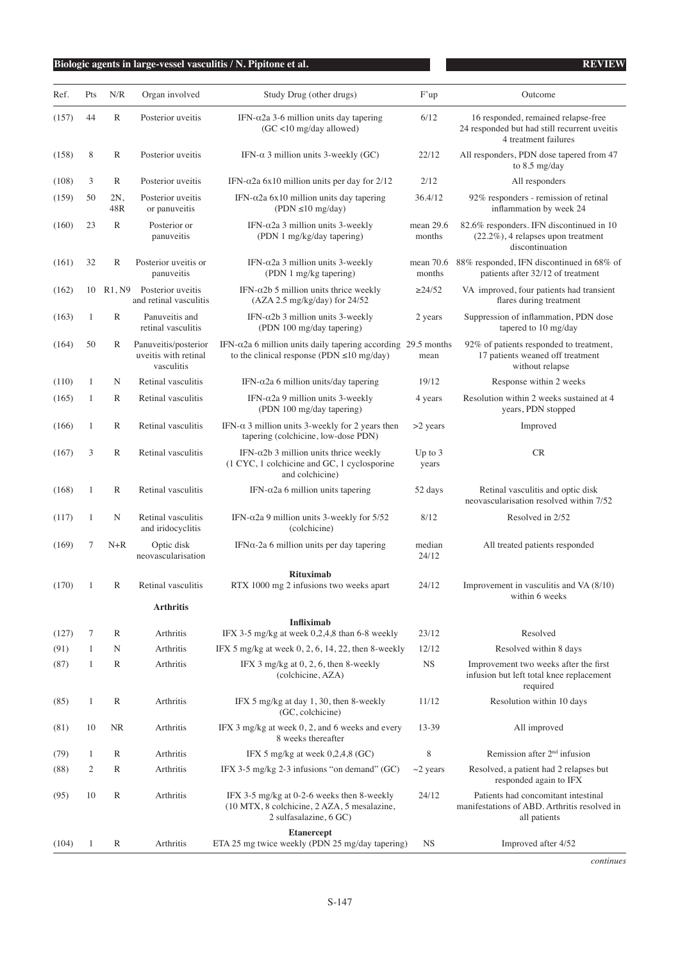| Ref.<br>(157)<br>(158) | Pts<br>44    | N/R<br>R     | Organ involved<br>Posterior uveitis                        | Study Drug (other drugs)                                                                                                 | F'up                  | Outcome                                                                                                     |
|------------------------|--------------|--------------|------------------------------------------------------------|--------------------------------------------------------------------------------------------------------------------------|-----------------------|-------------------------------------------------------------------------------------------------------------|
|                        |              |              |                                                            |                                                                                                                          |                       |                                                                                                             |
|                        |              |              |                                                            | IFN- $α$ 2a 3-6 million units day tapering<br>(GC <10 mg/day allowed)                                                    | 6/12                  | 16 responded, remained relapse-free<br>24 responded but had still recurrent uveitis<br>4 treatment failures |
|                        | 8            | R            | Posterior uveitis                                          | IFN- $\alpha$ 3 million units 3-weekly (GC)                                                                              | 22/12                 | All responders, PDN dose tapered from 47<br>to $8.5 \text{ mg/day}$                                         |
| (108)                  | 3            | R            | Posterior uveitis                                          | IFN- $\alpha$ 2a 6x10 million units per day for 2/12                                                                     | 2/12                  | All responders                                                                                              |
| (159)                  | 50           | 2N.<br>48R   | Posterior uveitis<br>or panuveitis                         | IFN- $\alpha$ 2a 6x10 million units day tapering<br>$( PDN \le 10 \text{ mg/day})$                                       | 36.4/12               | 92% responders - remission of retinal<br>inflammation by week 24                                            |
| (160)                  | 23           | $\mathbb{R}$ | Posterior or<br>panuveitis                                 | IFN- $\alpha$ 2a 3 million units 3-weekly<br>(PDN 1 mg/kg/day tapering)                                                  | mean 29.6<br>months   | 82.6% responders. IFN discontinued in 10<br>$(22.2\%)$ , 4 relapses upon treatment<br>discontinuation       |
| (161)                  | 32           | $\mathbb{R}$ | Posterior uveitis or<br>panuveitis                         | IFN- $\alpha$ 2a 3 million units 3-weekly<br>(PDN 1 mg/kg tapering)                                                      | mean $70.6$<br>months | 88% responded, IFN discontinued in 68% of<br>patients after 32/12 of treatment                              |
| (162)                  | 10           |              | R1, N9 Posterior uveitis<br>and retinal vasculitis         | IFN- $\alpha$ 2b 5 million units thrice weekly<br>(AZA 2.5 mg/kg/day) for 24/52                                          | $\geq$ 24/52          | VA improved, four patients had transient<br>flares during treatment                                         |
| (163)                  | 1            | R            | Panuveitis and<br>retinal vasculitis                       | IFN- $\alpha$ 2b 3 million units 3-weekly<br>(PDN 100 mg/day tapering)                                                   | 2 years               | Suppression of inflammation, PDN dose<br>tapered to 10 mg/day                                               |
| (164)                  | 50           | R            | Panuveitis/posterior<br>uveitis with retinal<br>vasculitis | IFN- $\alpha$ 2a 6 million units daily tapering according 29.5 months<br>to the clinical response (PDN $\leq$ 10 mg/day) | mean                  | 92% of patients responded to treatment,<br>17 patients weaned off treatment<br>without relapse              |
| (110)                  | $\mathbf{1}$ | N            | Retinal vasculitis                                         | IFN- $\alpha$ 2a 6 million units/day tapering                                                                            | 19/12                 | Response within 2 weeks                                                                                     |
| (165)                  | 1            | R            | Retinal vasculitis                                         | IFN- $\alpha$ 2a 9 million units 3-weekly<br>(PDN 100 mg/day tapering)                                                   | 4 years               | Resolution within 2 weeks sustained at 4<br>years, PDN stopped                                              |
| (166)                  | 1            | R            | Retinal vasculitis                                         | IFN- $\alpha$ 3 million units 3-weekly for 2 years then<br>tapering (colchicine, low-dose PDN)                           | $>2$ years            | Improved                                                                                                    |
| (167)                  | 3            | R            | Retinal vasculitis                                         | IFN- $\alpha$ 2b 3 million units thrice weekly<br>(1 CYC, 1 colchicine and GC, 1 cyclosporine<br>and colchicine)         | Up to $3$<br>years    | CR                                                                                                          |
| (168)                  | 1            | R            | Retinal vasculitis                                         | IFN- $\alpha$ 2a 6 million units tapering                                                                                | 52 days               | Retinal vasculitis and optic disk<br>neovascularisation resolved within 7/52                                |
| (117)                  | 1            | N            | Retinal vasculitis<br>and iridocyclitis                    | IFN- $\alpha$ 2a 9 million units 3-weekly for 5/52<br>(colchicine)                                                       | 8/12                  | Resolved in 2/52                                                                                            |
| (169)                  | 7            | $N+R$        | Optic disk<br>neovascularisation                           | IFNα-2a 6 million units per day tapering                                                                                 | median<br>24/12       | All treated patients responded                                                                              |
| (170)                  | $\mathbf{1}$ | R            | Retinal vasculitis                                         | <b>Rituximab</b><br>RTX 1000 mg 2 infusions two weeks apart                                                              | 24/12                 | Improvement in vasculitis and VA (8/10)<br>within 6 weeks                                                   |
|                        |              |              | <b>Arthritis</b>                                           |                                                                                                                          |                       |                                                                                                             |
| (127)                  | 7            | R            | Arthritis                                                  | <b>Infliximab</b><br>IFX 3-5 mg/kg at week $0,2,4,8$ than 6-8 weekly                                                     | 23/12                 | Resolved                                                                                                    |
| (91)                   | 1            | N            | Arthritis                                                  | IFX 5 mg/kg at week $0, 2, 6, 14, 22$ , then 8-weekly                                                                    | 12/12                 | Resolved within 8 days                                                                                      |
| (87)                   | 1            | R            | Arthritis                                                  | IFX $3 \text{ mg/kg}$ at $0, 2, 6$ , then $8$ -weekly<br>(colchicine, AZA)                                               | $_{\rm NS}$           | Improvement two weeks after the first<br>infusion but left total knee replacement<br>required               |
| (85)                   | 1            | R            | Arthritis                                                  | IFX 5 mg/kg at day 1, 30, then 8-weekly<br>(GC, colchicine)                                                              | 11/12                 | Resolution within 10 days                                                                                   |
| (81)                   | 10           | <b>NR</b>    | Arthritis                                                  | IFX 3 mg/kg at week 0, 2, and 6 weeks and every<br>8 weeks thereafter                                                    | 13-39                 | All improved                                                                                                |
| (79)                   | $\mathbf{1}$ | R            | Arthritis                                                  | IFX 5 mg/kg at week $0,2,4,8$ (GC)                                                                                       | 8                     | Remission after $2nd$ infusion                                                                              |
| (88)                   | 2            | R            | Arthritis                                                  | IFX 3-5 mg/kg 2-3 infusions "on demand" $(GC)$                                                                           | $\sim$ 2 years        | Resolved, a patient had 2 relapses but<br>responded again to IFX                                            |
| (95)                   | 10           | R            | Arthritis                                                  | IFX 3-5 mg/kg at 0-2-6 weeks then 8-weekly<br>(10 MTX, 8 colchicine, 2 AZA, 5 mesalazine,<br>2 sulfasalazine, 6 GC)      | 24/12                 | Patients had concomitant intestinal<br>manifestations of ABD. Arthritis resolved in<br>all patients         |
| (104)                  | 1            | R            | Arthritis                                                  | <b>Etanercept</b><br>ETA 25 mg twice weekly (PDN 25 mg/day tapering)                                                     | <b>NS</b>             | Improved after 4/52                                                                                         |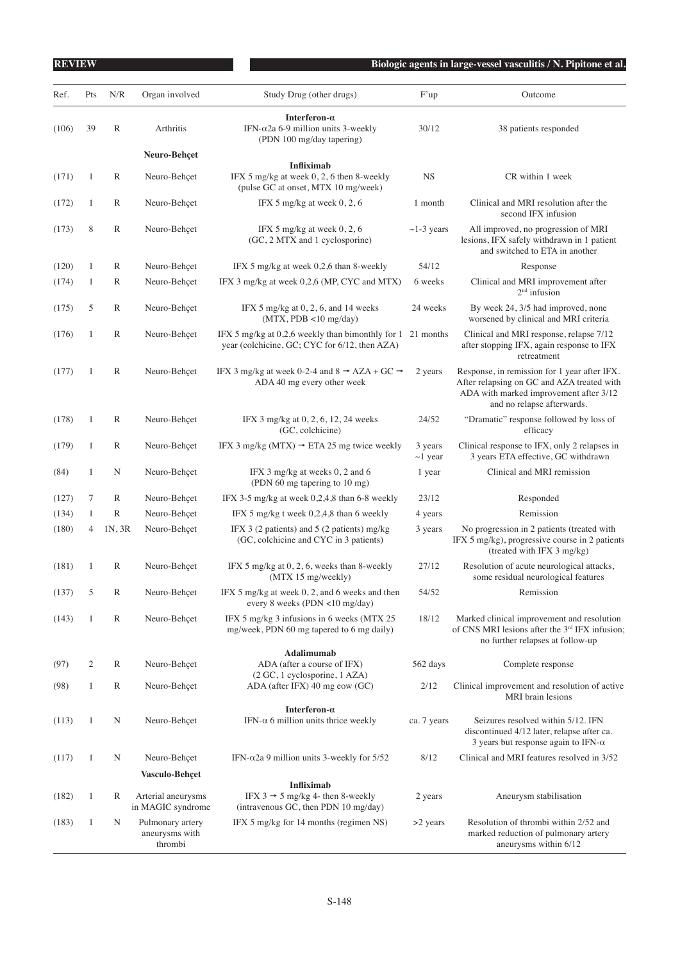| Ref.  | Pts            | N/R          | Organ involved                                | Study Drug (other drugs)                                                                                  | F'up                     | Outcome                                                                                                                                                            |
|-------|----------------|--------------|-----------------------------------------------|-----------------------------------------------------------------------------------------------------------|--------------------------|--------------------------------------------------------------------------------------------------------------------------------------------------------------------|
| (106) | 39             | R            | Arthritis                                     | Interferon- $\alpha$<br>IFN- $\alpha$ 2a 6-9 million units 3-weekly<br>(PDN 100 mg/day tapering)          | 30/12                    | 38 patients responded                                                                                                                                              |
|       |                |              | Neuro-Behçet                                  |                                                                                                           |                          |                                                                                                                                                                    |
| (171) | 1              | R            | Neuro-Behçet                                  | <b>Infliximab</b><br>IFX 5 mg/kg at week 0, 2, 6 then 8-weekly<br>(pulse GC at onset, MTX 10 mg/week)     | <b>NS</b>                | CR within 1 week                                                                                                                                                   |
| (172) | 1              | R            | Neuro-Behçet                                  | IFX 5 mg/kg at week $0, 2, 6$                                                                             | 1 month                  | Clinical and MRI resolution after the<br>second IFX infusion                                                                                                       |
| (173) | 8              | $\mathbb{R}$ | Neuro-Behçet                                  | IFX 5 mg/kg at week $0, 2, 6$<br>(GC, 2 MTX and 1 cyclosporine)                                           | $\sim$ 1-3 years         | All improved, no progression of MRI<br>lesions, IFX safely withdrawn in 1 patient<br>and switched to ETA in another                                                |
| (120) | $\mathbf{1}$   | R            | Neuro-Behçet                                  | IFX 5 mg/kg at week 0,2,6 than 8-weekly                                                                   | 54/12                    | Response                                                                                                                                                           |
| (174) | $\mathbf{1}$   | $\mathbb{R}$ | Neuro-Behçet                                  | IFX 3 mg/kg at week 0,2,6 (MP, CYC and MTX)                                                               | 6 weeks                  | Clinical and MRI improvement after<br>$2nd$ infusion                                                                                                               |
| (175) | 5              | R            | Neuro-Behçet                                  | IFX 5 mg/kg at $0, 2, 6$ , and 14 weeks<br>$(MTX, PDB < 10$ mg/day)                                       | 24 weeks                 | By week 24, 3/5 had improved, none<br>worsened by clinical and MRI criteria                                                                                        |
| (176) | 1              | R            | Neuro-Behçet                                  | IFX 5 mg/kg at 0,2,6 weekly than bimonthly for 1<br>year (colchicine, GC; CYC for 6/12, then AZA)         | 21 months                | Clinical and MRI response, relapse 7/12<br>after stopping IFX, again response to IFX<br>retreatment                                                                |
| (177) | $\mathbf{1}$   | $\mathbb{R}$ | Neuro-Behçet                                  | IFX 3 mg/kg at week 0-2-4 and 8 $\rightarrow$ AZA + GC $\rightarrow$<br>ADA 40 mg every other week        | 2 years                  | Response, in remission for 1 year after IFX.<br>After relapsing on GC and AZA treated with<br>ADA with marked improvement after 3/12<br>and no relapse afterwards. |
| (178) | $\mathbf{1}$   | R            | Neuro-Behçet                                  | IFX 3 mg/kg at 0, 2, 6, 12, 24 weeks<br>(GC, colchicine)                                                  | 24/52                    | "Dramatic" response followed by loss of<br>efficacy                                                                                                                |
| (179) | 1              | R            | Neuro-Behçet                                  | IFX 3 mg/kg (MTX) $\rightarrow$ ETA 25 mg twice weekly                                                    | 3 years<br>$\sim$ 1 year | Clinical response to IFX, only 2 relapses in<br>3 years ETA effective, GC withdrawn                                                                                |
| (84)  | $\mathbf{1}$   | N            | Neuro-Behçet                                  | IFX 3 mg/kg at weeks 0, 2 and 6<br>(PDN 60 mg tapering to 10 mg)                                          | 1 year                   | Clinical and MRI remission                                                                                                                                         |
| (127) | 7              | R            | Neuro-Behçet                                  | IFX 3-5 mg/kg at week 0,2,4,8 than 6-8 weekly                                                             | 23/12                    | Responded                                                                                                                                                          |
| (134) | 1              | $\mathbb{R}$ | Neuro-Behçet                                  | IFX 5 mg/kg t week 0,2,4,8 than 6 weekly                                                                  | 4 years                  | Remission                                                                                                                                                          |
| (180) | 4              | 1N, 3R       | Neuro-Behçet                                  | IFX 3 (2 patients) and 5 (2 patients) $mg/kg$<br>(GC, colchicine and CYC in 3 patients)                   | 3 years                  | No progression in 2 patients (treated with<br>IFX 5 mg/kg), progressive course in 2 patients<br>(treated with IFX 3 mg/kg)                                         |
| (181) | 1              | R            | Neuro-Behçet                                  | IFX 5 mg/kg at 0, 2, 6, weeks than 8-weekly<br>(MTX 15 mg/weekly)                                         | 27/12                    | Resolution of acute neurological attacks,<br>some residual neurological features                                                                                   |
| (137) | 5              | R            | Neuro-Behçet                                  | IFX 5 mg/kg at week 0, 2, and 6 weeks and then<br>every 8 weeks (PDN <10 mg/day)                          | 54/52                    | Remission                                                                                                                                                          |
| (143) | $\mathbf{1}$   | R            | Neuro-Behçet                                  | IFX 5 mg/kg 3 infusions in 6 weeks (MTX 25<br>mg/week, PDN 60 mg tapered to 6 mg daily)                   | 18/12                    | Marked clinical improvement and resolution<br>of CNS MRI lesions after the 3 <sup>rd</sup> IFX infusion;<br>no further relapses at follow-up                       |
|       |                |              |                                               | Adalimumab                                                                                                |                          |                                                                                                                                                                    |
| (97)  | $\mathfrak{2}$ | R            | Neuro-Behçet                                  | ADA (after a course of IFX)<br>(2 GC, 1 cyclosporine, 1 AZA)                                              | 562 days                 | Complete response                                                                                                                                                  |
| (98)  | $\mathbf{1}$   | $\mathbb R$  | Neuro-Behçet                                  | ADA (after IFX) 40 mg eow (GC)                                                                            | 2/12                     | Clinical improvement and resolution of active<br>MRI brain lesions                                                                                                 |
| (113) | 1              | N            | Neuro-Behçet                                  | Interferon- $\alpha$<br>IFN- $\alpha$ 6 million units thrice weekly                                       | ca. 7 years              | Seizures resolved within 5/12. IFN<br>discontinued 4/12 later, relapse after ca.<br>3 years but response again to IFN- $\alpha$                                    |
| (117) | $\mathbf{1}$   | N            | Neuro-Behçet                                  | IFN- $α2a$ 9 million units 3-weekly for 5/52                                                              | 8/12                     | Clinical and MRI features resolved in 3/52                                                                                                                         |
|       |                |              | Vasculo-Behçet                                |                                                                                                           |                          |                                                                                                                                                                    |
| (182) | $\mathbf{1}$   | R            | Arterial aneurysms<br>in MAGIC syndrome       | <b>Infliximab</b><br>IFX 3 $\rightarrow$ 5 mg/kg 4- then 8-weekly<br>(intravenous GC, then PDN 10 mg/day) | 2 years                  | Aneurysm stabilisation                                                                                                                                             |
| (183) | 1              | N            | Pulmonary artery<br>aneurysms with<br>thrombi | IFX 5 mg/kg for 14 months (regimen $NS$ )                                                                 | >2 years                 | Resolution of thrombi within 2/52 and<br>marked reduction of pulmonary artery<br>aneurysms within 6/12                                                             |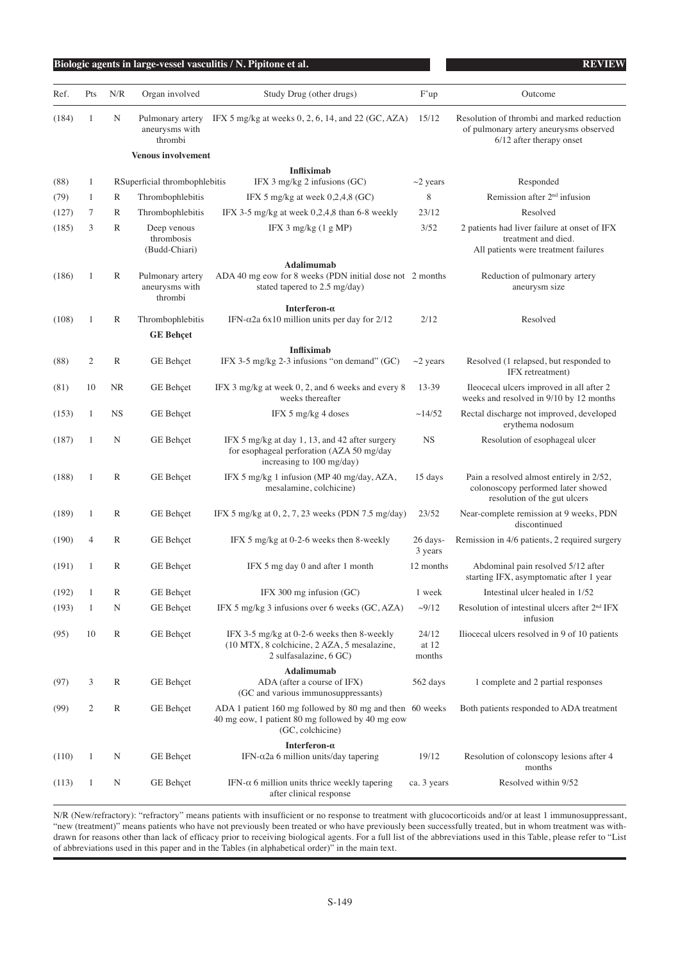| Ref.  | Pts | N/R          | Organ involved                                | Study Drug (other drugs)                                                                                                         | F'up                     | Outcome                                                                                                          |
|-------|-----|--------------|-----------------------------------------------|----------------------------------------------------------------------------------------------------------------------------------|--------------------------|------------------------------------------------------------------------------------------------------------------|
| (184) | 1   | N            | Pulmonary artery<br>aneurysms with<br>thrombi | IFX 5 mg/kg at weeks $0, 2, 6, 14$ , and $22$ (GC, AZA)                                                                          | 15/12                    | Resolution of thrombi and marked reduction<br>of pulmonary artery aneurysms observed<br>6/12 after therapy onset |
|       |     |              | <b>Venous involvement</b>                     |                                                                                                                                  |                          |                                                                                                                  |
| (88)  | 1   |              | RSuperficial thrombophlebitis                 | <b>Infliximab</b><br>IFX $3 \text{ mg/kg}$ 2 infusions (GC)                                                                      | $\sim$ 2 years           | Responded                                                                                                        |
| (79)  | 1   | R            | Thrombophlebitis                              | IFX 5 mg/kg at week $0,2,4,8$ (GC)                                                                                               | 8                        | Remission after $2nd$ infusion                                                                                   |
| (127) | 7   | $\mathbb{R}$ | Thrombophlebitis                              | IFX 3-5 mg/kg at week $0,2,4,8$ than 6-8 weekly                                                                                  | 23/12                    | Resolved                                                                                                         |
| (185) | 3   | $\mathbb{R}$ | Deep venous<br>thrombosis<br>(Budd-Chiari)    | IFX $3 \text{ mg/kg}$ (1 g MP)                                                                                                   | 3/52                     | 2 patients had liver failure at onset of IFX<br>treatment and died.<br>All patients were treatment failures      |
|       |     |              |                                               | Adalimumab                                                                                                                       |                          |                                                                                                                  |
| (186) | 1   | R            | Pulmonary artery<br>aneurysms with<br>thrombi | ADA 40 mg eow for 8 weeks (PDN initial dose not 2 months<br>stated tapered to 2.5 mg/day)                                        |                          | Reduction of pulmonary artery<br>aneurysm size                                                                   |
| (108) | 1   | R            | Thrombophlebitis                              | Interferon- $\alpha$<br>IFN- $\alpha$ 2a 6x10 million units per day for 2/12                                                     | 2/12                     | Resolved                                                                                                         |
|       |     |              | <b>GE Behçet</b>                              |                                                                                                                                  |                          |                                                                                                                  |
| (88)  | 2   | $\mathbb{R}$ | GE Behçet                                     | <b>Infliximab</b><br>IFX 3-5 mg/kg 2-3 infusions "on demand" (GC)                                                                | $\sim$ 2 years           | Resolved (1 relapsed, but responded to<br>IFX retreatment)                                                       |
| (81)  | 10  | <b>NR</b>    | GE Behçet                                     | IFX 3 mg/kg at week 0, 2, and 6 weeks and every 8<br>weeks thereafter                                                            | 13-39                    | Ileocecal ulcers improved in all after 2<br>weeks and resolved in 9/10 by 12 months                              |
| (153) | 1   | <b>NS</b>    | GE Behçet                                     | IFX 5 mg/kg 4 doses                                                                                                              | ~14/52                   | Rectal discharge not improved, developed<br>erythema nodosum                                                     |
| (187) | 1   | N            | GE Behçet                                     | IFX 5 mg/kg at day 1, 13, and 42 after surgery<br>for esophageal perforation (AZA 50 mg/day<br>increasing to 100 mg/day)         | <b>NS</b>                | Resolution of esophageal ulcer                                                                                   |
| (188) | 1   | $\mathbb{R}$ | GE Behçet                                     | IFX 5 mg/kg 1 infusion (MP 40 mg/day, AZA,<br>mesalamine, colchicine)                                                            | 15 days                  | Pain a resolved almost entirely in 2/52,<br>colonoscopy performed later showed<br>resolution of the gut ulcers   |
| (189) | 1   | $\mathbb{R}$ | GE Behçet                                     | IFX 5 mg/kg at $0, 2, 7, 23$ weeks (PDN 7.5 mg/day)                                                                              | 23/52                    | Near-complete remission at 9 weeks, PDN<br>discontinued                                                          |
| (190) | 4   | $\mathbb{R}$ | GE Behçet                                     | IFX 5 mg/kg at 0-2-6 weeks then 8-weekly                                                                                         | $26$ days-<br>3 years    | Remission in 4/6 patients, 2 required surgery                                                                    |
| (191) | 1   | $\mathbb{R}$ | <b>GE</b> Behçet                              | IFX 5 mg day 0 and after 1 month                                                                                                 | 12 months                | Abdominal pain resolved 5/12 after<br>starting IFX, asymptomatic after 1 year                                    |
| (192) | 1   | R            | GE Behçet                                     | IFX 300 mg infusion (GC)                                                                                                         | 1 week                   | Intestinal ulcer healed in 1/52                                                                                  |
| (193) | 1   | N            | GE Behçet                                     | IFX 5 mg/kg 3 infusions over 6 weeks (GC, AZA)                                                                                   | $-9/12$                  | Resolution of intestinal ulcers after 2 <sup>nd</sup> IFX<br>infusion                                            |
| (95)  | 10  | $\mathbb{R}$ | <b>GE</b> Behçet                              | IFX 3-5 mg/kg at 0-2-6 weeks then 8-weekly<br>(10 MTX, 8 colchicine, 2 AZA, 5 mesalazine,<br>2 sulfasalazine, 6 GC)              | 24/12<br>at 12<br>months | Iliocecal ulcers resolved in 9 of 10 patients                                                                    |
|       |     |              |                                               | Adalimumab                                                                                                                       |                          |                                                                                                                  |
| (97)  | 3   | R            | GE Behçet                                     | ADA (after a course of IFX)<br>(GC and various immunosuppressants)                                                               | 562 days                 | 1 complete and 2 partial responses                                                                               |
| (99)  | 2   | $\mathbb{R}$ | GE Behçet                                     | ADA 1 patient 160 mg followed by 80 mg and then 60 weeks<br>40 mg eow, 1 patient 80 mg followed by 40 mg eow<br>(GC, colchicine) |                          | Both patients responded to ADA treatment                                                                         |
| (110) | 1   | N            | GE Behçet                                     | Interferon- $\alpha$<br>IFN- $\alpha$ 2a 6 million units/day tapering                                                            | 19/12                    | Resolution of colonscopy lesions after 4<br>months                                                               |
| (113) | 1   | N            | GE Behçet                                     | IFN- $\alpha$ 6 million units thrice weekly tapering<br>after clinical response                                                  | ca. 3 years              | Resolved within 9/52                                                                                             |

N/R (New/refractory): "refractory" means patients with insufficient or no response to treatment with glucocorticoids and/or at least 1 immunosuppressant, "new (treatment)" means patients who have not previously been treated or who have previously been successfully treated, but in whom treatment was withdrawn for reasons other than lack of efficacy prior to receiving biological agents. For a full list of the abbreviations used in this Table, please refer to "List of abbreviations used in this paper and in the Tables (in alphabetical order)" in the main text.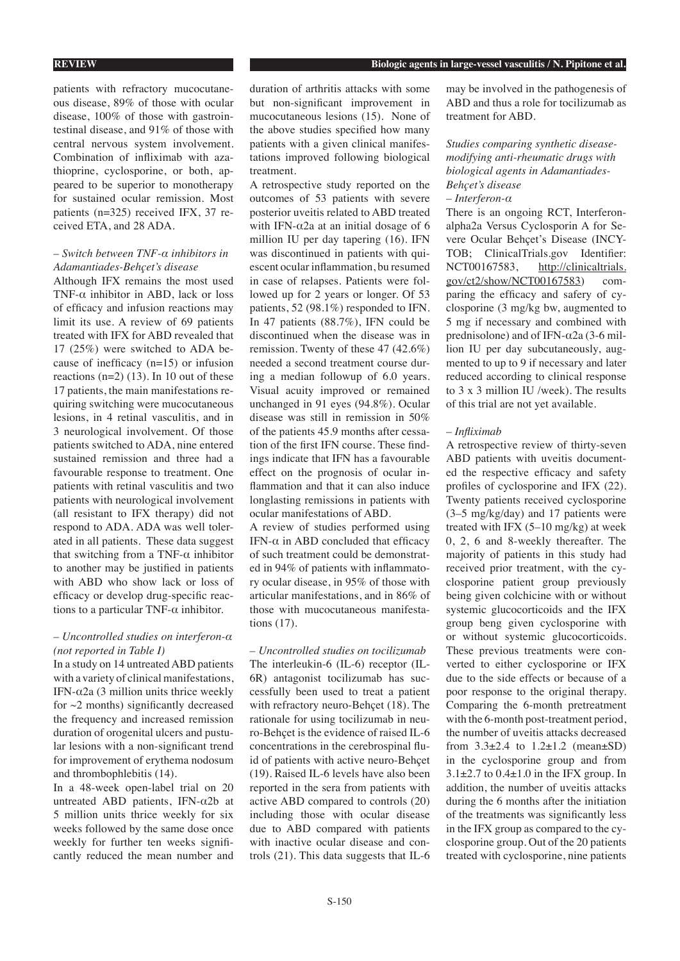patients with refractory mucocutaneous disease, 89% of those with ocular disease, 100% of those with gastrointestinal disease, and 91% of those with central nervous system involvement. Combination of infliximab with azathioprine, cyclosporine, or both, appeared to be superior to monotherapy for sustained ocular remission. Most patients (n=325) received IFX, 37 received ETA, and 28 ADA.

## *– Switch between TNF-α inhibitors in Adamantiades-Behçet's disease*

Although IFX remains the most used TNF- $\alpha$  inhibitor in ABD, lack or loss of efficacy and infusion reactions may limit its use. A review of 69 patients treated with IFX for ABD revealed that 17 (25%) were switched to ADA because of inefficacy (n=15) or infusion reactions  $(n=2)$  (13). In 10 out of these 17 patients, the main manifestations requiring switching were mucocutaneous lesions, in 4 retinal vasculitis, and in 3 neurological involvement. Of those patients switched to ADA, nine entered sustained remission and three had a favourable response to treatment. One patients with retinal vasculitis and two patients with neurological involvement (all resistant to IFX therapy) did not respond to ADA. ADA was well tolerated in all patients. These data suggest that switching from a TNF- $\alpha$  inhibitor to another may be justified in patients with ABD who show lack or loss of efficacy or develop drug-specific reactions to a particular TNF- $\alpha$  inhibitor.

## *– Uncontrolled studies on interferon-α (not reported in Table I)*

In a study on 14 untreated ABD patients with a variety of clinical manifestations, IFN- $α2a$  (3 million units thrice weekly for  $\sim$ 2 months) significantly decreased the frequency and increased remission duration of orogenital ulcers and pustular lesions with a non-significant trend for improvement of erythema nodosum and thrombophlebitis (14).

In a 48-week open-label trial on 20 untreated ABD patients, IFN- $\alpha$ 2b at 5 million units thrice weekly for six weeks followed by the same dose once weekly for further ten weeks significantly reduced the mean number and duration of arthritis attacks with some but non-significant improvement in mucocutaneous lesions (15). None of the above studies specified how many patients with a given clinical manifestations improved following biological treatment.

A retrospective study reported on the outcomes of 53 patients with severe posterior uveitis related to ABD treated with IFN- $\alpha$ 2a at an initial dosage of 6 million IU per day tapering (16). IFN was discontinued in patients with quiescent ocular inflammation, bu resumed in case of relapses. Patients were followed up for 2 years or longer. Of 53 patients, 52 (98.1%) responded to IFN. In 47 patients (88.7%), IFN could be discontinued when the disease was in remission. Twenty of these 47 (42.6%) needed a second treatment course during a median followup of 6.0 years. Visual acuity improved or remained unchanged in 91 eyes (94.8%). Ocular disease was still in remission in 50% of the patients 45.9 months after cessation of the first IFN course. These findings indicate that IFN has a favourable effect on the prognosis of ocular inflammation and that it can also induce longlasting remissions in patients with ocular manifestations of ABD.

A review of studies performed using IFN-α in ABD concluded that efficacy of such treatment could be demonstrated in 94% of patients with inflammatory ocular disease, in 95% of those with articular manifestations, and in 86% of those with mucocutaneous manifestations (17).

*– Uncontrolled studies on tocilizumab*  The interleukin-6 (IL-6) receptor (IL-6R) antagonist tocilizumab has successfully been used to treat a patient with refractory neuro-Behçet (18). The rationale for using tocilizumab in neuro-Behçet is the evidence of raised IL-6 concentrations in the cerebrospinal fluid of patients with active neuro-Behçet (19). Raised IL-6 levels have also been reported in the sera from patients with active ABD compared to controls (20) including those with ocular disease due to ABD compared with patients with inactive ocular disease and controls (21). This data suggests that IL-6 may be involved in the pathogenesis of ABD and thus a role for tocilizumab as treatment for ABD.

*Studies comparing synthetic diseasemodifying anti-rheumatic drugs with biological agents in Adamantiades-Behçet's disease*

## *– Interferon-α*

There is an ongoing RCT, Interferonalpha2a Versus Cyclosporin A for Severe Ocular Behçet's Disease (INCY-TOB; ClinicalTrials.gov Identifier: NCT00167583, http://clinicaltrials. gov/ct2/show/NCT00167583) comparing the efficacy and safery of cyclosporine (3 mg/kg bw, augmented to 5 mg if necessary and combined with prednisolone) and of IFN- $\alpha$ 2a (3-6 million IU per day subcutaneously, augmented to up to 9 if necessary and later reduced according to clinical response to 3 x 3 million IU /week). The results of this trial are not yet available.

### *– Infliximab*

A retrospective review of thirty-seven ABD patients with uveitis documented the respective efficacy and safety profiles of cyclosporine and IFX (22). Twenty patients received cyclosporine (3–5 mg/kg/day) and 17 patients were treated with IFX  $(5-10 \text{ mg/kg})$  at week 0, 2, 6 and 8-weekly thereafter. The majority of patients in this study had received prior treatment, with the cyclosporine patient group previously being given colchicine with or without systemic glucocorticoids and the IFX group beng given cyclosporine with or without systemic glucocorticoids. These previous treatments were converted to either cyclosporine or IFX due to the side effects or because of a poor response to the original therapy. Comparing the 6-month pretreatment with the 6-month post-treatment period, the number of uveitis attacks decreased from  $3.3\pm2.4$  to  $1.2\pm1.2$  (mean $\pm$ SD) in the cyclosporine group and from  $3.1\pm2.7$  to  $0.4\pm1.0$  in the IFX group. In addition, the number of uveitis attacks during the 6 months after the initiation of the treatments was significantly less in the IFX group as compared to the cyclosporine group. Out of the 20 patients treated with cyclosporine, nine patients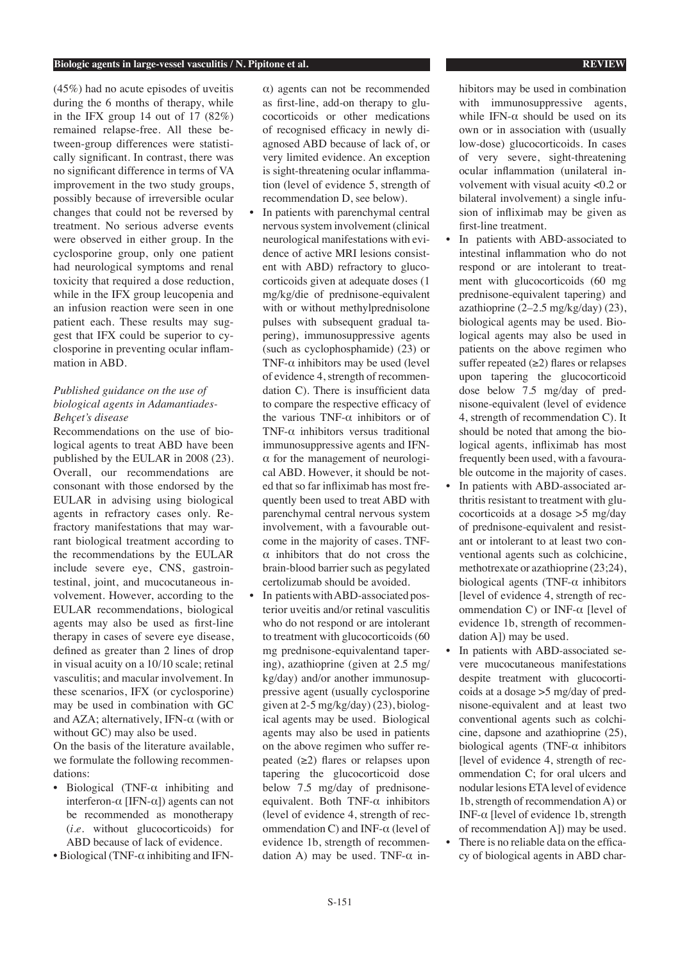(45%) had no acute episodes of uveitis during the 6 months of therapy, while in the IFX group 14 out of 17 (82%) remained relapse-free. All these between-group differences were statistically significant. In contrast, there was no significant difference in terms of VA improvement in the two study groups, possibly because of irreversible ocular changes that could not be reversed by treatment. No serious adverse events were observed in either group. In the cyclosporine group, only one patient had neurological symptoms and renal toxicity that required a dose reduction, while in the IFX group leucopenia and an infusion reaction were seen in one patient each. These results may suggest that IFX could be superior to cyclosporine in preventing ocular inflammation in ABD.

## *Published guidance on the use of biological agents in Adamantiades-Behçet's disease*

Recommendations on the use of biological agents to treat ABD have been published by the EULAR in 2008 (23). Overall, our recommendations are consonant with those endorsed by the EULAR in advising using biological agents in refractory cases only. Refractory manifestations that may warrant biological treatment according to the recommendations by the EULAR include severe eye, CNS, gastrointestinal, joint, and mucocutaneous involvement. However, according to the EULAR recommendations, biological agents may also be used as first-line therapy in cases of severe eye disease, defined as greater than 2 lines of drop in visual acuity on a 10/10 scale; retinal vasculitis; and macular involvement. In these scenarios, IFX (or cyclosporine) may be used in combination with GC and AZA; alternatively, IFN- $\alpha$  (with or without GC) may also be used.

On the basis of the literature available, we formulate the following recommendations:

- Biological (TNF- $\alpha$  inhibiting and interferon-α [IFN-α]) agents can not be recommended as monotherapy (*i.e*. without glucocorticoids) for ABD because of lack of evidence.
- Biological (TNF-α inhibiting and IFN-

α) agents can not be recommended as first-line, add-on therapy to glucocorticoids or other medications of recognised efficacy in newly diagnosed ABD because of lack of, or very limited evidence. An exception is sight-threatening ocular inflammation (level of evidence 5, strength of recommendation D, see below).

- In patients with parenchymal central nervous system involvement (clinical neurological manifestations with evidence of active MRI lesions consistent with ABD) refractory to glucocorticoids given at adequate doses (1 mg/kg/die of prednisone-equivalent with or without methylprednisolone pulses with subsequent gradual tapering), immunosuppressive agents (such as cyclophosphamide) (23) or TNF- $\alpha$  inhibitors may be used (level of evidence 4, strength of recommendation C). There is insufficient data to compare the respective efficacy of the various TNF- $\alpha$  inhibitors or of TNF-α inhibitors versus traditional immunosuppressive agents and IFN- $\alpha$  for the management of neurological ABD. However, it should be noted that so far infliximab has most frequently been used to treat ABD with parenchymal central nervous system involvement, with a favourable outcome in the majority of cases. TNFα inhibitors that do not cross the brain-blood barrier such as pegylated certolizumab should be avoided.
- In patients with ABD-associated posterior uveitis and/or retinal vasculitis who do not respond or are intolerant to treatment with glucocorticoids (60 mg prednisone-equivalentand tapering), azathioprine (given at 2.5 mg/ kg/day) and/or another immunosuppressive agent (usually cyclosporine given at 2-5 mg/kg/day) (23), biological agents may be used. Biological agents may also be used in patients on the above regimen who suffer repeated  $(\geq 2)$  flares or relapses upon tapering the glucocorticoid dose below 7.5 mg/day of prednisoneequivalent. Both TNF-α inhibitors (level of evidence 4, strength of recommendation C) and INF- $\alpha$  (level of evidence 1b, strength of recommendation A) may be used. TNF- $\alpha$  in-

hibitors may be used in combination with immunosuppressive agents, while IFN- $\alpha$  should be used on its own or in association with (usually low-dose) glucocorticoids. In cases of very severe, sight-threatening ocular inflammation (unilateral involvement with visual acuity <0.2 or bilateral involvement) a single infusion of infliximab may be given as first-line treatment.

- In patients with ABD-associated to intestinal inflammation who do not respond or are intolerant to treatment with glucocorticoids (60 mg prednisone-equivalent tapering) and azathioprine  $(2-2.5 \text{ mg/kg/day})$   $(23)$ , biological agents may be used. Biological agents may also be used in patients on the above regimen who suffer repeated  $(\geq 2)$  flares or relapses upon tapering the glucocorticoid dose below 7.5 mg/day of prednisone-equivalent (level of evidence 4, strength of recommendation C). It should be noted that among the biological agents, infliximab has most frequently been used, with a favourable outcome in the majority of cases.
- In patients with ABD-associated arthritis resistant to treatment with glucocorticoids at a dosage >5 mg/day of prednisone-equivalent and resistant or intolerant to at least two conventional agents such as colchicine, methotrexate or azathioprine (23;24), biological agents (TNF- $\alpha$  inhibitors [level of evidence 4, strength of recommendation C) or INF-α [level of evidence 1b, strength of recommendation A]) may be used.
- In patients with ABD-associated severe mucocutaneous manifestations despite treatment with glucocorticoids at a dosage >5 mg/day of prednisone-equivalent and at least two conventional agents such as colchicine, dapsone and azathioprine (25), biological agents (TNF- $\alpha$  inhibitors [level of evidence 4, strength of recommendation C; for oral ulcers and nodular lesions ETA level of evidence 1b, strength of recommendation A) or INF-α [level of evidence 1b, strength of recommendation A]) may be used.
- There is no reliable data on the efficacy of biological agents in ABD char-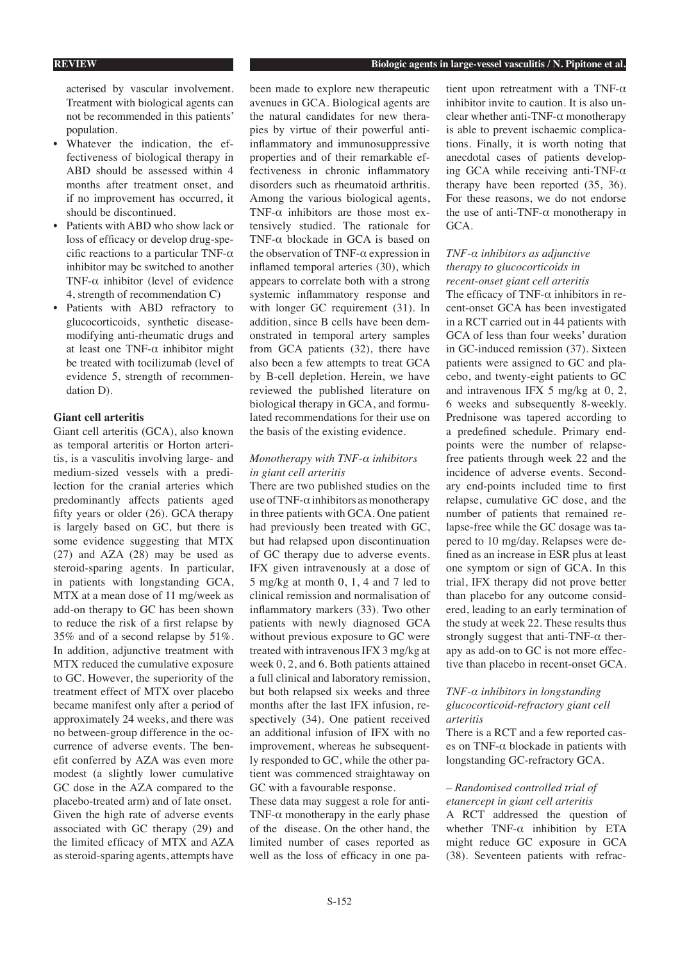**REVIEW Biologic agents in large-vessel vasculitis / N. Pipitone et al.** 

acterised by vascular involvement. Treatment with biological agents can not be recommended in this patients' population.

- Whatever the indication, the effectiveness of biological therapy in ABD should be assessed within 4 months after treatment onset, and if no improvement has occurred, it should be discontinued.
- Patients with ABD who show lack or loss of efficacy or develop drug-specific reactions to a particular TNF- $\alpha$ inhibitor may be switched to another TNF-α inhibitor (level of evidence 4, strength of recommendation C)
- Patients with ABD refractory to glucocorticoids, synthetic diseasemodifying anti-rheumatic drugs and at least one TNF- $\alpha$  inhibitor might be treated with tocilizumab (level of evidence 5, strength of recommendation D).

## **Giant cell arteritis**

Giant cell arteritis (GCA), also known as temporal arteritis or Horton arteritis, is a vasculitis involving large- and medium-sized vessels with a predilection for the cranial arteries which predominantly affects patients aged fifty years or older (26). GCA therapy is largely based on GC, but there is some evidence suggesting that MTX (27) and AZA (28) may be used as steroid-sparing agents. In particular, in patients with longstanding GCA, MTX at a mean dose of 11 mg/week as add-on therapy to GC has been shown to reduce the risk of a first relapse by 35% and of a second relapse by 51%. In addition, adjunctive treatment with MTX reduced the cumulative exposure to GC. However, the superiority of the treatment effect of MTX over placebo became manifest only after a period of approximately 24 weeks, and there was no between-group difference in the occurrence of adverse events. The benefit conferred by AZA was even more modest (a slightly lower cumulative GC dose in the AZA compared to the placebo-treated arm) and of late onset. Given the high rate of adverse events associated with GC therapy (29) and the limited efficacy of MTX and AZA as steroid-sparing agents, attempts have

been made to explore new therapeutic avenues in GCA. Biological agents are the natural candidates for new therapies by virtue of their powerful antiinflammatory and immunosuppressive properties and of their remarkable effectiveness in chronic inflammatory disorders such as rheumatoid arthritis. Among the various biological agents, TNF- $\alpha$  inhibitors are those most extensively studied. The rationale for TNF-α blockade in GCA is based on the observation of TNF-α expression in inflamed temporal arteries (30), which appears to correlate both with a strong systemic inflammatory response and with longer GC requirement (31). In addition, since B cells have been demonstrated in temporal artery samples from GCA patients (32), there have also been a few attempts to treat GCA by B-cell depletion. Herein, we have reviewed the published literature on biological therapy in GCA, and formulated recommendations for their use on the basis of the existing evidence.

## *Monotherapy with TNF-α inhibitors in giant cell arteritis*

There are two published studies on the use of TNF- $\alpha$  inhibitors as monotherapy in three patients with GCA. One patient had previously been treated with GC, but had relapsed upon discontinuation of GC therapy due to adverse events. IFX given intravenously at a dose of 5 mg/kg at month 0, 1, 4 and 7 led to clinical remission and normalisation of inflammatory markers (33). Two other patients with newly diagnosed GCA without previous exposure to GC were treated with intravenous IFX 3 mg/kg at week 0, 2, and 6. Both patients attained a full clinical and laboratory remission, but both relapsed six weeks and three months after the last IFX infusion, respectively (34). One patient received an additional infusion of IFX with no improvement, whereas he subsequently responded to GC, while the other patient was commenced straightaway on GC with a favourable response.

These data may suggest a role for anti-TNF- $\alpha$  monotherapy in the early phase of the disease. On the other hand, the limited number of cases reported as well as the loss of efficacy in one pa-

tient upon retreatment with a TNF-α inhibitor invite to caution. It is also unclear whether anti-TNF- $\alpha$  monotherapy is able to prevent ischaemic complications. Finally, it is worth noting that anecdotal cases of patients developing GCA while receiving anti-TNF- $\alpha$ therapy have been reported (35, 36). For these reasons, we do not endorse the use of anti-TNF-α monotherapy in GCA.

## *TNF-α inhibitors as adjunctive therapy to glucocorticoids in recent-onset giant cell arteritis*

The efficacy of TNF- $\alpha$  inhibitors in recent-onset GCA has been investigated in a RCT carried out in 44 patients with GCA of less than four weeks' duration in GC-induced remission (37). Sixteen patients were assigned to GC and placebo, and twenty-eight patients to GC and intravenous IFX 5 mg/kg at 0, 2, 6 weeks and subsequently 8-weekly. Prednisone was tapered according to a predefined schedule. Primary endpoints were the number of relapsefree patients through week 22 and the incidence of adverse events. Secondary end-points included time to first relapse, cumulative GC dose, and the number of patients that remained relapse-free while the GC dosage was tapered to 10 mg/day. Relapses were defined as an increase in ESR plus at least one symptom or sign of GCA. In this trial, IFX therapy did not prove better than placebo for any outcome considered, leading to an early termination of the study at week 22. These results thus strongly suggest that anti-TNF- $\alpha$  therapy as add-on to GC is not more effective than placebo in recent-onset GCA.

## *TNF-α inhibitors in longstanding glucocorticoid-refractory giant cell arteritis*

There is a RCT and a few reported cases on TNF- $α$  blockade in patients with longstanding GC-refractory GCA.

## *– Randomised controlled trial of etanercept in giant cell arteritis*

A RCT addressed the question of whether  $TNF-\alpha$  inhibition by ETA might reduce GC exposure in GCA (38). Seventeen patients with refrac-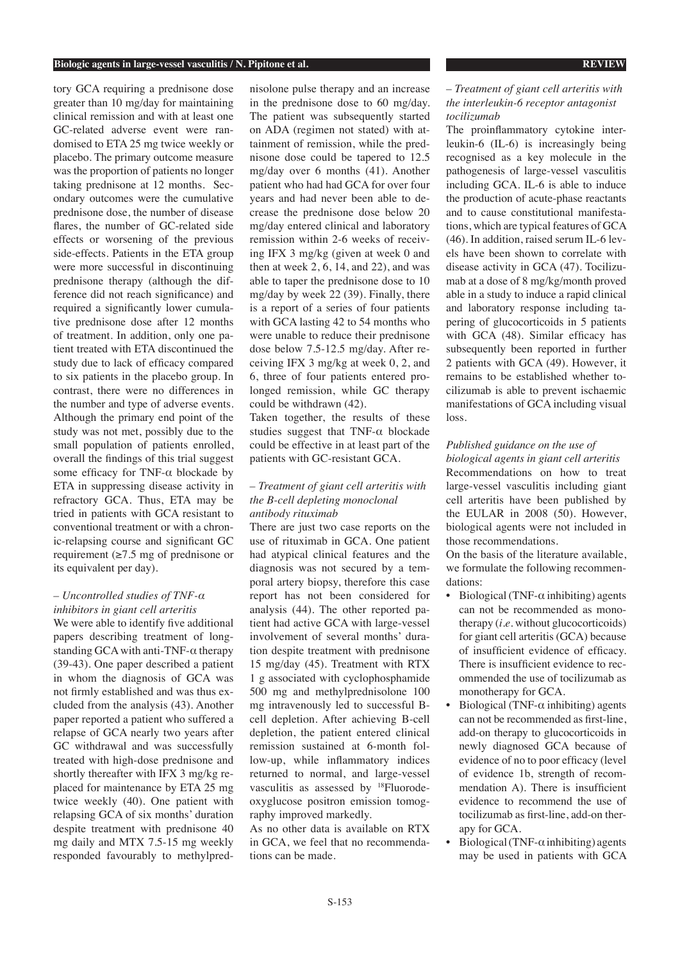tory GCA requiring a prednisone dose greater than 10 mg/day for maintaining clinical remission and with at least one GC-related adverse event were randomised to ETA 25 mg twice weekly or placebo. The primary outcome measure was the proportion of patients no longer taking prednisone at 12 months. Secondary outcomes were the cumulative prednisone dose, the number of disease flares, the number of GC-related side effects or worsening of the previous side-effects. Patients in the ETA group were more successful in discontinuing prednisone therapy (although the difference did not reach significance) and required a significantly lower cumulative prednisone dose after 12 months of treatment. In addition, only one patient treated with ETA discontinued the study due to lack of efficacy compared to six patients in the placebo group. In contrast, there were no differences in the number and type of adverse events. Although the primary end point of the study was not met, possibly due to the small population of patients enrolled, overall the findings of this trial suggest some efficacy for TNF-α blockade by ETA in suppressing disease activity in refractory GCA. Thus, ETA may be tried in patients with GCA resistant to conventional treatment or with a chronic-relapsing course and significant GC requirement (≥7.5 mg of prednisone or its equivalent per day).

## *– Uncontrolled studies of TNF-α inhibitors in giant cell arteritis*

We were able to identify five additional papers describing treatment of longstanding GCA with anti-TNF-α therapy (39-43). One paper described a patient in whom the diagnosis of GCA was not firmly established and was thus excluded from the analysis (43). Another paper reported a patient who suffered a relapse of GCA nearly two years after GC withdrawal and was successfully treated with high-dose prednisone and shortly thereafter with IFX 3 mg/kg replaced for maintenance by ETA 25 mg twice weekly (40). One patient with relapsing GCA of six months' duration despite treatment with prednisone 40 mg daily and MTX 7.5-15 mg weekly responded favourably to methylprednisolone pulse therapy and an increase in the prednisone dose to 60 mg/day. The patient was subsequently started on ADA (regimen not stated) with attainment of remission, while the prednisone dose could be tapered to 12.5 mg/day over 6 months (41). Another patient who had had GCA for over four years and had never been able to decrease the prednisone dose below 20 mg/day entered clinical and laboratory remission within 2-6 weeks of receiving IFX 3 mg/kg (given at week 0 and then at week  $2, 6, 14,$  and  $22$ ), and was able to taper the prednisone dose to 10 mg/day by week 22 (39). Finally, there is a report of a series of four patients with GCA lasting 42 to 54 months who were unable to reduce their prednisone dose below 7.5-12.5 mg/day. After receiving IFX 3 mg/kg at week 0, 2, and 6, three of four patients entered prolonged remission, while GC therapy could be withdrawn (42).

Taken together, the results of these studies suggest that  $TNF-\alpha$  blockade could be effective in at least part of the patients with GC-resistant GCA.

## *– Treatment of giant cell arteritis with the B-cell depleting monoclonal antibody rituximab*

There are just two case reports on the use of rituximab in GCA. One patient had atypical clinical features and the diagnosis was not secured by a temporal artery biopsy, therefore this case report has not been considered for analysis (44). The other reported patient had active GCA with large-vessel involvement of several months' duration despite treatment with prednisone 15 mg/day (45). Treatment with RTX 1 g associated with cyclophosphamide 500 mg and methylprednisolone 100 mg intravenously led to successful Bcell depletion. After achieving B-cell depletion, the patient entered clinical remission sustained at 6-month follow-up, while inflammatory indices returned to normal, and large-vessel vasculitis as assessed by 18Fluorodeoxyglucose positron emission tomography improved markedly.

As no other data is available on RTX in GCA, we feel that no recommendations can be made.

## – *Treatment of giant cell arteritis with the interleukin-6 receptor antagonist tocilizumab*

The proinflammatory cytokine interleukin-6 (IL-6) is increasingly being recognised as a key molecule in the pathogenesis of large-vessel vasculitis including GCA. IL-6 is able to induce the production of acute-phase reactants and to cause constitutional manifestations, which are typical features of GCA (46). In addition, raised serum IL-6 levels have been shown to correlate with disease activity in GCA (47). Tocilizumab at a dose of 8 mg/kg/month proved able in a study to induce a rapid clinical and laboratory response including tapering of glucocorticoids in 5 patients with GCA (48). Similar efficacy has subsequently been reported in further 2 patients with GCA (49). However, it remains to be established whether tocilizumab is able to prevent ischaemic manifestations of GCA including visual loss.

## *Published guidance on the use of biological agents in giant cell arteritis*

Recommendations on how to treat large-vessel vasculitis including giant cell arteritis have been published by the EULAR in 2008 (50). However, biological agents were not included in those recommendations.

On the basis of the literature available, we formulate the following recommendations:

- Biological (TNF- $\alpha$  inhibiting) agents can not be recommended as monotherapy (*i.e.* without glucocorticoids) for giant cell arteritis (GCA) because of insufficient evidence of efficacy. There is insufficient evidence to recommended the use of tocilizumab as monotherapy for GCA.
- Biological (TNF- $α$  inhibiting) agents can not be recommended as first-line, add-on therapy to glucocorticoids in newly diagnosed GCA because of evidence of no to poor efficacy (level of evidence 1b, strength of recommendation A). There is insufficient evidence to recommend the use of tocilizumab as first-line, add-on therapy for GCA.
- Biological (TNF- $α$  inhibiting) agents may be used in patients with GCA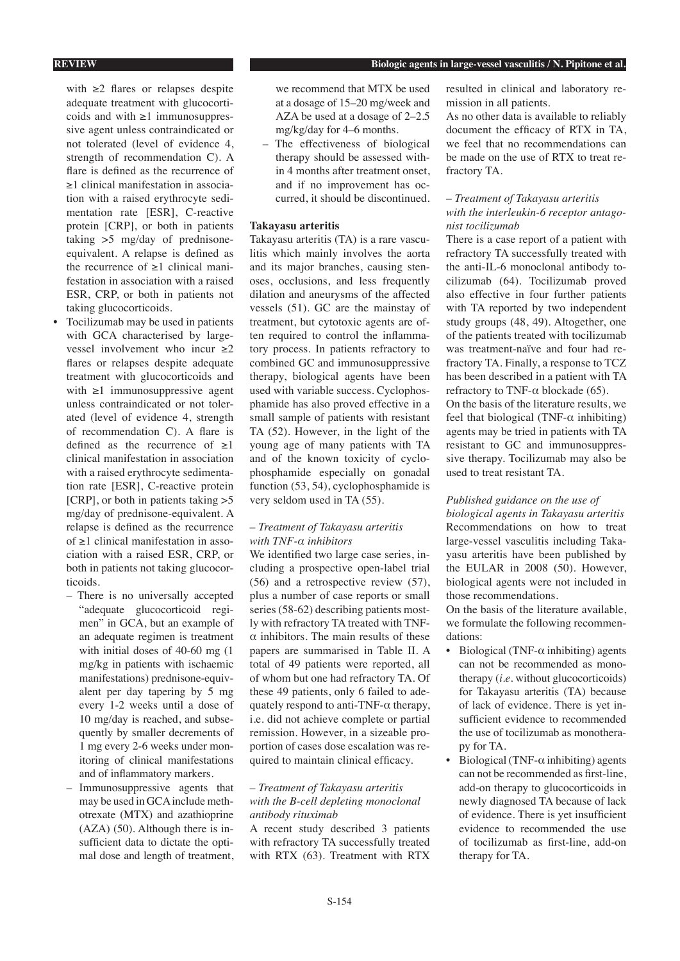with ≥2 flares or relapses despite adequate treatment with glucocorticoids and with ≥1 immunosuppressive agent unless contraindicated or not tolerated (level of evidence 4, strength of recommendation C). A flare is defined as the recurrence of ≥1 clinical manifestation in association with a raised erythrocyte sedimentation rate [ESR], C-reactive protein [CRP], or both in patients taking >5 mg/day of prednisoneequivalent. A relapse is defined as the recurrence of ≥1 clinical manifestation in association with a raised ESR, CRP, or both in patients not taking glucocorticoids.

- Tocilizumab may be used in patients with GCA characterised by largevessel involvement who incur ≥2 flares or relapses despite adequate treatment with glucocorticoids and with ≥1 immunosuppressive agent unless contraindicated or not tolerated (level of evidence 4, strength of recommendation C). A flare is defined as the recurrence of  $\geq 1$ clinical manifestation in association with a raised erythrocyte sedimentation rate [ESR], C-reactive protein [CRP], or both in patients taking >5 mg/day of prednisone-equivalent. A relapse is defined as the recurrence of ≥1 clinical manifestation in association with a raised ESR, CRP, or both in patients not taking glucocorticoids.
	- There is no universally accepted "adequate glucocorticoid regimen" in GCA, but an example of an adequate regimen is treatment with initial doses of 40-60 mg (1 mg/kg in patients with ischaemic manifestations) prednisone-equivalent per day tapering by 5 mg every 1-2 weeks until a dose of 10 mg/day is reached, and subsequently by smaller decrements of 1 mg every 2-6 weeks under monitoring of clinical manifestations and of inflammatory markers.
	- Immunosuppressive agents that may be used in GCA include methotrexate (MTX) and azathioprine (AZA) (50). Although there is insufficient data to dictate the optimal dose and length of treatment,

we recommend that MTX be used at a dosage of 15–20 mg/week and AZA be used at a dosage of 2–2.5 mg/kg/day for 4–6 months.

– The effectiveness of biological therapy should be assessed within 4 months after treatment onset, and if no improvement has occurred, it should be discontinued.

### **Takayasu arteritis**

Takayasu arteritis (TA) is a rare vasculitis which mainly involves the aorta and its major branches, causing stenoses, occlusions, and less frequently dilation and aneurysms of the affected vessels (51). GC are the mainstay of treatment, but cytotoxic agents are often required to control the inflammatory process. In patients refractory to combined GC and immunosuppressive therapy, biological agents have been used with variable success. Cyclophosphamide has also proved effective in a small sample of patients with resistant TA (52). However, in the light of the young age of many patients with TA and of the known toxicity of cyclophosphamide especially on gonadal function (53, 54), cyclophosphamide is very seldom used in TA (55).

## *– Treatment of Takayasu arteritis with TNF-α inhibitors*

We identified two large case series, including a prospective open-label trial (56) and a retrospective review (57), plus a number of case reports or small series (58-62) describing patients mostly with refractory TA treated with TNF- $\alpha$  inhibitors. The main results of these papers are summarised in Table II. A total of 49 patients were reported, all of whom but one had refractory TA. Of these 49 patients, only 6 failed to adequately respond to anti-TNF- $\alpha$  therapy, i.e. did not achieve complete or partial remission. However, in a sizeable proportion of cases dose escalation was required to maintain clinical efficacy.

## *– Treatment of Takayasu arteritis with the B-cell depleting monoclonal antibody rituximab*

A recent study described 3 patients with refractory TA successfully treated with RTX (63). Treatment with RTX

S-154

resulted in clinical and laboratory remission in all patients.

As no other data is available to reliably document the efficacy of RTX in TA, we feel that no recommendations can be made on the use of RTX to treat refractory TA.

## *– Treatment of Takayasu arteritis with the interleukin-6 receptor antagonist tocilizumab*

There is a case report of a patient with refractory TA successfully treated with the anti-IL-6 monoclonal antibody tocilizumab (64). Tocilizumab proved also effective in four further patients with TA reported by two independent study groups (48, 49). Altogether, one of the patients treated with tocilizumab was treatment-naïve and four had refractory TA. Finally, a response to TCZ has been described in a patient with TA refractory to TNF- $α$  blockade (65). On the basis of the literature results, we feel that biological (TNF- $\alpha$  inhibiting) agents may be tried in patients with TA

resistant to GC and immunosuppressive therapy. Tocilizumab may also be used to treat resistant TA.

## *Published guidance on the use of*

*biological agents in Takayasu arteritis* Recommendations on how to treat large-vessel vasculitis including Takayasu arteritis have been published by the EULAR in 2008 (50). However, biological agents were not included in those recommendations.

On the basis of the literature available, we formulate the following recommendations:

- Biological (TNF- $α$  inhibiting) agents can not be recommended as monotherapy (*i.e.* without glucocorticoids) for Takayasu arteritis (TA) because of lack of evidence. There is yet insufficient evidence to recommended the use of tocilizumab as monotherapy for TA.
- Biological (TNF- $α$  inhibiting) agents can not be recommended as first-line, add-on therapy to glucocorticoids in newly diagnosed TA because of lack of evidence. There is yet insufficient evidence to recommended the use of tocilizumab as first-line, add-on therapy for TA.

## **REVIEW Biologic agents in large-vessel vasculitis / N. Pipitone et al.**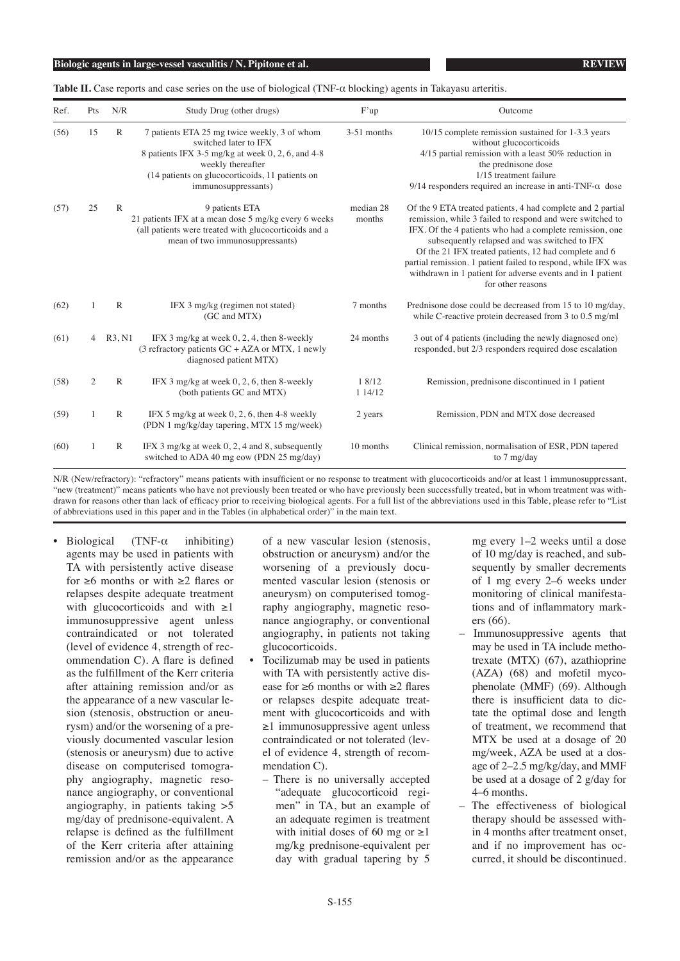**Table II.** Case reports and case series on the use of biological (TNF- $\alpha$  blocking) agents in Takayasu arteritis.

| Ref. | Pts            | N/R          | Study Drug (other drugs)                                                                                                                                                                                                     | F'up                | Outcome                                                                                                                                                                                                                                                                                                                                                                                                                                            |
|------|----------------|--------------|------------------------------------------------------------------------------------------------------------------------------------------------------------------------------------------------------------------------------|---------------------|----------------------------------------------------------------------------------------------------------------------------------------------------------------------------------------------------------------------------------------------------------------------------------------------------------------------------------------------------------------------------------------------------------------------------------------------------|
| (56) | 15             | R            | 7 patients ETA 25 mg twice weekly, 3 of whom<br>switched later to IFX<br>8 patients IFX 3-5 mg/kg at week $0, 2, 6$ , and 4-8<br>weekly thereafter<br>(14 patients on glucocorticoids, 11 patients on<br>immunosuppressants) | 3-51 months         | 10/15 complete remission sustained for 1-3.3 years<br>without glucocorticoids<br>$4/15$ partial remission with a least 50% reduction in<br>the prednisone dose<br>1/15 treatment failure<br>$9/14$ responders required an increase in anti-TNF- $\alpha$ dose                                                                                                                                                                                      |
| (57) | 25             | $\mathbb{R}$ | 9 patients ETA<br>21 patients IFX at a mean dose 5 mg/kg every 6 weeks<br>(all patients were treated with glucocorticoids and a<br>mean of two immunosuppressants)                                                           | median 28<br>months | Of the 9 ETA treated patients, 4 had complete and 2 partial<br>remission, while 3 failed to respond and were switched to<br>IFX. Of the 4 patients who had a complete remission, one<br>subsequently relapsed and was switched to IFX<br>Of the 21 IFX treated patients, 12 had complete and 6<br>partial remission. 1 patient failed to respond, while IFX was<br>withdrawn in 1 patient for adverse events and in 1 patient<br>for other reasons |
| (62) |                | $\mathbb{R}$ | IFX 3 mg/kg (regimen not stated)<br>(GC and MTX)                                                                                                                                                                             | 7 months            | Prednisone dose could be decreased from 15 to 10 mg/day,<br>while C-reactive protein decreased from $3$ to $0.5$ mg/ml                                                                                                                                                                                                                                                                                                                             |
| (61) | 4              | R3, N1       | IFX 3 mg/kg at week $0, 2, 4$ , then 8-weekly<br>(3 refractory patients $GC + AZA$ or MTX, 1 newly<br>diagnosed patient MTX)                                                                                                 | 24 months           | 3 out of 4 patients (including the newly diagnosed one)<br>responded, but 2/3 responders required dose escalation                                                                                                                                                                                                                                                                                                                                  |
| (58) | $\overline{2}$ | $\mathbb{R}$ | IFX 3 mg/kg at week $0, 2, 6$ , then 8-weekly<br>(both patients GC and MTX)                                                                                                                                                  | 1 8/12<br>1 14/12   | Remission, prednisone discontinued in 1 patient                                                                                                                                                                                                                                                                                                                                                                                                    |
| (59) |                | $\mathbb{R}$ | IFX 5 mg/kg at week $0, 2, 6$ , then 4-8 weekly<br>(PDN 1 mg/kg/day tapering, MTX 15 mg/week)                                                                                                                                | 2 years             | Remission, PDN and MTX dose decreased                                                                                                                                                                                                                                                                                                                                                                                                              |
| (60) |                | $\mathbb{R}$ | IFX 3 mg/kg at week $0, 2, 4$ and 8, subsequently<br>switched to ADA 40 mg eow (PDN 25 mg/day)                                                                                                                               | 10 months           | Clinical remission, normalisation of ESR, PDN tapered<br>to 7 mg/day                                                                                                                                                                                                                                                                                                                                                                               |

N/R (New/refractory): "refractory" means patients with insufficient or no response to treatment with glucocorticoids and/or at least 1 immunosuppressant, "new (treatment)" means patients who have not previously been treated or who have previously been successfully treated, but in whom treatment was withdrawn for reasons other than lack of efficacy prior to receiving biological agents. For a full list of the abbreviations used in this Table, please refer to "List of abbreviations used in this paper and in the Tables (in alphabetical order)" in the main text.

Biological (TNF- $\alpha$  inhibiting) agents may be used in patients with TA with persistently active disease for ≥6 months or with ≥2 flares or relapses despite adequate treatment with glucocorticoids and with  $\geq 1$ immunosuppressive agent unless contraindicated or not tolerated (level of evidence 4, strength of recommendation C). A flare is defined as the fulfillment of the Kerr criteria after attaining remission and/or as the appearance of a new vascular lesion (stenosis, obstruction or aneurysm) and/or the worsening of a previously documented vascular lesion (stenosis or aneurysm) due to active disease on computerised tomography angiography, magnetic resonance angiography, or conventional angiography, in patients taking >5 mg/day of prednisone-equivalent. A relapse is defined as the fulfillment of the Kerr criteria after attaining remission and/or as the appearance

of a new vascular lesion (stenosis, obstruction or aneurysm) and/or the worsening of a previously documented vascular lesion (stenosis or aneurysm) on computerised tomography angiography, magnetic resonance angiography, or conventional angiography, in patients not taking glucocorticoids.

- Tocilizumab may be used in patients with TA with persistently active disease for ≥6 months or with ≥2 flares or relapses despite adequate treatment with glucocorticoids and with ≥1 immunosuppressive agent unless contraindicated or not tolerated (level of evidence 4, strength of recommendation C).
	- There is no universally accepted "adequate glucocorticoid regimen" in TA, but an example of an adequate regimen is treatment with initial doses of 60 mg or  $\geq$ 1 mg/kg prednisone-equivalent per day with gradual tapering by 5

mg every 1–2 weeks until a dose of 10 mg/day is reached, and subsequently by smaller decrements of 1 mg every 2–6 weeks under monitoring of clinical manifestations and of inflammatory markers (66).

- Immunosuppressive agents that may be used in TA include methotrexate (MTX) (67), azathioprine (AZA) (68) and mofetil mycophenolate (MMF) (69). Although there is insufficient data to dictate the optimal dose and length of treatment, we recommend that MTX be used at a dosage of 20 mg/week, AZA be used at a dosage of 2–2.5 mg/kg/day, and MMF be used at a dosage of 2 g/day for 4–6 months.
- The effectiveness of biological therapy should be assessed within 4 months after treatment onset, and if no improvement has occurred, it should be discontinued.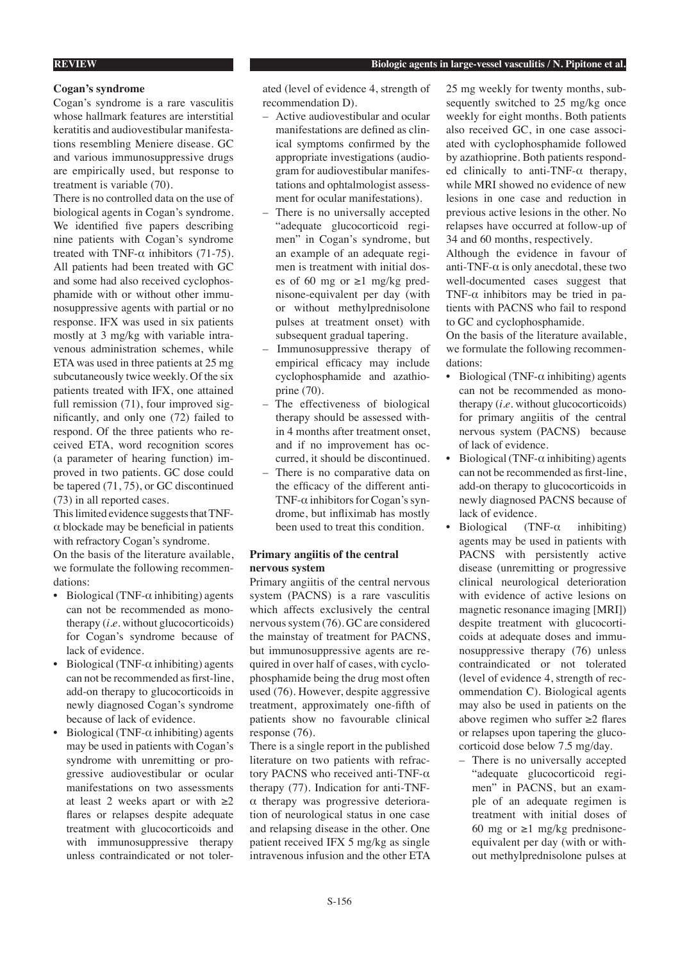## **REVIEW Biologic agents in large-vessel vasculitis / N. Pipitone et al.**

## **Cogan's syndrome**

Cogan's syndrome is a rare vasculitis whose hallmark features are interstitial keratitis and audiovestibular manifestations resembling Meniere disease. GC and various immunosuppressive drugs are empirically used, but response to treatment is variable (70).

There is no controlled data on the use of biological agents in Cogan's syndrome. We identified five papers describing nine patients with Cogan's syndrome treated with TNF- $\alpha$  inhibitors (71-75). All patients had been treated with GC and some had also received cyclophosphamide with or without other immunosuppressive agents with partial or no response. IFX was used in six patients mostly at 3 mg/kg with variable intravenous administration schemes, while ETA was used in three patients at 25 mg subcutaneously twice weekly. Of the six patients treated with IFX, one attained full remission (71), four improved significantly, and only one (72) failed to respond. Of the three patients who received ETA, word recognition scores (a parameter of hearing function) improved in two patients. GC dose could be tapered (71, 75), or GC discontinued (73) in all reported cases.

This limited evidence suggests that TNF- $\alpha$  blockade may be beneficial in patients with refractory Cogan's syndrome.

On the basis of the literature available, we formulate the following recommendations:

- Biological (TNF- $\alpha$  inhibiting) agents can not be recommended as monotherapy (*i.e.* without glucocorticoids) for Cogan's syndrome because of lack of evidence.
- Biological (TNF- $α$  inhibiting) agents can not be recommended as first-line, add-on therapy to glucocorticoids in newly diagnosed Cogan's syndrome because of lack of evidence.
- Biological (TNF- $α$  inhibiting) agents may be used in patients with Cogan's syndrome with unremitting or progressive audiovestibular or ocular manifestations on two assessments at least 2 weeks apart or with  $\geq 2$ flares or relapses despite adequate treatment with glucocorticoids and with immunosuppressive therapy unless contraindicated or not toler-

ated (level of evidence 4, strength of recommendation D).

- Active audiovestibular and ocular manifestations are defined as clinical symptoms confirmed by the appropriate investigations (audiogram for audiovestibular manifestations and ophtalmologist assessment for ocular manifestations).
- There is no universally accepted "adequate glucocorticoid regimen" in Cogan's syndrome, but an example of an adequate regimen is treatment with initial doses of 60 mg or ≥1 mg/kg prednisone-equivalent per day (with or without methylprednisolone pulses at treatment onset) with subsequent gradual tapering.
- Immunosuppressive therapy of empirical efficacy may include cyclophosphamide and azathioprine (70).
- The effectiveness of biological therapy should be assessed within 4 months after treatment onset, and if no improvement has occurred, it should be discontinued.
- There is no comparative data on the efficacy of the different anti-TNF-α inhibitors for Cogan's syndrome, but infliximab has mostly been used to treat this condition.

## **Primary angiitis of the central nervous system**

Primary angiitis of the central nervous system (PACNS) is a rare vasculitis which affects exclusively the central nervous system (76). GC are considered the mainstay of treatment for PACNS, but immunosuppressive agents are required in over half of cases, with cyclophosphamide being the drug most often used (76). However, despite aggressive treatment, approximately one-fifth of patients show no favourable clinical response (76).

There is a single report in the published literature on two patients with refractory PACNS who received anti-TNF-α therapy (77). Indication for anti-TNFα therapy was progressive deterioration of neurological status in one case and relapsing disease in the other. One patient received IFX 5 mg/kg as single intravenous infusion and the other ETA

25 mg weekly for twenty months, subsequently switched to 25 mg/kg once weekly for eight months. Both patients also received GC, in one case associated with cyclophosphamide followed by azathioprine. Both patients responded clinically to anti-TNF-α therapy, while MRI showed no evidence of new lesions in one case and reduction in previous active lesions in the other. No relapses have occurred at follow-up of 34 and 60 months, respectively.

Although the evidence in favour of anti-TNF- $\alpha$  is only anecdotal, these two well-documented cases suggest that TNF- $\alpha$  inhibitors may be tried in patients with PACNS who fail to respond to GC and cyclophosphamide.

On the basis of the literature available, we formulate the following recommendations:

- Biological (TNF- $\alpha$  inhibiting) agents can not be recommended as monotherapy (*i.e.* without glucocorticoids) for primary angiitis of the central nervous system (PACNS) because of lack of evidence.
- Biological (TNF- $\alpha$  inhibiting) agents can not be recommended as first-line, add-on therapy to glucocorticoids in newly diagnosed PACNS because of lack of evidence.
- Biological (TNF- $\alpha$  inhibiting) agents may be used in patients with PACNS with persistently active disease (unremitting or progressive clinical neurological deterioration with evidence of active lesions on magnetic resonance imaging [MRI]) despite treatment with glucocorticoids at adequate doses and immunosuppressive therapy (76) unless contraindicated or not tolerated (level of evidence 4, strength of recommendation C). Biological agents may also be used in patients on the above regimen who suffer ≥2 flares or relapses upon tapering the glucocorticoid dose below 7.5 mg/day.
	- There is no universally accepted "adequate glucocorticoid regimen" in PACNS, but an example of an adequate regimen is treatment with initial doses of 60 mg or  $\geq$ 1 mg/kg prednisoneequivalent per day (with or without methylprednisolone pulses at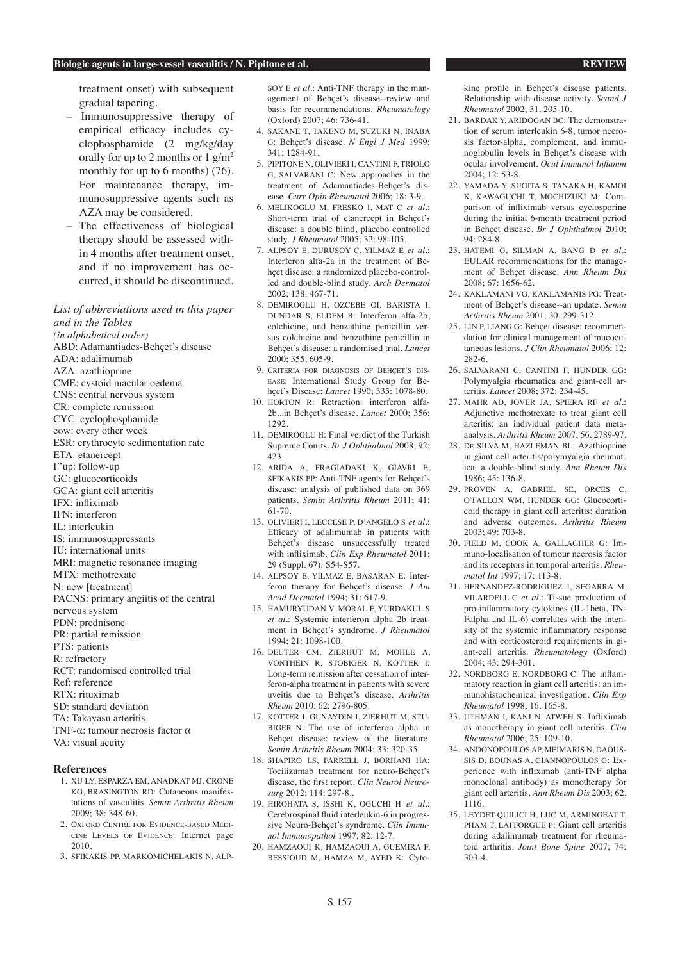treatment onset) with subsequent gradual tapering.

- Immunosuppressive therapy of empirical efficacy includes cyclophosphamide (2 mg/kg/day orally for up to 2 months or  $1 \text{ g/m}^2$ monthly for up to 6 months) (76). For maintenance therapy, immunosuppressive agents such as AZA may be considered.
- The effectiveness of biological therapy should be assessed within 4 months after treatment onset, and if no improvement has occurred, it should be discontinued.

*List of abbreviations used in this paper and in the Tables*

- *(in alphabetical order)*
- ABD: Adamantiades-Behçet's disease
- ADA: adalimumab
- AZA: azathioprine
- CME: cystoid macular oedema
- CNS: central nervous system
- CR: complete remission
- CYC: cyclophosphamide
- eow: every other week
- ESR: erythrocyte sedimentation rate
- ETA: etanercept
- F'up: follow-up
- GC: glucocorticoids
- GCA: giant cell arteritis
- IFX: infliximab
- IFN: interferon
- IL: interleukin
- IS: immunosuppressants
- IU: international units
- MRI: magnetic resonance imaging
- MTX: methotrexate
- N: new [treatment]
- PACNS: primary angiitis of the central
- nervous system
- PDN: prednisone
- PR: partial remission
- PTS: patients
- R: refractory
- RCT: randomised controlled trial
- Ref: reference
- RTX: rituximab
- SD: standard deviation
- TA: Takayasu arteritis
- TNF-α: tumour necrosis factor α
- VA: visual acuity

## **References**

- 1. XU LY, ESPARZA EM, ANADKAT MJ, CRONE KG, BRASINGTON RD: Cutaneous manifestations of vasculitis. *Semin Arthritis Rheum*  2009; 38: 348-60.
- 2. OXFORD CENTRE FOR EVIDENCE-BASED MEDI-CINE LEVELS OF EVIDENCE: Internet page 2010.
- 3. SFIKAKIS PP, MARKOMICHELAKIS N, ALP-

SOY E *et al.*: Anti-TNF therapy in the management of Behçet's disease--review and basis for recommendations. *Rheumatology* (Oxford) 2007; 46: 736-41.

- 4. SAKANE T, TAKENO M, SUZUKI N, INABA G: Behçet's disease. *N Engl J Med* 1999; 341: 1284-91.
- 5. PIPITONE N, OLIVIERI I, CANTINI F, TRIOLO G, SALVARANI C: New approaches in the treatment of Adamantiades-Behçet's disease. *Curr Opin Rheumatol* 2006; 18: 3-9.
- 6. MELIKOGLU M, FRESKO I, MAT C *et al.*: Short-term trial of etanercept in Behçet's disease: a double blind, placebo controlled study. *J Rheumatol* 2005; 32: 98-105.
- 7. ALPSOY E, DURUSOY C, YILMAZ E *et al.*: Interferon alfa-2a in the treatment of Behçet disease: a randomized placebo-controlled and double-blind study. *Arch Dermatol*  2002; 138: 467-71.
- 8. DEMIROGLU H, OZCEBE OI, BARISTA I, DUNDAR S, ELDEM B: Interferon alfa-2b, colchicine, and benzathine penicillin versus colchicine and benzathine penicillin in Behçet's disease: a randomised trial. *Lancet*  $2000 \cdot 355.605 - 9$
- 9. CRITERIA FOR DIAGNOSIS OF BEHÇET'S DIS-EASE: International Study Group for Behçet's Disease: *Lancet* 1990; 335: 1078-80.
- 10. HORTON R: Retraction: interferon alfa-2b...in Behçet's disease. *Lancet* 2000; 356: 1292.
- 11. DEMIROGLU H: Final verdict of the Turkish Supreme Courts. *Br J Ophthalmol* 2008; 92: 423.
- 12. ARIDA A, FRAGIADAKI K, GIAVRI E, SFIKAKIS PP: Anti-TNF agents for Behçet's disease: analysis of published data on 369 patients. *Semin Arthritis Rheum* 2011; 41: 61-70.
- 13. OLIVIERI I, LECCESE P, D'ANGELO S *et al.*: Efficacy of adalimumab in patients with Behçet's disease unsuccessfully treated with infliximab. *Clin Exp Rheumatol* 2011; 29 (Suppl. 67): S54-S57.
- 14. ALPSOY E, YILMAZ E, BASARAN E: Interferon therapy for Behçet's disease. *J Am Acad Dermatol* 1994; 31: 617-9.
- 15. HAMURYUDAN V, MORAL F, YURDAKUL S *et al.*: Systemic interferon alpha 2b treatment in Behçet's syndrome. *J Rheumatol* 1994; 21: 1098-100.
- 16. DEUTER CM, ZIERHUT M, MOHLE A, VONTHEIN R, STOBIGER N, KOTTER I: Long-term remission after cessation of interferon-alpha treatment in patients with severe uveitis due to Behçet's disease. *Arthritis Rheum* 2010; 62: 2796-805.
- 17. KOTTER I, GUNAYDIN I, ZIERHUT M, STU-BIGER N: The use of interferon alpha in Behçet disease: review of the literature. *Semin Arthritis Rheum* 2004; 33: 320-35.
- 18. SHAPIRO LS, FARRELL J, BORHANI HA: Tocilizumab treatment for neuro-Behçet's disease, the first report. *Clin Neurol Neurosurg* 2012; 114: 297-8..
- 19. HIROHATA S, ISSHI K, OGUCHI H *et al.*: Cerebrospinal fluid interleukin-6 in progressive Neuro-Behçet's syndrome. *Clin Immunol Immunopathol* 1997; 82: 12-7.
- 20. HAMZAOUI K, HAMZAOUI A, GUEMIRA F, BESSIOUD M, HAMZA M, AYED K: Cyto-

kine profile in Behçet's disease patients. Relationship with disease activity. *Scand J Rheumatol* 2002; 31. 205-10.

- 21. BARDAK Y, ARIDOGAN BC: The demonstration of serum interleukin 6-8, tumor necrosis factor-alpha, complement, and immunoglobulin levels in Behçet's disease with ocular involvement. *Ocul Immunol Inflamm*  $2004 \cdot 12: 53-8$ .
- 22. YAMADA Y, SUGITA S, TANAKA H, KAMOI K, KAWAGUCHI T, MOCHIZUKI M: Comparison of infliximab versus cyclosporine during the initial 6-month treatment period in Behçet disease. *Br J Ophthalmol* 2010; 94: 284-8.
- 23. HATEMI G, SILMAN A, BANG D *et al.*: EULAR recommendations for the management of Behçet disease. *Ann Rheum Dis* 2008; 67: 1656-62.
- 24. KAKLAMANI VG, KAKLAMANIS PG: Treatment of Behçet's disease--an update. *Semin Arthritis Rheum* 2001; 30. 299-312.
- 25. LIN P, LIANG G: Behçet disease: recommendation for clinical management of mucocutaneous lesions. *J Clin Rheumatol* 2006; 12: 282-6.
- 26. SALVARANI C, CANTINI F, HUNDER GG: Polymyalgia rheumatica and giant-cell arteritis. *Lancet* 2008; 372: 234-45.
- 27. MAHR AD, JOVER JA, SPIERA RF *et al.*: Adjunctive methotrexate to treat giant cell arteritis: an individual patient data metaanalysis. *Arthritis Rheum* 2007; 56. 2789-97.
- 28. DE SILVA M, HAZLEMAN BL: Azathioprine in giant cell arteritis/polymyalgia rheumatica: a double-blind study. *Ann Rheum Dis* 1986; 45: 136-8.
- 29. PROVEN A, GABRIEL SE, ORCES C, O'FALLON WM, HUNDER GG: Glucocorticoid therapy in giant cell arteritis: duration and adverse outcomes. *Arthritis Rheum* 2003; 49: 703-8.
- 30. FIELD M, COOK A, GALLAGHER G: Immuno-localisation of tumour necrosis factor and its receptors in temporal arteritis. *Rheumatol Int* 1997; 17: 113-8.
- 31. HERNANDEZ-RODRIGUEZ J, SEGARRA M, VILARDELL C *et al.*: Tissue production of pro-inflammatory cytokines (IL-1beta, TN-Falpha and IL-6) correlates with the intensity of the systemic inflammatory response and with corticosteroid requirements in giant-cell arteritis. *Rheumatology* (Oxford) 2004; 43: 294-301.
- 32. NORDBORG E, NORDBORG C: The inflammatory reaction in giant cell arteritis: an immunohistochemical investigation. *Clin Exp Rheumatol* 1998; 16. 165-8.
- 33. UTHMAN I, KANJ N, ATWEH S: Infliximab as monotherapy in giant cell arteritis. *Clin Rheumatol* 2006; 25: 109-10.
- 34. ANDONOPOULOS AP, MEIMARIS N, DAOUS-SIS D, BOUNAS A, GIANNOPOULOS  $G$ <sup> $\cdot$ </sup> Experience with infliximab (anti-TNF alpha monoclonal antibody) as monotherapy for giant cell arteritis. *Ann Rheum Dis* 2003; 62. 1116.
- 35. LEYDET-QUILICI H, LUC M, ARMINGEAT T, PHAM T, LAFFORGUE P: Giant cell arteritis during adalimumab treatment for rheumatoid arthritis. *Joint Bone Spine* 2007; 74: 303-4.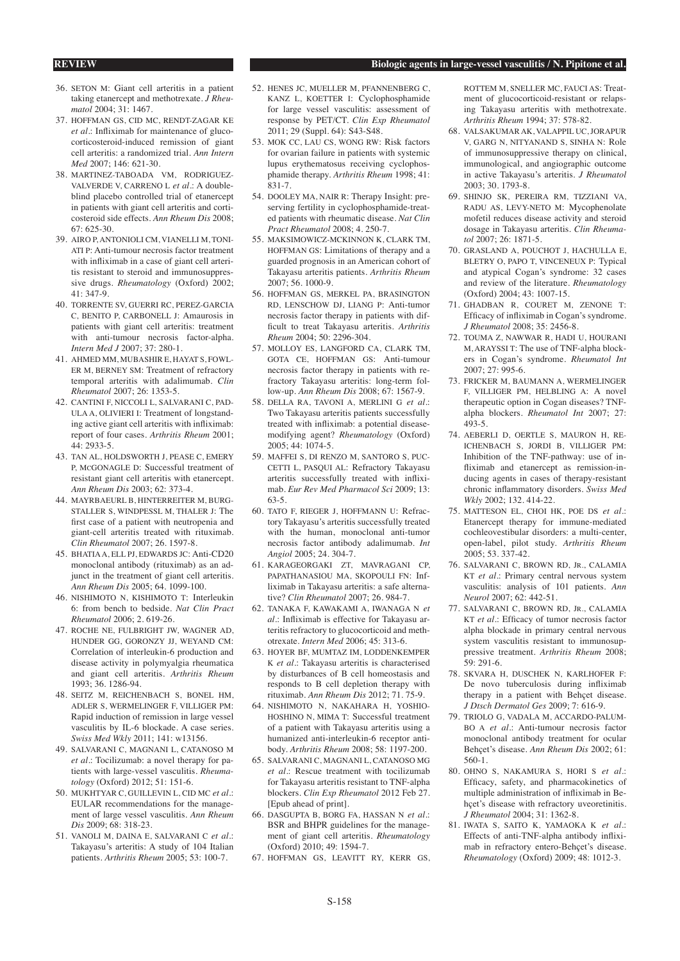#### **REVIEW Biologic agents in large-vessel vasculitis / N. Pipitone et al.**

- 36. SETON M: Giant cell arteritis in a patient taking etanercept and methotrexate. *J Rheumatol* 2004; 31: 1467.
- 37. HOFFMAN GS, CID MC, RENDT-ZAGAR KE *et al.*: Infliximab for maintenance of glucocorticosteroid-induced remission of giant cell arteritis: a randomized trial. *Ann Intern Med* 2007; 146: 621-30.
- 38. MARTINEZ-TABOADA VM, RODRIGUEZ-VALVERDE V, CARRENO L *et al.*: A doubleblind placebo controlled trial of etanercept in patients with giant cell arteritis and corticosteroid side effects. *Ann Rheum Dis* 2008;  $67.625-30.$
- 39. AIRO P, ANTONIOLI CM, VIANELLI M, TONI-ATI P: Anti-tumour necrosis factor treatment with infliximab in a case of giant cell arteritis resistant to steroid and immunosuppressive drugs. *Rheumatology* (Oxford) 2002; 41: 347-9.
- 40. TORRENTE SV, GUERRI RC, PEREZ-GARCIA C, BENITO P, CARBONELL J: Amaurosis in patients with giant cell arteritis: treatment with anti-tumour necrosis factor-alpha. *Intern Med J* 2007; 37: 280-1.
- 41. AHMED MM, MUBASHIR E, HAYAT S, FOWL-ER M, BERNEY SM: Treatment of refractory temporal arteritis with adalimumab. *Clin Rheumatol* 2007; 26: 1353-5.
- 42. CANTINI F, NICCOLI L, SALVARANI C, PAD-ULA A, OLIVIERI I: Treatment of longstanding active giant cell arteritis with infliximab: report of four cases. *Arthritis Rheum* 2001; 44: 2933-5.
- 43. TAN AL, HOLDSWORTH J, PEASE C, EMERY P, MCGONAGLE D: Successful treatment of resistant giant cell arteritis with etanercept. *Ann Rheum Dis* 2003; 62: 373-4.
- 44. MAYRBAEURL B, HINTERREITER M, BURG-STALLER S, WINDPESSL M, THALER J: The first case of a patient with neutropenia and giant-cell arteritis treated with rituximab. *Clin Rheumatol* 2007; 26. 1597-8.
- 45. BHATIA A, ELL PJ, EDWARDS JC: Anti-CD20 monoclonal antibody (rituximab) as an adjunct in the treatment of giant cell arteritis. *Ann Rheum Dis* 2005; 64. 1099-100.
- 46. NISHIMOTO N, KISHIMOTO T: Interleukin 6: from bench to bedside. *Nat Clin Pract Rheumatol* 2006; 2. 619-26.
- 47. ROCHE NE, FULBRIGHT JW, WAGNER AD, HUNDER GG, GORONZY JJ, WEYAND CM: Correlation of interleukin-6 production and disease activity in polymyalgia rheumatica and giant cell arteritis. *Arthritis Rheum* 1993; 36. 1286-94.
- 48. SEITZ M, REICHENBACH S, BONEL HM, ADLER S, WERMELINGER F, VILLIGER PM: Rapid induction of remission in large vessel vasculitis by IL-6 blockade. A case series. *Swiss Med Wkly* 2011; 141: w13156.
- 49. SALVARANI C, MAGNANI L, CATANOSO M *et al.*: Tocilizumab: a novel therapy for patients with large-vessel vasculitis. *Rheumatology* (Oxford) 2012; 51: 151-6.
- 50. MUKHTYAR C, GUILLEVIN L, CID MC *et al.*: EULAR recommendations for the management of large vessel vasculitis. *Ann Rheum Dis* 2009; 68: 318-23.
- 51. VANOLI M, DAINA E, SALVARANI C *et al.*: Takayasu's arteritis: A study of 104 Italian patients. *Arthritis Rheum* 2005; 53: 100-7.
- 52. HENES JC, MUELLER M, PFANNENBERG C, KANZ L, KOETTER I: Cyclophosphamide for large vessel vasculitis: assessment of response by PET/CT. *Clin Exp Rheumatol* 2011; 29 (Suppl. 64): S43-S48.
- 53. MOK CC, LAU CS, WONG RW: Risk factors for ovarian failure in patients with systemic lupus erythematosus receiving cyclophosphamide therapy. *Arthritis Rheum* 1998; 41: 831-7.
- 54. DOOLEY MA, NAIR R: Therapy Insight: preserving fertility in cyclophosphamide-treated patients with rheumatic disease. *Nat Clin Pract Rheumatol* 2008; 4. 250-7.
- 55. MAKSIMOWICZ-MCKINNON K, CLARK TM, HOFFMAN GS: Limitations of therapy and a guarded prognosis in an American cohort of Takayasu arteritis patients. *Arthritis Rheum* 2007; 56. 1000-9.
- 56. HOFFMAN GS, MERKEL PA, BRASINGTON RD, LENSCHOW DJ, LIANG P: Anti-tumor necrosis factor therapy in patients with difficult to treat Takayasu arteritis. *Arthritis Rheum* 2004; 50: 2296-304.
- 57. MOLLOY ES, LANGFORD CA, CLARK TM, GOTA CE, HOFFMAN GS: Anti-tumour necrosis factor therapy in patients with refractory Takayasu arteritis: long-term follow-up. *Ann Rheum Dis* 2008; 67: 1567-9.
- 58. DELLA RA, TAVONI A, MERLINI G *et al.*: Two Takayasu arteritis patients successfully treated with infliximab: a potential diseasemodifying agent? *Rheumatology* (Oxford) 2005; 44: 1074-5.
- 59. MAFFEI S, DI RENZO M, SANTORO S, PUC-CETTI L, PASQUI AL: Refractory Takayasu arteritis successfully treated with infliximab. *Eur Rev Med Pharmacol Sci* 2009; 13: 63-5.
- 60. TATO F, RIEGER J, HOFFMANN U: Refractory Takayasu's arteritis successfully treated with the human, monoclonal anti-tumor necrosis factor antibody adalimumab. *Int Angiol* 2005; 24. 304-7.
- 61. KARAGEORGAKI ZT, MAVRAGANI CP, PAPATHANASIOU MA, SKOPOULI FN: Infliximab in Takayasu arteritis: a safe alternative? *Clin Rheumatol* 2007; 26. 984-7.
- 62. TANAKA F, KAWAKAMI A, IWANAGA N *et al.*: Infliximab is effective for Takayasu arteritis refractory to glucocorticoid and methotrexate. *Intern Med* 2006; 45: 313-6.
- 63. HOYER BF, MUMTAZ IM, LODDENKEMPER K *et al.*: Takayasu arteritis is characterised by disturbances of B cell homeostasis and responds to B cell depletion therapy with rituximab. *Ann Rheum Dis* 2012; 71. 75-9.
- 64. NISHIMOTO N, NAKAHARA H, YOSHIO-HOSHINO N, MIMA T: Successful treatment of a patient with Takayasu arteritis using a humanized anti-interleukin-6 receptor antibody. *Arthritis Rheum* 2008; 58: 1197-200.
- 65. SALVARANI C, MAGNANI L, CATANOSO MG *et al.*: Rescue treatment with tocilizumab for Takayasu arteritis resistant to TNF-alpha blockers. *Clin Exp Rheumatol* 2012 Feb 27. [Epub ahead of print].
- 66. DASGUPTA B, BORG FA, HASSAN N *et al.*: BSR and BHPR guidelines for the management of giant cell arteritis. *Rheumatology* (Oxford) 2010; 49: 1594-7.
- 67. HOFFMAN GS, LEAVITT RY, KERR GS,

ROTTEM M, SNELLER MC, FAUCLAS: Treatment of glucocorticoid-resistant or relapsing Takayasu arteritis with methotrexate. *Arthritis Rheum* 1994; 37: 578-82.

- 68. VALSAKUMAR AK, VALAPPIL UC, JORAPUR V, GARG N, NITYANAND S, SINHA N: Role of immunosuppressive therapy on clinical, immunological, and angiographic outcome in active Takayasu's arteritis. *J Rheumatol* 2003; 30. 1793-8.
- 69. SHINJO SK, PEREIRA RM, TIZZIANI VA, RADU AS, LEVY-NETO M: Mycophenolate mofetil reduces disease activity and steroid dosage in Takayasu arteritis. *Clin Rheumatol* 2007; 26: 1871-5.
- 70. GRASLAND A, POUCHOT J, HACHULLA E, BLETRY O, PAPO T, VINCENEUX P: Typical and atypical Cogan's syndrome: 32 cases and review of the literature. *Rheumatology* (Oxford) 2004; 43: 1007-15.
- 71. GHADBAN R, COURET M, ZENONE T: Efficacy of infliximab in Cogan's syndrome. *J Rheumatol* 2008; 35: 2456-8.
- 72. TOUMA Z, NAWWAR R, HADI U, HOURANI M, ARAYSSI T: The use of TNF-alpha blockers in Cogan's syndrome. *Rheumatol Int* 2007; 27: 995-6.
- 73. FRICKER M, BAUMANN A, WERMELINGER F, VILLIGER PM, HELBLING A: A novel therapeutic option in Cogan diseases? TNFalpha blockers. *Rheumatol Int* 2007; 27: 493-5.
- 74. AEBERLI D, OERTLE S, MAURON H, RE-ICHENBACH S, JORDI B, VILLIGER PM: Inhibition of the TNF-pathway: use of infliximab and etanercept as remission-inducing agents in cases of therapy-resistant chronic inflammatory disorders. *Swiss Med Wkly* 2002; 132. 414-22.
- 75. MATTESON EL, CHOI HK, POE DS *et al.*: Etanercept therapy for immune-mediated cochleovestibular disorders: a multi-center, open-label, pilot study. *Arthritis Rheum*  2005; 53. 337-42.
- 76. SALVARANI C, BROWN RD, JR., CALAMIA KT *et al.*: Primary central nervous system vasculitis: analysis of 101 patients. *Ann Neurol* 2007; 62: 442-51.
- 77. SALVARANI C, BROWN RD, JR., CALAMIA KT *et al.*: Efficacy of tumor necrosis factor alpha blockade in primary central nervous system vasculitis resistant to immunosuppressive treatment. *Arthritis Rheum* 2008; 59: 291-6.
- 78. SKVARA H, DUSCHEK N, KARLHOFER F: De novo tuberculosis during infliximab therapy in a patient with Behçet disease. *J Dtsch Dermatol Ges* 2009; 7: 616-9.
- 79. TRIOLO G, VADALA M, ACCARDO-PALUM-BO A *et al.*: Anti-tumour necrosis factor monoclonal antibody treatment for ocular Behçet's disease. *Ann Rheum Dis* 2002; 61: 560-1.
- 80. OHNO S, NAKAMURA S, HORI S *et al.*: Efficacy, safety, and pharmacokinetics of multiple administration of infliximab in Behçet's disease with refractory uveoretinitis. *J Rheumatol* 2004; 31: 1362-8.
- 81. IWATA S, SAITO K, YAMAOKA K *et al.*: Effects of anti-TNF-alpha antibody infliximab in refractory entero-Behçet's disease. *Rheumatology* (Oxford) 2009; 48: 1012-3.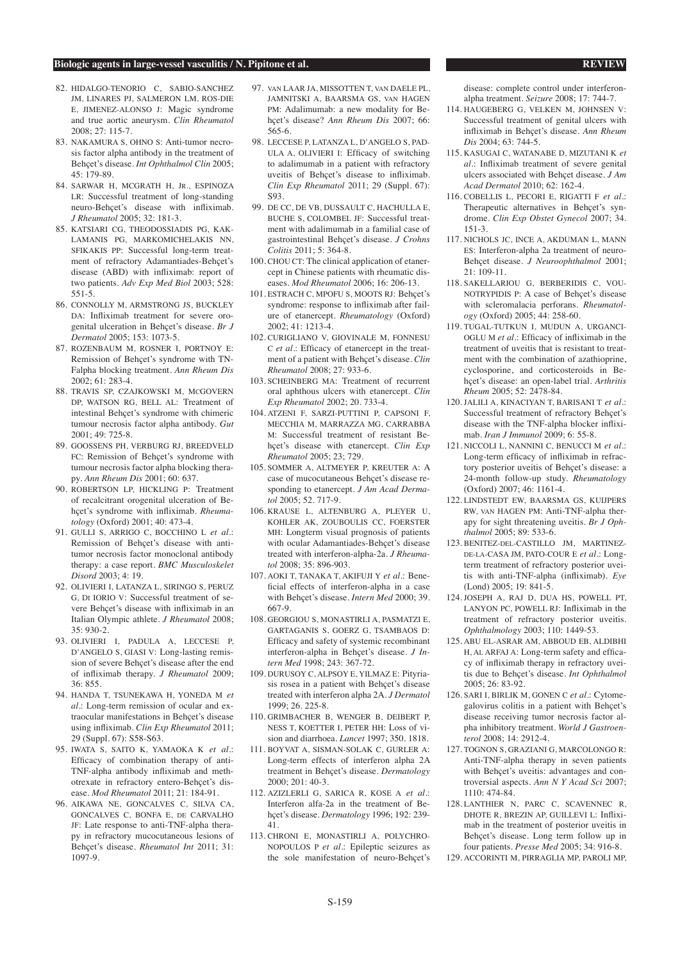- 82. HIDALGO-TENORIO C, SABIO-SANCHEZ JM, LINARES PJ, SALMERON LM, ROS-DIE E, JIMENEZ-ALONSO J: Magic syndrome and true aortic aneurysm. *Clin Rheumatol* 2008; 27: 115-7.
- 83. NAKAMURA S, OHNO S: Anti-tumor necrosis factor alpha antibody in the treatment of Behçet's disease. *Int Ophthalmol Clin* 2005; 45: 179-89.
- 84. SARWAR H, MCGRATH H, JR., ESPINOZA LR: Successful treatment of long-standing neuro-Behçet's disease with infliximab. *J Rheumatol* 2005; 32: 181-3.
- 85. KATSIARI CG, THEODOSSIADIS PG, KAK-LAMANIS PG, MARKOMICHELAKIS NN, SFIKAKIS PP: Successful long-term treatment of refractory Adamantiades-Behçet's disease (ABD) with infliximab: report of two patients. *Adv Exp Med Biol* 2003; 528: 551-5.
- 86. CONNOLLY M, ARMSTRONG JS, BUCKLEY DA: Infliximab treatment for severe orogenital ulceration in Behçet's disease. *Br J Dermatol* 2005; 153: 1073-5.
- 87. ROZENBAUM M, ROSNER I, PORTNOY E: Remission of Behçet's syndrome with TN-Falpha blocking treatment. *Ann Rheum Dis* 2002; 61: 283-4.
- 88. TRAVIS SP, CZAJKOWSKI M, MCGOVERN DP, WATSON RG, BELL AL: Treatment of intestinal Behçet's syndrome with chimeric tumour necrosis factor alpha antibody. *Gut*  2001; 49: 725-8.
- 89. GOOSSENS PH, VERBURG RJ, BREEDVELD FC: Remission of Behçet's syndrome with tumour necrosis factor alpha blocking therapy. *Ann Rheum Dis* 2001; 60: 637.
- 90. ROBERTSON LP, HICKLING P: Treatment of recalcitrant orogenital ulceration of Behçet's syndrome with infliximab. *Rheumatology* (Oxford) 2001; 40: 473-4.
- 91. GULLI S, ARRIGO C, BOCCHINO L *et al.*: Remission of Behçet's disease with antitumor necrosis factor monoclonal antibody therapy: a case report. *BMC Musculoskelet Disord* 2003; 4: 19.
- 92. OLIVIERI I, LATANZA L, SIRINGO S, PERUZ G, DI IORIO V: Successful treatment of severe Behçet's disease with infliximab in an Italian Olympic athlete. *J Rheumatol* 2008; 35: 930-2.
- 93. OLIVIERI I, PADULA A, LECCESE P, D'ANGELO S, GIASI V: Long-lasting remission of severe Behçet's disease after the end of infliximab therapy. *J Rheumatol* 2009; 36: 855.
- 94. HANDA T, TSUNEKAWA H, YONEDA M *et al.*: Long-term remission of ocular and extraocular manifestations in Behçet's disease using infliximab. *Clin Exp Rheumatol* 2011; 29 (Suppl. 67): S58-S63.
- 95. IWATA S, SAITO K, YAMAOKA K *et al.*: Efficacy of combination therapy of anti-TNF-alpha antibody infliximab and methotrexate in refractory entero-Behçet's disease. *Mod Rheumatol* 2011; 21: 184-91.
- 96. AIKAWA NE, GONCALVES C, SILVA CA, GONCALVES C, BONFA E, DE CARVALHO JF: Late response to anti-TNF-alpha therapy in refractory mucocutaneous lesions of Behçet's disease. *Rheumatol Int* 2011; 31: 1097-9.
- 97. VAN LAAR JA, MISSOTTEN T, VAN DAELE PL JAMNITSKI A, BAARSMA GS, VAN HAGEN PM: Adalimumab: a new modality for Behçet's disease? *Ann Rheum Dis* 2007; 66: 565-6.
- 98. LECCESE P, LATANZA L, D'ANGELO S, PAD-ULA A, OLIVIERI I: Efficacy of switching to adalimumab in a patient with refractory uveitis of Behçet's disease to infliximab. *Clin Exp Rheumatol* 2011; 29 (Suppl. 67): S93.
- 99. DE CC, DE VB, DUSSAULT C, HACHULLA E, BUCHE S, COLOMBEL JF: Successful treatment with adalimumab in a familial case of gastrointestinal Behçet's disease. *J Crohns Colitis* 2011; 5: 364-8.
- 100. CHOU CT: The clinical application of etanercept in Chinese patients with rheumatic diseases. *Mod Rheumatol* 2006; 16: 206-13.
- 101. ESTRACH C, MPOFU S, MOOTS RJ: Behçet's syndrome: response to infliximab after failure of etanercept. *Rheumatology* (Oxford) 2002; 41: 1213-4.
- 102. CURIGLIANO V, GIOVINALE M, FONNESU C *et al.*: Efficacy of etanercept in the treatment of a patient with Behçet's disease. *Clin Rheumatol* 2008; 27: 933-6.
- 103. SCHEINBERG MA: Treatment of recurrent oral aphthous ulcers with etanercept. *Clin Exp Rheumatol* 2002; 20. 733-4.
- 104. ATZENI F, SARZI-PUTTINI P, CAPSONI F, MECCHIA M, MARRAZZA MG, CARRABBA M: Successful treatment of resistant Behcet's disease with etanercept. *Clin Exp Rheumatol* 2005; 23; 729.
- 105. SOMMER A, ALTMEYER P, KREUTER A: A case of mucocutaneous Behçet's disease responding to etanercept. *J Am Acad Dermatol* 2005; 52. 717-9.
- 106. KRAUSE L, ALTENBURG A, PLEYER U, KOHLER AK, ZOUBOULIS CC, FOERSTER MH: Longterm visual prognosis of patients with ocular Adamantiades-Behçet's disease treated with interferon-alpha-2a. *J Rheumatol* 2008; 35: 896-903.
- 107. AOKI T, TANAKA T, AKIFUJI Y *et al.*: Beneficial effects of interferon-alpha in a case with Behçet's disease. *Intern Med* 2000; 39. 667-9.
- 108. GEORGIOU S, MONASTIRLI A, PASMATZI E, GARTAGANIS S, GOERZ G, TSAMBAOS D: Efficacy and safety of systemic recombinant interferon-alpha in Behcet's disease. *J Intern Med* 1998; 243: 367-72.
- 109. DURUSOY C, ALPSOY E, YILMAZ E: Pityriasis rosea in a patient with Behçet's disease treated with interferon alpha 2A. *J Dermatol*   $1999 \cdot 26.225 - 8.$
- 110. GRIMBACHER B, WENGER B, DEIBERT P, NESS T, KOETTER I, PETER HH: Loss of vision and diarrhoea. *Lancet* 1997; 350. 1818.
- 111. BOYVAT A, SISMAN-SOLAK C, GURLER A: Long-term effects of interferon alpha 2A treatment in Behçet's disease. *Dermatology* 2000; 201: 40-3.
- 112. AZIZLERLI G, SARICA R, KOSE A *et al.*: Interferon alfa-2a in the treatment of Behçet's disease. *Dermatology* 1996; 192: 239- 41.
- 113. CHRONI E, MONASTIRLI A, POLYCHRO-NOPOULOS P *et al.*: Epileptic seizures as the sole manifestation of neuro-Behçet's

disease: complete control under interferonalpha treatment. *Seizure* 2008; 17: 744-7.

- 114. HAUGEBERG G, VELKEN M, JOHNSEN V: Successful treatment of genital ulcers with infliximab in Behçet's disease. *Ann Rheum Dis* 2004; 63: 744-5.
- 115. KASUGAI C, WATANABE D, MIZUTANI K *et al.*: Infliximab treatment of severe genital ulcers associated with Behçet disease. *J Am Acad Dermatol* 2010; 62: 162-4.
- 116. COBELLIS L, PECORI E, RIGATTI F *et al.*: Therapeutic alternatives in Behçet's syndrome. *Clin Exp Obstet Gynecol* 2007; 34. 151-3.
- 117. NICHOLS JC, INCE A, AKDUMAN L, MANN ES: Interferon-alpha 2a treatment of neuro-Behçet disease. *J Neuroophthalmol* 2001;  $21:109-11.$
- 118. SAKELLARIOU G, BERBERIDIS C, VOU-NOTRYPIDIS P: A case of Behçet's disease with scleromalacia perforans. *Rheumatology* (Oxford) 2005; 44: 258-60.
- 119. TUGAL-TUTKUN I, MUDUN A, URGANCI-OGLU M *et al.*: Efficacy of infliximab in the treatment of uveitis that is resistant to treatment with the combination of azathioprine, cyclosporine, and corticosteroids in Behçet's disease: an open-label trial. *Arthritis Rheum* 2005; 52: 2478-84.
- 120. JALILI A, KINACIYAN T, BARISANI T *et al.*: Successful treatment of refractory Behçet's disease with the TNF-alpha blocker infliximab. *Iran J Immunol* 2009; 6: 55-8.
- 121. NICCOLI L, NANNINI C, BENUCCI M *et al.*: Long-term efficacy of infliximab in refractory posterior uveitis of Behçet's disease: a 24-month follow-up study. *Rheumatology* (Oxford) 2007; 46: 1161-4.
- 122. LINDSTEDT EW, BAARSMA GS, KUIJPERS RW, VAN HAGEN PM: Anti-TNF-alpha therapy for sight threatening uveitis. *Br J Ophthalmol* 2005; 89: 533-6.
- 123. BENITEZ-DEL-CASTILLO JM, MARTINEZ-DE-LA-CASA JM, PATO-COUR E *et al.*: Longterm treatment of refractory posterior uveitis with anti-TNF-alpha (infliximab). *Eye*  (Lond) 2005; 19: 841-5.
- 124. JOSEPH A, RAJ D, DUA HS, POWELL PT, LANYON PC, POWELL RJ: Infliximab in the treatment of refractory posterior uveitis. *Ophthalmology* 2003; 110: 1449-53.
- 125. ABU EL-ASRAR AM, ABBOUD EB, ALDIBHI H, AL ARFAJ A: Long-term safety and efficacy of infliximab therapy in refractory uveitis due to Behçet's disease. *Int Ophthalmol*   $2005: 26: 83-92.$
- 126. SARI I, BIRLIK M, GONEN C *et al.*: Cytomegalovirus colitis in a patient with Behçet's disease receiving tumor necrosis factor alpha inhibitory treatment. *World J Gastroenterol* 2008; 14: 2912-4.
- 127. TOGNON S, GRAZIANI G, MARCOLONGO R: Anti-TNF-alpha therapy in seven patients with Behçet's uveitis: advantages and controversial aspects. *Ann N Y Acad Sci* 2007; 1110: 474-84.
- 128. LANTHIER N, PARC C, SCAVENNEC R, DHOTE R, BREZIN AP, GUILLEVI L: Infliximab in the treatment of posterior uveitis in Behçet's disease. Long term follow up in four patients. *Presse Med* 2005; 34: 916-8.
- 129. ACCORINTI M, PIRRAGLIA MP, PAROLI MP,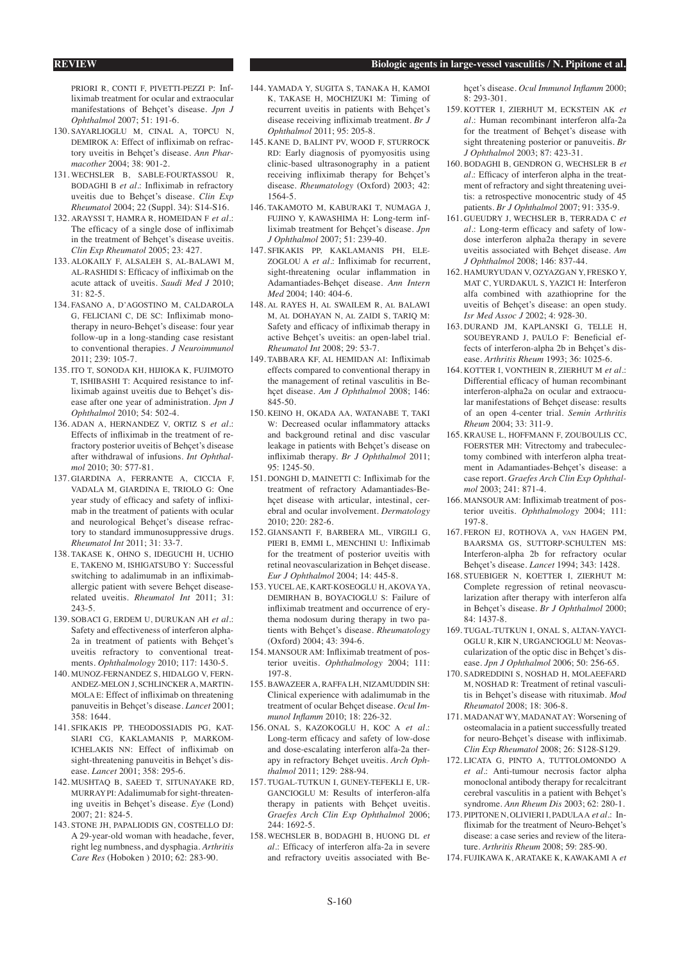PRIORI R, CONTI E, PIVETTL-PEZZI P: Inf liximab treatment for ocular and extraocular manifestations of Behçet's disease. *Jpn J Ophthalmol* 2007; 51: 191-6.

- 130. SAYARLIOGLU M, CINAL A, TOPCU N, DEMIROK A: Effect of infliximab on refractory uveitis in Behçet's disease. *Ann Pharmacother* 2004; 38: 901-2.
- 131. WECHSLER B, SABLE-FOURTASSOU R, BODAGHI B *et al.*: Infliximab in refractory uveitis due to Behçet's disease. *Clin Exp Rheumatol* 2004; 22 (Suppl. 34): S14-S16.
- 132. ARAYSSI T, HAMRA R, HOMEIDAN F *et al.*: The efficacy of a single dose of infliximab in the treatment of Behçet's disease uveitis. *Clin Exp Rheumatol* 2005; 23: 427.
- 133. ALOKAILY F, ALSALEH S, AL-BALAWI M, AL-RASHIDI S: Efficacy of infliximab on the acute attack of uveitis. *Saudi Med J* 2010; 31: 82-5.
- 134. FASANO A, D'AGOSTINO M, CALDAROLA G, FELICIANI C, DE SC: Infliximab monotherapy in neuro-Behçet's disease: four year follow-up in a long-standing case resistant to conventional therapies. *J Neuroimmunol*   $2011 \cdot 239 \cdot 105 - 7$
- 135. ITO T, SONODA KH, HIJIOKA K, FUJIMOTO T, ISHIBASHI T: Acquired resistance to infliximab against uveitis due to Behçet's disease after one year of administration. *Jpn J Ophthalmol* 2010; 54: 502-4.
- 136. ADAN A, HERNANDEZ V, ORTIZ S *et al.*: Effects of infliximab in the treatment of refractory posterior uveitis of Behçet's disease after withdrawal of infusions. *Int Ophthalmol* 2010; 30: 577-81.
- 137. GIARDINA A, FERRANTE A, CICCIA F, VADALA M, GIARDINA E, TRIOLO G: One year study of efficacy and safety of infliximab in the treatment of patients with ocular and neurological Behçet's disease refractory to standard immunosuppressive drugs. *Rheumatol Int* 2011; 31: 33-7.
- 138. TAKASE K, OHNO S, IDEGUCHI H, UCHIO E, TAKENO M, ISHIGATSUBO Y: Successful switching to adalimumab in an infliximaballergic patient with severe Behçet diseaserelated uveitis. *Rheumatol Int* 2011; 31: 243-5.
- 139. SOBACI G, ERDEM U, DURUKAN AH *et al.*: Safety and effectiveness of interferon alpha-2a in treatment of patients with Behçet's uveitis refractory to conventional treatments. *Ophthalmology* 2010; 117: 1430-5.
- 140. MUNOZ-FERNANDEZ S, HIDALGO V, FERN-ANDEZ-MELON I, SCHLINCKER A, MARTIN-MOLA E: Effect of infliximab on threatening panuveitis in Behçet's disease. *Lancet* 2001; 358: 1644.
- 141. SFIKAKIS PP, THEODOSSIADIS PG, KAT-SIARI CG, KAKLAMANIS P, MARKOM-ICHELAKIS NN: Effect of infliximab on sight-threatening panuveitis in Behçet's disease. *Lancet* 2001; 358: 295-6.
- 142. MUSHTAQ B, SAEED T, SITUNAYAKE RD, MURRAY PI: Adalimumab for sight-threatening uveitis in Behçet's disease. *Eye* (Lond)  $2007 \cdot 21 \cdot 824 - 5$ .
- 143. STONE JH, PAPALIODIS GN, COSTELLO DJ: A 29-year-old woman with headache, fever, right leg numbness, and dysphagia. *Arthritis Care Res* (Hoboken ) 2010; 62: 283-90.
- 144. YAMADA Y, SUGITA S, TANAKA H, KAMOI K, TAKASE H, MOCHIZUKI M: Timing of recurrent uveitis in patients with Behçet's disease receiving infliximab treatment. *Br J Ophthalmol* 2011; 95: 205-8.
- 145. KANE D, BALINT PV, WOOD F, STURROCK RD: Early diagnosis of pyomyositis using clinic-based ultrasonography in a patient receiving infliximab therapy for Behçet's disease. *Rheumatology* (Oxford) 2003; 42: 1564-5.
- 146. TAKAMOTO M, KABURAKI T, NUMAGA J, FUJINO Y, KAWASHIMA H: Long-term infliximab treatment for Behçet's disease. *Jpn J Ophthalmol* 2007; 51: 239-40.
- 147. SFIKAKIS PP, KAKLAMANIS PH, ELE-ZOGLOU A *et al.*: Infliximab for recurrent, sight-threatening ocular inflammation in Adamantiades-Behçet disease. *Ann Intern Med* 2004; 140: 404-6.
- 148. AL RAYES H, AL SWAILEM R, AL BALAWI M, AL DOHAYAN N, AL ZAIDI S, TARIQ M: Safety and efficacy of infliximab therapy in active Behçet's uveitis: an open-label trial. *Rheumatol Int* 2008; 29: 53-7.
- 149. TABBARA KF, AL HEMIDAN AI: Infliximab effects compared to conventional therapy in the management of retinal vasculitis in Behçet disease. *Am J Ophthalmol* 2008; 146: 845-50.
- 150. KEINO H, OKADA AA, WATANABE T, TAKI W: Decreased ocular inflammatory attacks and background retinal and disc vascular leakage in patients with Behcet's disease on infliximab therapy. *Br J Ophthalmol* 2011; 95: 1245-50.
- 151. DONGHI D, MAINETTI C: Infliximab for the treatment of refractory Adamantiades-Behçet disease with articular, intestinal, cerebral and ocular involvement. *Dermatology* 2010; 220: 282-6.
- 152. GIANSANTI F, BARBERA ML, VIRGILI G, PIERI B, EMMI L, MENCHINI U: Infliximab for the treatment of posterior uveitis with retinal neovascularization in Behçet disease. *Eur J Ophthalmol* 2004; 14: 445-8.
- 153. YUCEL AE, KART-KOSEOGLU H, AKOVA YA, DEMIRHAN B, BOYACIOGLU S: Failure of infliximab treatment and occurrence of erythema nodosum during therapy in two patients with Behçet's disease. *Rheumatology*  (Oxford) 2004; 43: 394-6.
- 154. MANSOUR AM: Infliximab treatment of posterior uveitis. *Ophthalmology* 2004; 111: 197-8.
- 155. BAWAZEER A, RAFFA LH, NIZAMUDDIN SH: Clinical experience with adalimumab in the treatment of ocular Behçet disease. *Ocul Immunol Inflamm* 2010; 18: 226-32.
- 156. ONAL S, KAZOKOGLU H, KOC A *et al.*: Long-term efficacy and safety of low-dose and dose-escalating interferon alfa-2a therapy in refractory Behçet uveitis. *Arch Ophthalmol* 2011; 129: 288-94.
- 157. TUGAL-TUTKUN I, GUNEY-TEFEKLI E, UR-GANCIOGLU M: Results of interferon-alfa therapy in patients with Behçet uveitis. *Graefes Arch Clin Exp Ophthalmol* 2006; 244: 1692-5.
- 158. WECHSLER B, BODAGHI B, HUONG DL *et al.*: Efficacy of interferon alfa-2a in severe and refractory uveitis associated with Be-

hçet's disease. *Ocul Immunol Inflamm* 2000; 8: 293-301.

- 159. KOTTER I, ZIERHUT M, ECKSTEIN AK *et al.*: Human recombinant interferon alfa-2a for the treatment of Behçet's disease with sight threatening posterior or panuveitis. *Br J Ophthalmol* 2003; 87: 423-31.
- 160. BODAGHI B, GENDRON G, WECHSLER B *et al.*: Efficacy of interferon alpha in the treatment of refractory and sight threatening uveitis: a retrospective monocentric study of 45 patients. *Br J Ophthalmol* 2007; 91: 335-9.
- 161. GUEUDRY J, WECHSLER B, TERRADA C *et al.*: Long-term efficacy and safety of lowdose interferon alpha2a therapy in severe uveitis associated with Behçet disease. *Am J Ophthalmol* 2008; 146: 837-44.
- 162. HAMURYUDAN V, OZYAZGAN Y, FRESKO Y, MAT C, YURDAKUL S, YAZICI H: Interferon alfa combined with azathioprine for the uveitis of Behçet's disease: an open study. *Isr Med Assoc J* 2002; 4: 928-30.
- 163. DURAND JM, KAPLANSKI G, TELLE H, SOUBEYRAND J, PAULO F: Beneficial effects of interferon-alpha 2b in Behçet's disease. *Arthritis Rheum* 1993; 36: 1025-6.
- 164. KOTTER I, VONTHEIN R, ZIERHUT M *et al.*: Differential efficacy of human recombinant interferon-alpha2a on ocular and extraocular manifestations of Behçet disease: results of an open 4-center trial. *Semin Arthritis Rheum* 2004; 33: 311-9.
- 165. KRAUSE L, HOFFMANN F, ZOUBOULIS CC, FOERSTER MH: Vitrectomy and trabeculectomy combined with interferon alpha treatment in Adamantiades-Behçet's disease: a case report. *Graefes Arch Clin Exp Ophthalmol* 2003; 241: 871-4.
- 166. MANSOUR AM: Infliximab treatment of posterior uveitis. *Ophthalmology* 2004; 111: 197-8.
- 167. FERON EJ, ROTHOVA A, VAN HAGEN PM, BAARSMA GS, SUTTORP-SCHULTEN MS: Interferon-alpha 2b for refractory ocular Behçet's disease. *Lancet* 1994; 343: 1428.
- 168. STUEBIGER N, KOETTER I, ZIERHUT M: Complete regression of retinal neovascularization after therapy with interferon alfa in Behçet's disease. *Br J Ophthalmol* 2000; 84: 1437-8.
- 169. TUGAL-TUTKUN I, ONAL S, ALTAN-YAYCI-OGLU R, KIR N, URGANCIOGLU M: Neovascularization of the optic disc in Behçet's disease. *Jpn J Ophthalmol* 2006; 50: 256-65.
- 170. SADREDDINI S, NOSHAD H, MOLAEEFARD M, NOSHAD R: Treatment of retinal vasculitis in Behçet's disease with rituximab. *Mod Rheumatol* 2008; 18: 306-8.
- 171. MADANAT WY, MADANAT AY: Worsening of osteomalacia in a patient successfully treated for neuro-Behçet's disease with infliximab. *Clin Exp Rheumatol* 2008; 26: S128-S129.
- 172. LICATA G, PINTO A, TUTTOLOMONDO A *et al.*: Anti-tumour necrosis factor alpha monoclonal antibody therapy for recalcitrant cerebral vasculitis in a patient with Behçet's syndrome. *Ann Rheum Dis* 2003; 62: 280-1.
- 173. PIPITONE N, OLIVIERI I, PADULA A *et al.*: Infliximab for the treatment of Neuro-Behçet's disease: a case series and review of the literature. *Arthritis Rheum* 2008; 59: 285-90.
- 174. FUJIKAWA K, ARATAKE K, KAWAKAMI A *et*

#### **REVIEW Biologic agents in large-vessel vasculitis / N. Pipitone et al.**